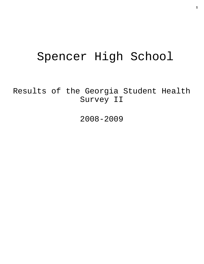# Spencer High School

Results of the Georgia Student Health Survey II

2008-2009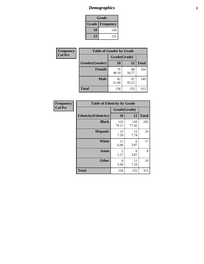## *Demographics* **2**

| Grade                    |     |  |  |  |
|--------------------------|-----|--|--|--|
| <b>Grade   Frequency</b> |     |  |  |  |
| 10                       | 158 |  |  |  |
| 12                       | 155 |  |  |  |

| Frequency      | <b>Table of Gender by Grade</b> |              |             |              |  |  |
|----------------|---------------------------------|--------------|-------------|--------------|--|--|
| <b>Col Pct</b> |                                 | Grade(Grade) |             |              |  |  |
|                | Gender(Gender)                  | 10           | 12          | <b>Total</b> |  |  |
|                | <b>Female</b>                   | 76<br>48.10  | 88<br>56.77 | 164          |  |  |
|                | <b>Male</b>                     | 82<br>51.90  | 67<br>43.23 | 149          |  |  |
|                | <b>Total</b>                    | 158          | 155         | 313          |  |  |

| <b>Frequency</b> |
|------------------|
| <b>Col Pct</b>   |

| <b>Table of Ethnicity by Grade</b> |              |              |              |  |  |  |
|------------------------------------|--------------|--------------|--------------|--|--|--|
|                                    | Grade(Grade) |              |              |  |  |  |
| <b>Ethnicity</b> (Ethnicity)       | 10           | 12           | <b>Total</b> |  |  |  |
| <b>Black</b>                       | 125<br>79.11 | 120<br>77.42 | 245          |  |  |  |
| <b>Hispanic</b>                    | 12<br>7.59   | 12<br>7.74   | 24           |  |  |  |
| White                              | 11<br>6.96   | 6<br>3.87    | 17           |  |  |  |
| <b>Asian</b>                       | 2<br>1.27    | 6<br>3.87    | 8            |  |  |  |
| <b>Other</b>                       | 8<br>5.06    | 11<br>7.10   | 19           |  |  |  |
| <b>Total</b>                       | 158          | 155          | 313          |  |  |  |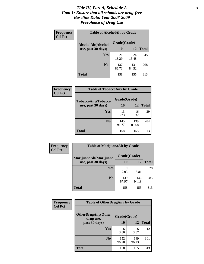#### *Title IV, Part A, Schedule A* **3** *Goal 1: Ensure that all schools are drug-free Baseline Data: Year 2008-2009 Prevalence of Drug Use*

| Frequency<br><b>Col Pct</b> | <b>Table of AlcoholAlt by Grade</b> |              |              |              |  |  |
|-----------------------------|-------------------------------------|--------------|--------------|--------------|--|--|
|                             | AlcoholAlt(Alcohol                  | Grade(Grade) |              |              |  |  |
|                             | use, past 30 days)                  | 10           | 12           | <b>Total</b> |  |  |
|                             | Yes                                 | 21<br>13.29  | 24<br>15.48  | 45           |  |  |
|                             | N <sub>0</sub>                      | 137<br>86.71 | 131<br>84.52 | 268          |  |  |
|                             | <b>Total</b>                        | 158          | 155          | 313          |  |  |

| Frequency      | <b>Table of TobaccoAny by Grade</b> |              |              |              |  |
|----------------|-------------------------------------|--------------|--------------|--------------|--|
| <b>Col Pct</b> | <b>TobaccoAny(Tobacco</b>           | Grade(Grade) |              |              |  |
|                | use, past 30 days)                  | 10           | 12           | <b>Total</b> |  |
|                | Yes                                 | 13<br>8.23   | 16<br>10.32  | 29           |  |
|                | N <sub>0</sub>                      | 145<br>91.77 | 139<br>89.68 | 284          |  |
|                | Total                               | 158          | 155          | 313          |  |

| Frequency<br><b>Col Pct</b> | <b>Table of MarijuanaAlt by Grade</b> |              |              |              |  |
|-----------------------------|---------------------------------------|--------------|--------------|--------------|--|
|                             | MarijuanaAlt(Marijuana                | Grade(Grade) |              |              |  |
|                             | use, past 30 days)                    | 10           | 12           | <b>Total</b> |  |
|                             | <b>Yes</b>                            | 19<br>12.03  | 9<br>5.81    | 28           |  |
|                             | N <sub>0</sub>                        | 139<br>87.97 | 146<br>94.19 | 285          |  |
|                             | <b>Total</b>                          | 158          | 155          | 313          |  |

| <b>Frequency</b> | <b>Table of OtherDrugAny by Grade</b>  |              |              |              |  |  |
|------------------|----------------------------------------|--------------|--------------|--------------|--|--|
| <b>Col Pct</b>   | <b>OtherDrugAny(Other</b><br>drug use, | Grade(Grade) |              |              |  |  |
|                  | past 30 days)                          | 10           | 12           | <b>Total</b> |  |  |
|                  | Yes                                    | 6<br>3.80    | 6<br>3.87    | 12           |  |  |
|                  | N <sub>0</sub>                         | 152<br>96.20 | 149<br>96.13 | 301          |  |  |
|                  | <b>Total</b>                           | 158          | 155          | 313          |  |  |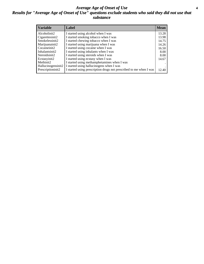#### *Average Age of Onset of Use* **4** *Results for "Average Age of Onset of Use" questions exclude students who said they did not use that substance*

| <b>Variable</b>    | Label                                                              | <b>Mean</b> |
|--------------------|--------------------------------------------------------------------|-------------|
| Alcoholinit2       | I started using alcohol when I was                                 | 13.28       |
| Cigarettesinit2    | I started smoking tobacco when I was                               | 13.98       |
| Smokelessinit2     | I started chewing tobacco when I was                               | 14.75       |
| Marijuanainit2     | I started using marijuana when I was                               | 14.26       |
| Cocaineinit2       | I started using cocaine when I was                                 | 16.50       |
| Inhalantsinit2     | I started using inhalants when I was                               | 8.00        |
| Steroidsinit2      | I started using steroids when I was                                | 8.00        |
| Ecstasyinit2       | I started using ecstasy when I was                                 | 14.67       |
| Methinit2          | I started using methamphetamines when I was                        |             |
| Hallucinogensinit2 | I started using hallucinogens when I was                           |             |
| Prescriptioninit2  | I started using prescription drugs not prescribed to me when I was | 12.40       |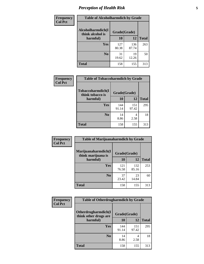### *Perception of Health Risk* **5**

| Frequency      | <b>Table of Alcoholharmdich by Grade</b> |              |              |              |  |
|----------------|------------------------------------------|--------------|--------------|--------------|--|
| <b>Col Pct</b> | Alcoholharmdich(I<br>think alcohol is    | Grade(Grade) |              |              |  |
|                | harmful)                                 | 10           | 12           | <b>Total</b> |  |
|                | <b>Yes</b>                               | 127<br>80.38 | 136<br>87.74 | 263          |  |
|                | N <sub>0</sub>                           | 31<br>19.62  | 19<br>12.26  | 50           |  |
|                | <b>Total</b>                             | 158          | 155          | 313          |  |

| Frequency      | <b>Table of Tobaccoharmdich by Grade</b> |              |              |              |
|----------------|------------------------------------------|--------------|--------------|--------------|
| <b>Col Pct</b> | Tobaccoharmdich(I<br>think tobacco is    | Grade(Grade) |              |              |
|                | harmful)                                 | 10           | 12           | <b>Total</b> |
|                | Yes                                      | 144<br>91.14 | 151<br>97.42 | 295          |
|                | N <sub>0</sub>                           | 14<br>8.86   | 4<br>2.58    | 18           |
|                | <b>Total</b>                             | 158          | 155          | 313          |

| <b>Frequency</b> | <b>Table of Marijuanaharmdich by Grade</b> |              |              |              |  |  |
|------------------|--------------------------------------------|--------------|--------------|--------------|--|--|
| <b>Col Pct</b>   | Marijuanaharmdich(I<br>think marijuana is  | Grade(Grade) |              |              |  |  |
|                  | harmful)                                   | 10           | 12           | <b>Total</b> |  |  |
|                  | Yes                                        | 121<br>76.58 | 132<br>85.16 | 253          |  |  |
|                  | N <sub>0</sub>                             | 37<br>23.42  | 23<br>14.84  | 60           |  |  |
|                  | <b>Total</b>                               | 158          | 155          | 313          |  |  |

| Frequency      | <b>Table of Otherdrugharmdich by Grade</b>   |              |              |              |  |  |
|----------------|----------------------------------------------|--------------|--------------|--------------|--|--|
| <b>Col Pct</b> | Otherdrugharmdich(I<br>think other drugs are | Grade(Grade) |              |              |  |  |
|                | harmful)                                     | 10           | 12           | <b>Total</b> |  |  |
|                | <b>Yes</b>                                   | 144<br>91.14 | 151<br>97.42 | 295          |  |  |
|                | N <sub>0</sub>                               | 14<br>8.86   | 4<br>2.58    | 18           |  |  |
|                | <b>Total</b>                                 | 158          | 155          | 313          |  |  |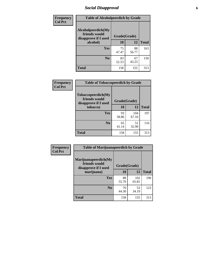### *Social Disapproval* **6**

| Frequency      | <b>Table of Alcoholpeerdich by Grade</b>                    |              |             |              |  |
|----------------|-------------------------------------------------------------|--------------|-------------|--------------|--|
| <b>Col Pct</b> | Alcoholpeerdich(My<br>friends would<br>disapprove if I used | Grade(Grade) |             |              |  |
|                | alcohol)                                                    | 10           | 12          | <b>Total</b> |  |
|                | <b>Yes</b>                                                  | 75<br>47.47  | 88<br>56.77 | 163          |  |
|                | N <sub>0</sub>                                              | 83<br>52.53  | 67<br>43.23 | 150          |  |
|                | <b>Total</b>                                                | 158          | 155         | 313          |  |

| <b>Frequency</b> |
|------------------|
| <b>Col Pct</b>   |

| <b>Table of Tobaccopeerdich by Grade</b>                            |              |              |              |  |  |
|---------------------------------------------------------------------|--------------|--------------|--------------|--|--|
| <b>Tobaccopeerdich</b> (My<br>friends would<br>disapprove if I used | Grade(Grade) |              |              |  |  |
| tobacco)                                                            | 10           | 12           | <b>Total</b> |  |  |
| Yes                                                                 | 93<br>58.86  | 104<br>67.10 | 197          |  |  |
| N <sub>0</sub>                                                      | 65<br>41.14  | 51<br>32.90  | 116          |  |  |
| <b>Total</b>                                                        | 158          | 155          | 313          |  |  |

| Frequency      | <b>Table of Marijuanapeerdich by Grade</b>                    |              |              |              |  |  |
|----------------|---------------------------------------------------------------|--------------|--------------|--------------|--|--|
| <b>Col Pct</b> | Marijuanapeerdich(My<br>friends would<br>disapprove if I used | Grade(Grade) |              |              |  |  |
|                | marijuana)                                                    | 10           | 12           | <b>Total</b> |  |  |
|                | <b>Yes</b>                                                    | 88<br>55.70  | 102<br>65.81 | 190          |  |  |
|                | N <sub>0</sub>                                                | 70<br>44.30  | 53<br>34.19  | 123          |  |  |
|                | <b>Total</b>                                                  | 158          | 155          | 313          |  |  |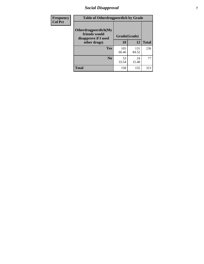### *Social Disapproval* **7**

| Frequency      | <b>Table of Otherdrugpeerdich by Grade</b>                    |              |              |              |  |
|----------------|---------------------------------------------------------------|--------------|--------------|--------------|--|
| <b>Col Pct</b> | Otherdrugpeerdich(My<br>friends would<br>disapprove if I used | Grade(Grade) |              |              |  |
|                | other drugs)                                                  | 10           | 12           | <b>Total</b> |  |
|                | Yes                                                           | 105<br>66.46 | 131<br>84.52 | 236          |  |
|                | N <sub>0</sub>                                                | 53<br>33.54  | 24<br>15.48  | 77           |  |
|                | <b>Total</b>                                                  | 158          | 155          | 313          |  |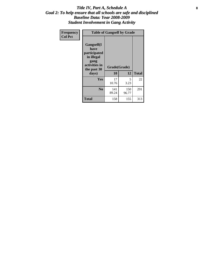#### Title IV, Part A, Schedule A **8** *Goal 2: To help ensure that all schools are safe and disciplined Baseline Data: Year 2008-2009 Student Involvement in Gang Activity*

| Frequency      | <b>Table of Gangself by Grade</b>                                                                 |                    |              |              |  |
|----------------|---------------------------------------------------------------------------------------------------|--------------------|--------------|--------------|--|
| <b>Col Pct</b> | Gangself(I<br>have<br>participated<br>in illegal<br>gang<br>activities in<br>the past 30<br>days) | Grade(Grade)<br>10 | 12           | <b>Total</b> |  |
|                | Yes                                                                                               | 17<br>10.76        | 5<br>3.23    | 22           |  |
|                | N <sub>0</sub>                                                                                    | 141<br>89.24       | 150<br>96.77 | 291          |  |
|                | <b>Total</b>                                                                                      | 158                | 155          | 313          |  |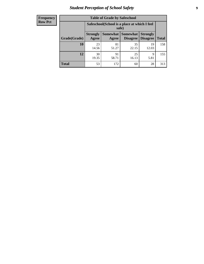## *Student Perception of School Safety* **9**

| <b>Frequency</b><br>Row Pct |
|-----------------------------|
|                             |

| <b>Table of Grade by Safeschool</b> |                                                        |                                                                                                          |             |             |     |  |
|-------------------------------------|--------------------------------------------------------|----------------------------------------------------------------------------------------------------------|-------------|-------------|-----|--|
|                                     | Safeschool (School is a place at which I feel<br>safe) |                                                                                                          |             |             |     |  |
| Grade(Grade)                        | <b>Strongly</b><br>Agree                               | Somewhat  <br><b>Somewhat</b><br><b>Strongly</b><br><b>Disagree</b><br>Disagree<br><b>Total</b><br>Agree |             |             |     |  |
| 10                                  | 23<br>14.56                                            | 81<br>51.27                                                                                              | 35<br>22.15 | 19<br>12.03 | 158 |  |
| 12                                  | 30<br>19.35                                            | 91<br>58.71                                                                                              | 25<br>16.13 | 9<br>5.81   | 155 |  |
| <b>Total</b>                        | 53                                                     | 172                                                                                                      | 60          | 28          | 313 |  |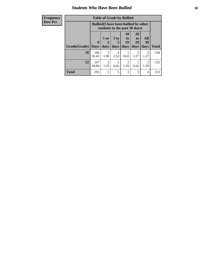#### *Students Who Have Been Bullied* **10**

| <b>Frequency</b> | <b>Table of Grade by Bullied</b> |              |                        |                      |                                                                               |                       |                |              |
|------------------|----------------------------------|--------------|------------------------|----------------------|-------------------------------------------------------------------------------|-----------------------|----------------|--------------|
| <b>Row Pct</b>   |                                  |              |                        |                      | <b>Bullied</b> (I have been bullied by other<br>students in the past 30 days) |                       |                |              |
|                  |                                  | $\mathbf{0}$ | 1 or<br>2              | 3 <sub>to</sub><br>5 | 10<br>to  <br>19                                                              | <b>20</b><br>to<br>29 | All<br>30      |              |
|                  | <b>Grade(Grade)</b>              | <b>Days</b>  | days                   | days                 | days                                                                          | days                  | days           | <b>Total</b> |
|                  | 10                               | 146<br>92.41 | 3<br>1.90              | 4<br>2.53            | 0.63                                                                          | 2<br>1.27             | 2<br>1.27      | 158          |
|                  | 12                               | 147<br>94.84 | $\overline{2}$<br>1.29 | 0.65                 | $\mathfrak{D}$<br>1.29                                                        | 0.65                  | 2<br>1.29      | 155          |
|                  | <b>Total</b>                     | 293          | 5                      | 5                    | 3                                                                             | 3                     | $\overline{4}$ | 313          |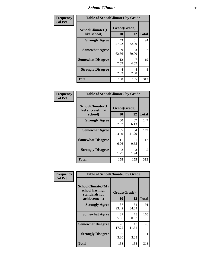#### *School Climate* **11**

| Frequency      | <b>Table of SchoolClimate1 by Grade</b> |                    |             |              |  |
|----------------|-----------------------------------------|--------------------|-------------|--------------|--|
| <b>Col Pct</b> | SchoolClimate1(I<br>like school)        | Grade(Grade)<br>10 | 12          | <b>Total</b> |  |
|                | <b>Strongly Agree</b>                   | 43<br>27.22        | 51<br>32.90 | 94           |  |
|                | <b>Somewhat Agree</b>                   | 99<br>62.66        | 93<br>60.00 | 192          |  |
|                | <b>Somewhat Disagree</b>                | 12<br>7.59         | 4.52        | 19           |  |
|                | <b>Strongly Disagree</b>                | 4<br>2.53          | 4<br>2.58   | 8            |  |
|                | <b>Total</b>                            | 158                | 155         | 313          |  |

| <b>Frequency</b> |  |
|------------------|--|
| <b>Col Pct</b>   |  |

| <b>Table of SchoolClimate2 by Grade</b>           |                       |             |              |  |  |
|---------------------------------------------------|-----------------------|-------------|--------------|--|--|
| SchoolClimate2(I<br>feel successful at<br>school) | Grade(Grade)<br>10    | 12          | <b>Total</b> |  |  |
| <b>Strongly Agree</b>                             | 60<br>37.97           | 87<br>56.13 | 147          |  |  |
| <b>Somewhat Agree</b>                             | 85<br>53.80           | 64<br>41.29 | 149          |  |  |
| <b>Somewhat Disagree</b>                          | 11<br>6.96            | 0.65        | 12           |  |  |
| <b>Strongly Disagree</b>                          | $\mathcal{L}$<br>1.27 | 3<br>1.94   | 5            |  |  |
| <b>Total</b>                                      | 158                   | 155         | 313          |  |  |

|                | <b>Table of SchoolClimate3 by Grade</b>                      |              |             |              |
|----------------|--------------------------------------------------------------|--------------|-------------|--------------|
| Frequency      |                                                              |              |             |              |
| <b>Col Pct</b> | <b>SchoolClimate3(My</b><br>school has high<br>standards for | Grade(Grade) |             |              |
|                | achievement)                                                 | 10           | 12          | <b>Total</b> |
|                | <b>Strongly Agree</b>                                        | 37<br>23.42  | 54<br>34.84 | 91           |
|                | <b>Somewhat Agree</b>                                        | 87<br>55.06  | 78<br>50.32 | 165          |
|                | <b>Somewhat Disagree</b>                                     | 28<br>17.72  | 18<br>11.61 | 46           |
|                | <b>Strongly Disagree</b>                                     | 6<br>3.80    | 5<br>3.23   | 11           |
|                | Total                                                        | 158          | 155         | 313          |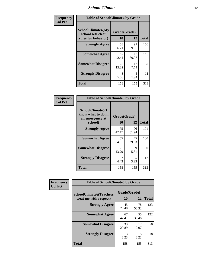#### *School Climate* **12**

| Frequency      | <b>Table of SchoolClimate4 by Grade</b>                       |                    |             |              |
|----------------|---------------------------------------------------------------|--------------------|-------------|--------------|
| <b>Col Pct</b> | SchoolClimate4(My<br>school sets clear<br>rules for behavior) | Grade(Grade)<br>10 | 12          | <b>Total</b> |
|                | <b>Strongly Agree</b>                                         | 58<br>36.71        | 92<br>59.35 | 150          |
|                | <b>Somewhat Agree</b>                                         | 67<br>42.41        | 48<br>30.97 | 115          |
|                | <b>Somewhat Disagree</b>                                      | 25<br>15.82        | 12<br>7.74  | 37           |
|                | <b>Strongly Disagree</b>                                      | 8<br>5.06          | 3<br>1.94   | 11           |
|                | <b>Total</b>                                                  | 158                | 155         | 313          |

| <b>Table of SchoolClimate5 by Grade</b>                   |                    |              |     |  |  |
|-----------------------------------------------------------|--------------------|--------------|-----|--|--|
| SchoolClimate5(I<br>know what to do in<br>an emergency at | Grade(Grade)<br>10 | <b>Total</b> |     |  |  |
| school)                                                   |                    | 12           |     |  |  |
| <b>Strongly Agree</b>                                     | 75<br>47.47        | 96<br>61.94  | 171 |  |  |
| <b>Somewhat Agree</b>                                     | 55<br>34.81        | 45<br>29.03  | 100 |  |  |
| <b>Somewhat Disagree</b>                                  | 21<br>13.29        | 9<br>5.81    | 30  |  |  |
| <b>Strongly Disagree</b>                                  | 4.43               | 5<br>3.23    | 12  |  |  |
| <b>Total</b>                                              | 158                | 155          | 313 |  |  |

| Frequency      | <b>Table of SchoolClimate6 by Grade</b>                  |                    |             |              |
|----------------|----------------------------------------------------------|--------------------|-------------|--------------|
| <b>Col Pct</b> | <b>SchoolClimate6(Teachers</b><br>treat me with respect) | Grade(Grade)<br>10 | 12          | <b>Total</b> |
|                | <b>Strongly Agree</b>                                    | 45<br>28.48        | 78<br>50.32 | 123          |
|                | <b>Somewhat Agree</b>                                    | 67<br>42.41        | 55<br>35.48 | 122          |
|                | <b>Somewhat Disagree</b>                                 | 33<br>20.89        | 17<br>10.97 | 50           |
|                | <b>Strongly Disagree</b>                                 | 13<br>8.23         | 3.23        | 18           |
|                | <b>Total</b>                                             | 158                | 155         | 313          |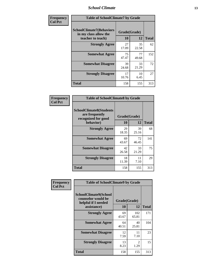#### *School Climate* **13**

| Frequency      | <b>Table of SchoolClimate7 by Grade</b>                                       |                           |             |              |
|----------------|-------------------------------------------------------------------------------|---------------------------|-------------|--------------|
| <b>Col Pct</b> | <b>SchoolClimate7(Behaviors</b><br>in my class allow the<br>teacher to teach) | Grade(Grade)<br><b>10</b> | 12          | <b>Total</b> |
|                | <b>Strongly Agree</b>                                                         | 27<br>17.09               | 35<br>22.58 | 62           |
|                | <b>Somewhat Agree</b>                                                         | 75<br>47.47               | 77<br>49.68 | 152          |
|                | <b>Somewhat Disagree</b>                                                      | 39<br>24.68               | 33<br>21.29 | 72           |
|                | <b>Strongly Disagree</b>                                                      | 17<br>10.76               | 10<br>6.45  | 27           |
|                | <b>Total</b>                                                                  | 158                       | 155         | 313          |

| Frequency      | <b>Table of SchoolClimate8 by Grade</b>                                              |                    |             |              |
|----------------|--------------------------------------------------------------------------------------|--------------------|-------------|--------------|
| <b>Col Pct</b> | <b>SchoolClimate8(Students</b><br>are frequently<br>recognized for good<br>behavior) | Grade(Grade)<br>10 | 12          | <b>Total</b> |
|                | <b>Strongly Agree</b>                                                                | 29<br>18.35        | 39<br>25.16 | 68           |
|                | <b>Somewhat Agree</b>                                                                | 69<br>43.67        | 72<br>46.45 | 141          |
|                | <b>Somewhat Disagree</b>                                                             | 42<br>26.58        | 33<br>21.29 | 75           |
|                | <b>Strongly Disagree</b>                                                             | 18<br>11.39        | 11<br>7.10  | 29           |
|                | <b>Total</b>                                                                         | 158                | 155         | 313          |

| Frequency      | <b>Table of SchoolClimate9 by Grade</b>                                           |                    |                        |              |
|----------------|-----------------------------------------------------------------------------------|--------------------|------------------------|--------------|
| <b>Col Pct</b> | SchoolClimate9(School<br>counselor would be<br>helpful if I needed<br>assistance) | Grade(Grade)<br>10 | 12                     | <b>Total</b> |
|                | <b>Strongly Agree</b>                                                             | 69<br>43.67        | 102<br>65.81           | 171          |
|                | <b>Somewhat Agree</b>                                                             | 64<br>40.51        | 40<br>25.81            | 104          |
|                | <b>Somewhat Disagree</b>                                                          | 12<br>7.59         | 11<br>7.10             | 23           |
|                | <b>Strongly Disagree</b>                                                          | 13<br>8.23         | $\mathfrak{D}$<br>1.29 | 15           |
|                | Total                                                                             | 158                | 155                    | 313          |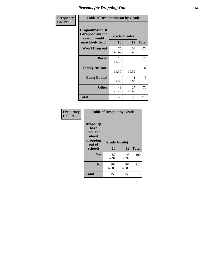#### *Reasons for Dropping Out* **14**

| <b>Frequency</b> | <b>Table of Dropoutreason by Grade</b>                                   |                    |              |              |
|------------------|--------------------------------------------------------------------------|--------------------|--------------|--------------|
| <b>Col Pct</b>   | Dropoutreason(If<br>I dropped out the<br>reason would<br>most likely be) | Grade(Grade)<br>10 | 12           | <b>Total</b> |
|                  | <b>Won't Drop out</b>                                                    | 75<br>47.47        | 103<br>66.45 | 178          |
|                  | <b>Bored</b>                                                             | 18<br>11.39        | 8<br>5.16    | 26           |
|                  | <b>Family Reasons</b>                                                    | 18<br>11.39        | 16<br>10.32  | 34           |
|                  | <b>Being Bullied</b>                                                     | 4<br>2.53          | 0.65         | 5            |
|                  | <b>Other</b>                                                             | 43<br>27.22        | 27<br>17.42  | 70           |
|                  | <b>Total</b>                                                             | 158                | 155          | 313          |

| Frequency<br><b>Col Pct</b> | <b>Table of Dropout by Grade</b>                                       |                    |              |              |  |
|-----------------------------|------------------------------------------------------------------------|--------------------|--------------|--------------|--|
|                             | Dropout(I<br>have<br>thought<br>about<br>dropping<br>out of<br>school) | Grade(Grade)<br>10 | 12           | <b>Total</b> |  |
|                             |                                                                        |                    |              |              |  |
|                             | Yes                                                                    | 52<br>32.91        | 48<br>30.97  | 100          |  |
|                             | N <sub>0</sub>                                                         | 106<br>67.09       | 107<br>69.03 | 213          |  |
|                             | <b>Total</b>                                                           | 158                | 155          | 313          |  |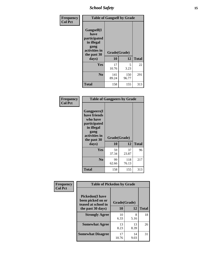*School Safety* **15**

| Frequency      | <b>Table of Gangself by Grade</b>                                                                 |                    |              |              |
|----------------|---------------------------------------------------------------------------------------------------|--------------------|--------------|--------------|
| <b>Col Pct</b> | Gangself(I<br>have<br>participated<br>in illegal<br>gang<br>activities in<br>the past 30<br>days) | Grade(Grade)<br>10 | 12           | <b>Total</b> |
|                | Yes                                                                                               | 17                 | 5            | 22           |
|                |                                                                                                   | 10.76              | 3.23         |              |
|                | N <sub>o</sub>                                                                                    | 141<br>89.24       | 150<br>96.77 | 291          |
|                | <b>Total</b>                                                                                      | 158                | 155          | 313          |

| Frequency<br><b>Col Pct</b> | <b>Table of Gangpeers by Grade</b>                                                                                             |                    |              |              |  |
|-----------------------------|--------------------------------------------------------------------------------------------------------------------------------|--------------------|--------------|--------------|--|
|                             | <b>Gangpeers</b> (I<br>have friends<br>who have<br>participated<br>in illegal<br>gang<br>activities in<br>the past 30<br>days) | Grade(Grade)<br>10 | 12           | <b>Total</b> |  |
|                             | <b>Yes</b>                                                                                                                     | 59<br>37.34        | 37<br>23.87  | 96           |  |
|                             | N <sub>0</sub>                                                                                                                 | 99<br>62.66        | 118<br>76.13 | 217          |  |
|                             | <b>Total</b>                                                                                                                   | 158                | 155          | 313          |  |

| Frequency      | <b>Table of Pickedon by Grade</b>                                                       |                    |                 |    |
|----------------|-----------------------------------------------------------------------------------------|--------------------|-----------------|----|
| <b>Col Pct</b> | <b>Pickedon(I have</b><br>been picked on or<br>teased at school in<br>the past 30 days) | Grade(Grade)<br>10 | <b>Total</b>    |    |
|                | <b>Strongly Agree</b>                                                                   | 10<br>6.33         | 12<br>8<br>5.16 | 18 |
|                | <b>Somewhat Agree</b>                                                                   | 13<br>8.23         | 13<br>8.39      | 26 |
|                | <b>Somewhat Disagree</b>                                                                | 17<br>10.76        | 14<br>9.03      | 31 |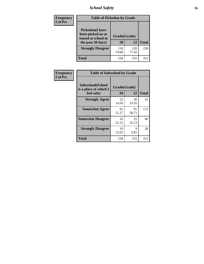## *School Safety* **16**

| <b>Frequency</b> |                                                                                         | <b>Table of Pickedon by Grade</b> |              |              |  |  |  |  |  |
|------------------|-----------------------------------------------------------------------------------------|-----------------------------------|--------------|--------------|--|--|--|--|--|
| <b>Col Pct</b>   | <b>Pickedon(I have</b><br>been picked on or<br>teased at school in<br>the past 30 days) | Grade(Grade)<br>10                | 12           | <b>Total</b> |  |  |  |  |  |
|                  | <b>Strongly Disagree</b>                                                                | 118<br>74.68                      | 120<br>77.42 | 238          |  |  |  |  |  |
|                  | Total                                                                                   | 158                               | 155          | 313          |  |  |  |  |  |

| Frequency      | <b>Table of Safeschool by Grade</b>                      |                    |             |              |  |  |  |  |  |
|----------------|----------------------------------------------------------|--------------------|-------------|--------------|--|--|--|--|--|
| <b>Col Pct</b> | Safeschool(School<br>is a place at which I<br>feel safe) | Grade(Grade)<br>10 | 12          | <b>Total</b> |  |  |  |  |  |
|                | <b>Strongly Agree</b>                                    | 23<br>14.56        | 30<br>19.35 | 53           |  |  |  |  |  |
|                | <b>Somewhat Agree</b>                                    | 81<br>51.27        | 91<br>58.71 | 172          |  |  |  |  |  |
|                | <b>Somewhat Disagree</b>                                 | 35<br>22.15        | 25<br>16.13 | 60           |  |  |  |  |  |
|                | <b>Strongly Disagree</b>                                 | 19<br>12.03        | 9<br>5.81   | 28           |  |  |  |  |  |
|                | <b>Total</b>                                             | 158                | 155         | 313          |  |  |  |  |  |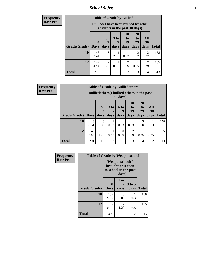*School Safety* **17**

| <b>Frequency</b> |              |                            | <b>Table of Grade by Bullied</b>                                              |                              |                                                                     |                               |                        |              |  |
|------------------|--------------|----------------------------|-------------------------------------------------------------------------------|------------------------------|---------------------------------------------------------------------|-------------------------------|------------------------|--------------|--|
| <b>Row Pct</b>   |              |                            | <b>Bullied</b> (I have been bullied by other<br>students in the past 30 days) |                              |                                                                     |                               |                        |              |  |
|                  | Grade(Grade) | $\mathbf 0$<br><b>Days</b> | 1 or<br>2<br>days                                                             | 3 <sub>to</sub><br>5<br>days | 10<br>$\mathbf{t}$ <sup><math>\mathbf{0}</math></sup><br>19<br>days | <b>20</b><br>to<br>29<br>days | All<br>30<br>days      | <b>Total</b> |  |
|                  |              |                            |                                                                               |                              |                                                                     |                               |                        |              |  |
|                  | 10           | 146<br>92.41               | 3<br>1.90                                                                     | 4<br>2.53                    | 0.63                                                                | $\mathfrak{D}$<br>1.27        | $\overline{2}$<br>1.27 | 158          |  |
|                  | 12           | 147<br>94.84               | $\mathfrak{D}$<br>1.29                                                        | 0.65                         | $\mathfrak{D}$<br>1.29                                              | 0.65                          | $\overline{2}$<br>1.29 | 155          |  |
|                  | <b>Total</b> | 293                        | 5                                                                             | 5                            | 3                                                                   | 3                             | 4                      | 313          |  |

| Frequency      |                     |                                                                         |                        |                         |                              | <b>Table of Grade by Bulliedothers</b> |                               |                   |              |
|----------------|---------------------|-------------------------------------------------------------------------|------------------------|-------------------------|------------------------------|----------------------------------------|-------------------------------|-------------------|--------------|
| <b>Row Pct</b> |                     | <b>Bulliedothers</b> (I bullied others in the past<br>$30 \text{ days}$ |                        |                         |                              |                                        |                               |                   |              |
|                | Grade(Grade)   Days | $\bf{0}$                                                                | 1 or<br>days           | 3 <sub>to</sub><br>days | 6 <sub>to</sub><br>9<br>days | <b>10</b><br>to<br>19<br>days          | <b>20</b><br>to<br>29<br>days | All<br>30<br>days | <b>Total</b> |
|                | 10                  | 143<br>90.51                                                            | 8<br>5.06              | 0.63                    | 0.63                         | 0.63                                   | 3<br>1.90                     | 0.63              | 158          |
|                | 12                  | 148<br>95.48                                                            | $\mathfrak{D}$<br>1.29 | 0.65                    | $\Omega$<br>0.00             | 2<br>1.29                              | 0.65                          | 0.65              | 155          |
|                | <b>Total</b>        | 291                                                                     | 10                     | $\overline{2}$          | 1                            | 3                                      | 4                             | 2                 | 313          |

| Frequency      | <b>Table of Grade by Weaponschool</b> |                                                                                 |                   |                  |              |
|----------------|---------------------------------------|---------------------------------------------------------------------------------|-------------------|------------------|--------------|
| <b>Row Pct</b> |                                       | <b>Weaponschool</b> (I<br>brought a weapon<br>to school in the past<br>30 days) |                   |                  |              |
|                | Grade(Grade)                          | $\bf{0}$<br><b>Days</b>                                                         | 1 or<br>2<br>days | $3$ to 5<br>days | <b>Total</b> |
|                | 10                                    | 157<br>99.37                                                                    | 0<br>0.00         | 0.63             | 158          |
|                | 12                                    | 152<br>98.06                                                                    | 2<br>1.29         | 0.65             | 155          |
|                | <b>Total</b>                          | 309                                                                             | $\overline{2}$    | 2                | 313          |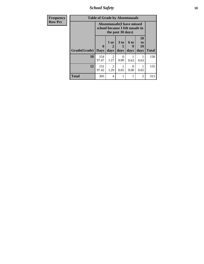*School Safety* **18**

| <b>Frequency</b> |              | <b>Table of Grade by Absentunsafe</b>                                |                   |              |                           |                        |              |  |  |
|------------------|--------------|----------------------------------------------------------------------|-------------------|--------------|---------------------------|------------------------|--------------|--|--|
| <b>Row Pct</b>   |              | <b>Absentunsafe(I have missed</b><br>school because I felt unsafe in |                   |              |                           |                        |              |  |  |
|                  | Grade(Grade) | 0<br><b>Days</b>                                                     | 1 or<br>2<br>days | 3 to<br>days | <b>6 to</b><br>9<br>days  | 10<br>to<br>19<br>days | <b>Total</b> |  |  |
|                  | 10           | 154<br>97.47                                                         | 2<br>1.27         | 0<br>0.00    | 0.63                      | 0.63                   | 158          |  |  |
|                  | 12           | 151<br>97.42                                                         | 2<br>1.29         | 0.65         | $\mathbf{\Omega}$<br>0.00 | 0.65                   | 155          |  |  |
|                  | <b>Total</b> | 305                                                                  | $\overline{4}$    |              | 1                         | 2                      | 313          |  |  |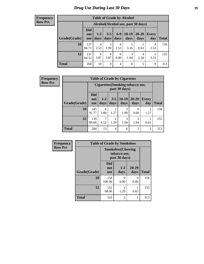### *Drug Use During Last 30 Days* **19**

#### **Frequency Row Pct**

| <b>Table of Grade by Alcohol</b> |                                 |                                    |                 |                  |                 |               |              |              |  |  |  |
|----------------------------------|---------------------------------|------------------------------------|-----------------|------------------|-----------------|---------------|--------------|--------------|--|--|--|
|                                  |                                 | Alcohol(Alcohol use, past 30 days) |                 |                  |                 |               |              |              |  |  |  |
| Grade(Grade)                     | <b>Did</b><br>not<br><b>use</b> | $1-2$<br>days                      | $3 - 5$<br>days | $6-9$<br>days    | $10-19$<br>days | 20-29<br>days | Every<br>day | <b>Total</b> |  |  |  |
| 10                               | 137<br>86.71                    | $\overline{4}$<br>2.53             | 3<br>1.90       | 4<br>2.53        | 5<br>3.16       | 0.63          | 4<br>2.53    | 158          |  |  |  |
| 12                               | 131<br>84.52                    | 6<br>3.87                          | 6<br>3.87       | $\theta$<br>0.00 | 3<br>1.94       | 4<br>2.58     | 5<br>3.23    | 155          |  |  |  |
| <b>Total</b>                     | 268                             | 10                                 | 9               | 4                | 8               | 5             | 9            | 313          |  |  |  |

| Frequency      |              |                                 |               |                        | <b>Table of Grade by Cigarettes</b>               |                   |                        |              |
|----------------|--------------|---------------------------------|---------------|------------------------|---------------------------------------------------|-------------------|------------------------|--------------|
| <b>Row Pct</b> |              |                                 |               |                        | Cigarettes (Smoking tobacco use,<br>past 30 days) |                   |                        |              |
|                | Grade(Grade) | <b>Did</b><br>not<br><b>use</b> | $1-2$<br>days | $3 - 5$<br>days        | $10-19$<br>days                                   | $20 - 29$<br>days | Every<br>day           | <b>Total</b> |
|                | 10           | 145<br>91.77                    | 6<br>3.80     | $\mathfrak{D}$<br>1.27 | 3<br>1.90                                         | $\Omega$<br>0.00  | $\overline{2}$<br>1.27 | 158          |
|                | 12           | 139<br>89.68                    | 7<br>4.52     | $\mathfrak{D}$<br>1.29 | 3<br>1.94                                         | 3<br>1.94         | 0.65                   | 155          |
|                | <b>Total</b> | 284                             | 13            | 4                      | 6                                                 | 3                 | 3                      | 313          |

| Frequency      |              | <b>Table of Grade by Smokeless</b> |                                                           |                   |              |  |  |
|----------------|--------------|------------------------------------|-----------------------------------------------------------|-------------------|--------------|--|--|
| <b>Row Pct</b> |              |                                    | <b>Smokeless(Chewing</b><br>tobacco use,<br>past 30 days) |                   |              |  |  |
|                | Grade(Grade) | <b>Did</b><br>not<br><b>use</b>    | $1 - 2$<br>days                                           | $20 - 29$<br>days | <b>Total</b> |  |  |
|                | 10           | 158<br>100.00                      | 0<br>0.00                                                 | 0<br>0.00         | 158          |  |  |
|                | 12           | 152<br>98.06                       | $\mathfrak{D}$<br>1.29                                    | 0.65              | 155          |  |  |
|                | <b>Total</b> | 310                                | 2                                                         |                   | 313          |  |  |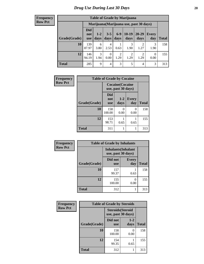#### **Frequency Row Pct**

| <b>Table of Grade by Marijuana</b> |                                 |                                         |                 |                        |                        |                        |                  |       |  |  |  |
|------------------------------------|---------------------------------|-----------------------------------------|-----------------|------------------------|------------------------|------------------------|------------------|-------|--|--|--|
|                                    |                                 | Marijuana (Marijuana use, past 30 days) |                 |                        |                        |                        |                  |       |  |  |  |
| Grade(Grade)                       | <b>Did</b><br>not<br><b>use</b> | $1 - 2$<br>days                         | $3 - 5$<br>days | $6 - 9$<br>days        | $10-19$<br>days        | 20-29<br>days          | Every<br>day     | Total |  |  |  |
| 10                                 | 139<br>87.97                    | 6<br>3.80                               | 4<br>2.53       | 0.63                   | 3<br>1.90              | $\mathfrak{D}$<br>1.27 | 3<br>1.90        | 158   |  |  |  |
| 12                                 | 146<br>94.19                    | 3<br>1.94                               | 0<br>0.00       | $\overline{2}$<br>1.29 | $\overline{c}$<br>1.29 | $\mathfrak{D}$<br>1.29 | $\Omega$<br>0.00 | 155   |  |  |  |
| <b>Total</b>                       | 285                             | 9                                       | 4               | 3                      | 5                      | 4                      | 3                | 313   |  |  |  |

| Frequency      |              | <b>Table of Grade by Cocaine</b>              |               |                     |              |  |  |  |  |  |  |  |
|----------------|--------------|-----------------------------------------------|---------------|---------------------|--------------|--|--|--|--|--|--|--|
| <b>Row Pct</b> |              | <b>Cocaine</b> (Cocaine<br>use, past 30 days) |               |                     |              |  |  |  |  |  |  |  |
|                | Grade(Grade) | <b>Did</b><br>not<br><b>use</b>               | $1-2$<br>days | <b>Every</b><br>day | <b>Total</b> |  |  |  |  |  |  |  |
|                | 10           | 158<br>100.00                                 | 0<br>0.00     | 0<br>0.00           | 158          |  |  |  |  |  |  |  |
|                | 12           | 153<br>98.71                                  | 0.65          | 0.65                | 155          |  |  |  |  |  |  |  |
|                | <b>Total</b> | 311                                           | 1             | 1                   | 313          |  |  |  |  |  |  |  |

| Frequency      |              | <b>Table of Grade by Inhalants</b> |                            |              |
|----------------|--------------|------------------------------------|----------------------------|--------------|
| <b>Row Pct</b> |              | use, past 30 days)                 | <b>Inhalants</b> (Inhalant |              |
|                | Grade(Grade) | Did not<br><b>use</b>              | <b>Every</b><br>day        | <b>Total</b> |
|                | 10           | 157<br>99.37                       | 0.63                       | 158          |
|                | 12           | 155<br>100.00                      | 0<br>0.00                  | 155          |
|                | <b>Total</b> | 312                                |                            | 313          |

| Frequency      |              | <b>Table of Grade by Steroids</b>              |                  |              |
|----------------|--------------|------------------------------------------------|------------------|--------------|
| <b>Row Pct</b> |              | <b>Steroids</b> (Steroid<br>use, past 30 days) |                  |              |
|                | Grade(Grade) | Did not<br><b>use</b>                          | $1 - 2$<br>days  | <b>Total</b> |
|                | 10           | 158<br>100.00                                  | $\theta$<br>0.00 | 158          |
|                | 12           | 154<br>99.35                                   | 0.65             | 155          |
|                | <b>Total</b> | 312                                            |                  | 313          |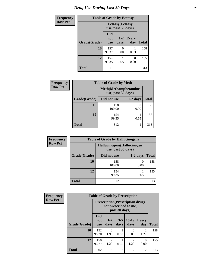## *Drug Use During Last 30 Days* **21**

| <b>Frequency</b> | <b>Table of Grade by Ecstasy</b> |                                               |                           |                     |              |
|------------------|----------------------------------|-----------------------------------------------|---------------------------|---------------------|--------------|
| <b>Row Pct</b>   |                                  | <b>Ecstasy</b> (Ecstasy<br>use, past 30 days) |                           |                     |              |
|                  | Grade(Grade)                     | <b>Did</b><br>not<br><b>use</b>               | $1 - 2$<br>days           | <b>Every</b><br>day | <b>Total</b> |
|                  | 10                               | 157<br>99.37                                  | $\mathbf{\Omega}$<br>0.00 | 0.63                | 158          |
|                  | 12                               | 154<br>99.35                                  | 0.65                      | 0<br>0.00           | 155          |
|                  | <b>Total</b>                     | 311                                           |                           |                     | 313          |

| <b>Frequency</b> | <b>Table of Grade by Meth</b> |                                                    |            |              |  |
|------------------|-------------------------------|----------------------------------------------------|------------|--------------|--|
| <b>Row Pct</b>   |                               | <b>Meth</b> (Methamphetamine<br>use, past 30 days) |            |              |  |
|                  | Grade(Grade)                  | Did not use                                        | $1-2$ days | <b>Total</b> |  |
|                  | 10                            | 158<br>100.00                                      | 0.00       | 158          |  |
|                  | 12                            | 154<br>99.35                                       | 0.65       | 155          |  |
|                  | <b>Total</b>                  | 312                                                |            | 313          |  |

| <b>Frequency</b> | <b>Table of Grade by Hallucinogens</b> |                                                   |            |              |  |
|------------------|----------------------------------------|---------------------------------------------------|------------|--------------|--|
| <b>Row Pct</b>   |                                        | Hallucinogens (Hallucinogen<br>use, past 30 days) |            |              |  |
|                  | Grade(Grade)                           | Did not use                                       | $1-2$ days | <b>Total</b> |  |
|                  | 10                                     | 158<br>100.00                                     | 0.00       | 158          |  |
|                  | 12                                     | 154<br>99.35                                      | 0.65       | 155          |  |
|                  | <b>Total</b>                           | 312                                               |            | 313          |  |

| Frequency      | <b>Table of Grade by Prescription</b> |                                                                                    |                        |                 |                        |                        |              |
|----------------|---------------------------------------|------------------------------------------------------------------------------------|------------------------|-----------------|------------------------|------------------------|--------------|
| <b>Row Pct</b> |                                       | <b>Prescription</b> (Prescription drugs)<br>not prescribed to me,<br>past 30 days) |                        |                 |                        |                        |              |
|                | Grade(Grade)                          | <b>Did</b><br>not<br><b>use</b>                                                    | $1 - 2$<br>days        | $3 - 5$<br>days | $10-19$<br>days        | <b>Every</b><br>day    | <b>Total</b> |
|                | 10                                    | 152<br>96.20                                                                       | $\mathcal{R}$<br>1.90  | 0.63            | 0<br>0.00              | $\mathfrak{D}$<br>1.27 | 158          |
|                | 12                                    | 150<br>96.77                                                                       | $\overline{2}$<br>1.29 | 0.65            | $\overline{2}$<br>1.29 | 0<br>0.00              | 155          |
|                | <b>Total</b>                          | 302                                                                                | 5                      | $\overline{2}$  | $\overline{2}$         | 2                      | 313          |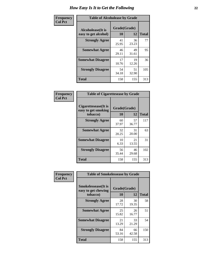| Frequency      | <b>Table of Alcoholease by Grade</b>              |                    |             |              |
|----------------|---------------------------------------------------|--------------------|-------------|--------------|
| <b>Col Pct</b> | <b>Alcoholease</b> (It is<br>easy to get alcohol) | Grade(Grade)<br>10 | 12          | <b>Total</b> |
|                | <b>Strongly Agree</b>                             | 41<br>25.95        | 36<br>23.23 | 77           |
|                | <b>Somewhat Agree</b>                             | 46<br>29.11        | 49<br>31.61 | 95           |
|                | <b>Somewhat Disagree</b>                          | 17<br>10.76        | 19<br>12.26 | 36           |
|                | <b>Strongly Disagree</b>                          | 54<br>34.18        | 51<br>32.90 | 105          |
|                | <b>Total</b>                                      | 158                | 155         | 313          |

| Frequency      | <b>Table of Cigarettesease by Grade</b>                  |                    |             |              |
|----------------|----------------------------------------------------------|--------------------|-------------|--------------|
| <b>Col Pct</b> | Cigarettesease (It is<br>easy to get smoking<br>tobacco) | Grade(Grade)<br>10 | 12          | <b>Total</b> |
|                | <b>Strongly Agree</b>                                    | 60<br>37.97        | 57<br>36.77 | 117          |
|                | <b>Somewhat Agree</b>                                    | 32<br>20.25        | 31<br>20.00 | 63           |
|                | <b>Somewhat Disagree</b>                                 | 10<br>6.33         | 21<br>13.55 | 31           |
|                | <b>Strongly Disagree</b>                                 | 56<br>35.44        | 46<br>29.68 | 102          |
|                | <b>Total</b>                                             | 158                | 155         | 313          |

| Frequency      | <b>Table of Smokelessease by Grade</b>             |              |             |              |  |
|----------------|----------------------------------------------------|--------------|-------------|--------------|--|
| <b>Col Pct</b> | <b>Smokelessease</b> (It is<br>easy to get chewing | Grade(Grade) |             |              |  |
|                | tobacco)                                           | 10           | 12          | <b>Total</b> |  |
|                | <b>Strongly Agree</b>                              | 28<br>17.72  | 30<br>19.35 | 58           |  |
|                | <b>Somewhat Agree</b>                              | 25<br>15.82  | 26<br>16.77 | 51           |  |
|                | <b>Somewhat Disagree</b>                           | 21<br>13.29  | 33<br>21.29 | 54           |  |
|                | <b>Strongly Disagree</b>                           | 84<br>53.16  | 66<br>42.58 | 150          |  |
|                | <b>Total</b>                                       | 158          | 155         | 313          |  |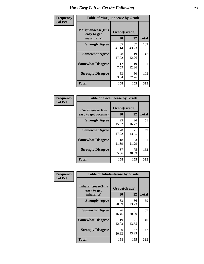| Frequency      | <b>Table of Marijuanaease by Grade</b>            |                           |             |              |
|----------------|---------------------------------------------------|---------------------------|-------------|--------------|
| <b>Col Pct</b> | Marijuanaease (It is<br>easy to get<br>marijuana) | Grade(Grade)<br><b>10</b> | 12          | <b>Total</b> |
|                | <b>Strongly Agree</b>                             | 65<br>41.14               | 67<br>43.23 | 132          |
|                | <b>Somewhat Agree</b>                             | 28<br>17.72               | 19<br>12.26 | 47           |
|                | <b>Somewhat Disagree</b>                          | 12<br>7.59                | 19<br>12.26 | 31           |
|                | <b>Strongly Disagree</b>                          | 53<br>33.54               | 50<br>32.26 | 103          |
|                | <b>Total</b>                                      | 158                       | 155         | 313          |

| <b>Table of Cocaineease by Grade</b> |              |             |              |  |  |
|--------------------------------------|--------------|-------------|--------------|--|--|
| <b>Cocaineease</b> (It is            | Grade(Grade) |             |              |  |  |
| easy to get cocaine)                 | 10           | 12          | <b>Total</b> |  |  |
| <b>Strongly Agree</b>                | 25<br>15.82  | 26<br>16.77 | 51           |  |  |
| <b>Somewhat Agree</b>                | 28<br>17.72  | 21<br>13.55 | 49           |  |  |
| <b>Somewhat Disagree</b>             | 18<br>11.39  | 33<br>21.29 | 51           |  |  |
| <b>Strongly Disagree</b>             | 87<br>55.06  | 75<br>48.39 | 162          |  |  |
| <b>Total</b>                         | 158          | 155         | 313          |  |  |

| Frequency      | <b>Table of Inhalantsease by Grade</b>                   |                    |             |              |  |
|----------------|----------------------------------------------------------|--------------------|-------------|--------------|--|
| <b>Col Pct</b> | <b>Inhalantsease</b> (It is<br>easy to get<br>inhalants) | Grade(Grade)<br>10 | 12          | <b>Total</b> |  |
|                | <b>Strongly Agree</b>                                    | 33<br>20.89        | 36<br>23.23 | 69           |  |
|                | <b>Somewhat Agree</b>                                    | 26<br>16.46        | 31<br>20.00 | 57           |  |
|                | <b>Somewhat Disagree</b>                                 | 19<br>12.03        | 21<br>13.55 | 40           |  |
|                | <b>Strongly Disagree</b>                                 | 80<br>50.63        | 67<br>43.23 | 147          |  |
|                | <b>Total</b>                                             | 158                | 155         | 313          |  |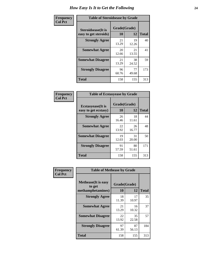| Frequency      | <b>Table of Steroidsease by Grade</b>               |                    |              |     |  |  |  |  |
|----------------|-----------------------------------------------------|--------------------|--------------|-----|--|--|--|--|
| <b>Col Pct</b> | <b>Steroidsease</b> (It is<br>easy to get steroids) | Grade(Grade)<br>10 | <b>Total</b> |     |  |  |  |  |
|                | <b>Strongly Agree</b>                               | 21<br>13.29        | 19<br>12.26  | 40  |  |  |  |  |
|                | <b>Somewhat Agree</b>                               | 20<br>12.66        | 21<br>13.55  | 41  |  |  |  |  |
|                | <b>Somewhat Disagree</b>                            | 21<br>13.29        | 38<br>24.52  | 59  |  |  |  |  |
|                | <b>Strongly Disagree</b>                            | 96<br>60.76        | 77<br>49.68  | 173 |  |  |  |  |
|                | <b>Total</b>                                        | 158                | 155          | 313 |  |  |  |  |

| Frequency      | <b>Table of Ecstasyease by Grade</b>              |                    |             |              |  |  |  |  |
|----------------|---------------------------------------------------|--------------------|-------------|--------------|--|--|--|--|
| <b>Col Pct</b> | <b>Ecstasyease</b> (It is<br>easy to get ecstasy) | Grade(Grade)<br>10 | 12          | <b>Total</b> |  |  |  |  |
|                | <b>Strongly Agree</b>                             | 26<br>16.46        | 18<br>11.61 | 44           |  |  |  |  |
|                | <b>Somewhat Agree</b>                             | 22<br>13.92        | 26<br>16.77 | 48           |  |  |  |  |
|                | <b>Somewhat Disagree</b>                          | 19<br>12.03        | 31<br>20.00 | 50           |  |  |  |  |
|                | <b>Strongly Disagree</b>                          | 91<br>57.59        | 80<br>51.61 | 171          |  |  |  |  |
|                | <b>Total</b>                                      | 158                | 155         | 313          |  |  |  |  |

| <b>Frequency</b> | <b>Table of Methease by Grade</b>                          |                    |             |              |  |  |  |
|------------------|------------------------------------------------------------|--------------------|-------------|--------------|--|--|--|
| <b>Col Pct</b>   | <b>Methease</b> (It is easy<br>to get<br>methamphetamines) | Grade(Grade)<br>10 | 12          | <b>Total</b> |  |  |  |
|                  | <b>Strongly Agree</b>                                      | 18<br>11.39        | 17<br>10.97 | 35           |  |  |  |
|                  | <b>Somewhat Agree</b>                                      | 21<br>13.29        | 16<br>10.32 | 37           |  |  |  |
|                  | <b>Somewhat Disagree</b>                                   | 22<br>13.92        | 35<br>22.58 | 57           |  |  |  |
|                  | <b>Strongly Disagree</b>                                   | 97<br>61.39        | 87<br>56.13 | 184          |  |  |  |
|                  | <b>Total</b>                                               | 158                | 155         | 313          |  |  |  |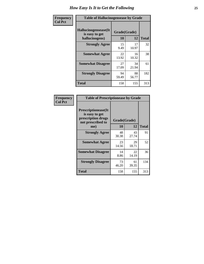| Frequency      | <b>Table of Hallucinogensease by Grade</b>               |                    |             |              |  |  |  |
|----------------|----------------------------------------------------------|--------------------|-------------|--------------|--|--|--|
| <b>Col Pct</b> | Hallucinogensease(It<br>is easy to get<br>hallucinogens) | Grade(Grade)<br>10 | 12          | <b>Total</b> |  |  |  |
|                | <b>Strongly Agree</b>                                    | 15<br>9.49         | 17<br>10.97 | 32           |  |  |  |
|                | <b>Somewhat Agree</b>                                    | 22<br>13.92        | 16<br>10.32 | 38           |  |  |  |
|                | <b>Somewhat Disagree</b>                                 | 27<br>17.09        | 34<br>21.94 | 61           |  |  |  |
|                | <b>Strongly Disagree</b>                                 | 94<br>59.49        | 88<br>56.77 | 182          |  |  |  |
|                | <b>Total</b>                                             | 158                | 155         | 313          |  |  |  |

| <b>Table of Prescriptionease by Grade</b>                                                       |                    |             |              |  |  |  |  |
|-------------------------------------------------------------------------------------------------|--------------------|-------------|--------------|--|--|--|--|
| <b>Prescriptionease</b> (It<br>is easy to get<br>prescription drugs<br>not prescribed to<br>me) | Grade(Grade)<br>10 | 12          | <b>Total</b> |  |  |  |  |
| <b>Strongly Agree</b>                                                                           | 48<br>30.38        | 43<br>27.74 | 91           |  |  |  |  |
| <b>Somewhat Agree</b>                                                                           | 23<br>14.56        | 29<br>18.71 | 52           |  |  |  |  |
| <b>Somewhat Disagree</b>                                                                        | 14<br>8.86         | 22<br>14.19 | 36           |  |  |  |  |
| <b>Strongly Disagree</b>                                                                        | 73<br>46.20        | 61<br>39.35 | 134          |  |  |  |  |
| Total                                                                                           | 158                | 155         | 313          |  |  |  |  |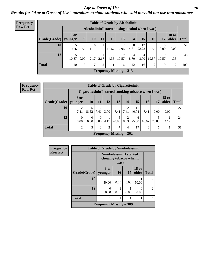#### *Age at Onset of Use* **26** *Results for "Age at Onset of Use" questions exclude students who said they did not use that substance*

| Frequency      |                        |             |                  |            |      |            | <b>Table of Grade by Alcoholinit</b> |            |                                                  |                 |                  |                       |              |
|----------------|------------------------|-------------|------------------|------------|------|------------|--------------------------------------|------------|--------------------------------------------------|-----------------|------------------|-----------------------|--------------|
| <b>Row Pct</b> |                        |             |                  |            |      |            |                                      |            | Alcoholinit (I started using alcohol when I was) |                 |                  |                       |              |
|                | Grade(Grade)   younger | <b>8 or</b> | 9                | 10         | 11   | 12         | 13                                   | 14         | 15                                               | 16 <sup>1</sup> | 17               | <b>18 or</b><br>older | <b>Total</b> |
|                | 10                     | 9.26        | 3<br>5.56        | 6<br>11.11 | 1.85 | 9<br>16.67 | 7<br>12.96                           | 8<br>14.81 | 12<br>22.22                                      | 5.56            | $\theta$<br>0.00 | $\Omega$<br>0.00      | 54           |
|                | 12                     | 10.87       | $\Omega$<br>0.00 | 2.17       | 2.17 | 2<br>4.35  | 9<br>19.57                           | 4<br>8.70  | 4<br>8.70                                        | 9<br>19.57      | 9<br>19.57       | 4.35                  | 46           |
|                | <b>Total</b>           | 10          | 3                | 7          | 2    | 11         | 16                                   | 12         | 16                                               | 12              | 9                | 2                     | 100          |
|                |                        |             |                  |            |      |            | Frequency Missing $= 213$            |            |                                                  |                 |                  |                       |              |

**Frequency Row Pct**

|              | <b>Table of Grade by Cigarettesinit</b> |           |                  |                |                           |           |                                                      |            |       |                       |              |
|--------------|-----------------------------------------|-----------|------------------|----------------|---------------------------|-----------|------------------------------------------------------|------------|-------|-----------------------|--------------|
|              |                                         |           |                  |                |                           |           | Cigarettesinit(I started smoking tobacco when I was) |            |       |                       |              |
| Grade(Grade) | 8 or<br>vounger                         | <b>10</b> | 11               | 12             | <b>13</b>                 | 14        | <b>15</b>                                            | <b>16</b>  | 17    | <b>18 or</b><br>older | <b>Total</b> |
| 10           | $\overline{2}$<br>7.41                  | 18.52     | 2<br>7.41        | 3.70           | $\overline{2}$<br>7.41    | 2<br>7.41 | 11<br>40.74                                          | 2<br>7.41  | 0.00  | 0.00                  | 27           |
| 12           | $\mathbf{0}$<br>0.00                    | 0<br>0.00 | $\Omega$<br>0.00 | 4.17           | 5<br>20.83                | 2<br>8.33 | 6<br>25.00                                           | 4<br>16.67 | 20.83 | 4.17                  | 24           |
| <b>Total</b> | $\overline{2}$                          | 5         | $\overline{2}$   | $\overline{2}$ | 7                         | 4         | 17                                                   | 6          | 5     |                       | 51           |
|              |                                         |           |                  |                | Frequency Missing $= 262$ |           |                                                      |            |       |                       |              |

| Frequency      | <b>Table of Grade by Smokelessinit</b> |                           |                                                                  |                  |                       |                |  |  |
|----------------|----------------------------------------|---------------------------|------------------------------------------------------------------|------------------|-----------------------|----------------|--|--|
| <b>Row Pct</b> |                                        |                           | <b>Smokelessinit(I started</b><br>chewing tobacco when I<br>was) |                  |                       |                |  |  |
|                | Grade(Grade)                           | 8 or<br>younger           | <b>16</b>                                                        | 17               | <b>18 or</b><br>older | <b>Total</b>   |  |  |
|                | 10                                     | 50.00                     | 0<br>0.00                                                        | $\Omega$<br>0.00 | 50.00                 | $\mathfrak{D}$ |  |  |
|                | 12                                     | 0<br>0.00                 | 50.00                                                            | 50.00            | 0<br>0.00             | $\overline{c}$ |  |  |
|                | <b>Total</b>                           | 1                         |                                                                  |                  |                       | $\overline{4}$ |  |  |
|                |                                        | Frequency Missing $=$ 309 |                                                                  |                  |                       |                |  |  |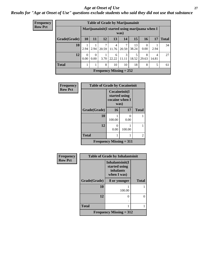#### *Age at Onset of Use* **27**

*Results for "Age at Onset of Use" questions exclude students who said they did not use that substance*

| Frequency      | <b>Table of Grade by Marijuanainit</b>                  |                  |                  |       |            |            |             |                  |            |              |
|----------------|---------------------------------------------------------|------------------|------------------|-------|------------|------------|-------------|------------------|------------|--------------|
| <b>Row Pct</b> | Marijuanainit (I started using marijuana when I<br>was) |                  |                  |       |            |            |             |                  |            |              |
|                | Grade(Grade)                                            | 10               | 11               | 12    | 13         | 14         | 15          | 16               | 17         | <b>Total</b> |
|                | 10                                                      | 2.94             | 2.94             | 20.59 | 4<br>11.76 | 20.59      | 13<br>38.24 | $\Omega$<br>0.00 | 2.94       | 34           |
|                | 12                                                      | $\Omega$<br>0.00 | $\Omega$<br>0.00 | 3.70  | 6<br>22.22 | 3<br>11.11 | 5<br>18.52  | 8<br>29.63       | 4<br>14.81 | 27           |
|                | <b>Total</b>                                            |                  |                  | 8     | 10         | 10         | 18          | 8                | 5          | 61           |
|                | Frequency Missing $= 252$                               |                  |                  |       |            |            |             |                  |            |              |

| Frequency      | <b>Table of Grade by Cocaineinit</b> |                                                          |           |              |  |  |  |  |
|----------------|--------------------------------------|----------------------------------------------------------|-----------|--------------|--|--|--|--|
| <b>Row Pct</b> |                                      | Cocaineinit(I<br>started using<br>cocaine when I<br>was) |           |              |  |  |  |  |
|                | Grade(Grade)                         | 16                                                       | 17        | <b>Total</b> |  |  |  |  |
|                | 10                                   | 100.00                                                   | 0<br>0.00 |              |  |  |  |  |
|                | 12                                   | 0<br>0.00                                                | 100.00    |              |  |  |  |  |
|                | <b>Total</b>                         |                                                          |           | 2            |  |  |  |  |
|                | <b>Frequency Missing = 311</b>       |                                                          |           |              |  |  |  |  |

| Frequency      | <b>Table of Grade by Inhalantsinit</b> |                                                              |              |  |  |  |  |
|----------------|----------------------------------------|--------------------------------------------------------------|--------------|--|--|--|--|
| <b>Row Pct</b> |                                        | Inhalantsinit(I<br>started using<br>inhalants<br>when I was) |              |  |  |  |  |
|                | Grade(Grade)                           | 8 or younger                                                 | <b>Total</b> |  |  |  |  |
|                | 10                                     | 100.00                                                       |              |  |  |  |  |
|                | 12                                     | $\mathbf{\Omega}$                                            | 0            |  |  |  |  |
|                | <b>Total</b>                           |                                                              |              |  |  |  |  |
|                |                                        | Frequency Missing $= 312$                                    |              |  |  |  |  |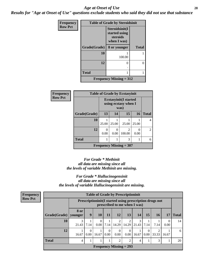#### *Age at Onset of Use* **28**

*Results for "Age at Onset of Use" questions exclude students who said they did not use that substance*

| Frequency      | <b>Table of Grade by Steroidsinit</b> |                                                            |              |  |  |  |  |
|----------------|---------------------------------------|------------------------------------------------------------|--------------|--|--|--|--|
| <b>Row Pct</b> |                                       | Steroidsinit(I<br>started using<br>steroids<br>when I was) |              |  |  |  |  |
|                | Grade(Grade)                          | 8 or younger                                               | <b>Total</b> |  |  |  |  |
|                | 10                                    | 100.00                                                     |              |  |  |  |  |
|                | 12                                    | ∩                                                          | $\theta$     |  |  |  |  |
|                | <b>Total</b>                          | 1                                                          | 1            |  |  |  |  |
|                |                                       | <b>Frequency Missing = 312</b>                             |              |  |  |  |  |

| <b>Frequency</b> | <b>Table of Grade by Ecstasyinit</b> |                                                               |           |                                       |           |              |
|------------------|--------------------------------------|---------------------------------------------------------------|-----------|---------------------------------------|-----------|--------------|
| <b>Row Pct</b>   |                                      | <b>Ecstasyinit</b> (I started<br>using ecstasy when I<br>was) |           |                                       |           |              |
|                  | Grade(Grade)                         | 13                                                            | 14        | 15                                    | 16        | <b>Total</b> |
|                  | 10                                   | 25.00                                                         | 25.00     | 25.00                                 | 25.00     | 4            |
|                  | 12                                   | 0<br>0.00                                                     | 0<br>0.00 | $\mathcal{D}_{\mathcal{L}}$<br>100.00 | ∩<br>0.00 | 2            |
|                  | <b>Total</b>                         |                                                               |           | 3                                     |           | 6            |
|                  |                                      |                                                               |           | Frequency Missing $= 307$             |           |              |

#### *For Grade \* Methinit all data are missing since all the levels of variable Methinit are missing.*

#### *For Grade \* Hallucinogensinit all data are missing since all the levels of variable Hallucinogensinit are missing.*

| <b>Frequency</b> | <b>Table of Grade by Prescriptioninit</b> |       |                                                                                         |          |                  |            |                           |            |                  |           |                  |              |
|------------------|-------------------------------------------|-------|-----------------------------------------------------------------------------------------|----------|------------------|------------|---------------------------|------------|------------------|-----------|------------------|--------------|
| <b>Row Pct</b>   |                                           |       | Prescriptioninit(I started using prescription drugs not<br>prescribed to me when I was) |          |                  |            |                           |            |                  |           |                  |              |
|                  | $Grade(Grade)$ younger                    | 8 or  | 9                                                                                       | 10       | 11               | 12         | 13                        | 14         | 15               | <b>16</b> | 17               | <b>Total</b> |
|                  | 10                                        | 21.43 | 7.14                                                                                    | $\Omega$ | $0.00$   7.14    | 2<br>14.29 | 14.29                     | 3<br>21.43 | 7.14             | 7.14      | $\Omega$<br>0.00 | 14           |
|                  | 12                                        | 16.67 | 0.00                                                                                    | 16.67    | $\Omega$<br>0.00 | 0<br>0.00  | 0.00                      | 16.67      | $\Omega$<br>0.00 | 33.33     | 16.67            | 6            |
|                  | <b>Total</b>                              | 4     |                                                                                         |          |                  | 2          | 2                         | 4          |                  | 3         |                  | 20           |
|                  |                                           |       |                                                                                         |          |                  |            | Frequency Missing $= 293$ |            |                  |           |                  |              |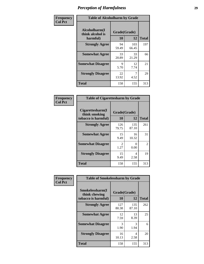| Frequency      | <b>Table of Alcoholharm by Grade</b>          |                    |              |              |
|----------------|-----------------------------------------------|--------------------|--------------|--------------|
| <b>Col Pct</b> | Alcoholharm(I<br>think alcohol is<br>harmful) | Grade(Grade)<br>10 | 12           | <b>Total</b> |
|                | <b>Strongly Agree</b>                         | 94<br>59.49        | 103<br>66.45 | 197          |
|                | <b>Somewhat Agree</b>                         | 33<br>20.89        | 33<br>21.29  | 66           |
|                | <b>Somewhat Disagree</b>                      | 9<br>5.70          | 12<br>7.74   | 21           |
|                | <b>Strongly Disagree</b>                      | 22<br>13.92        | 4.52         | 29           |
|                | <b>Total</b>                                  | 158                | 155          | 313          |

| <b>Table of Cigarettesharm by Grade</b>                  |                    |                           |                |
|----------------------------------------------------------|--------------------|---------------------------|----------------|
| Cigarettesharm(I<br>think smoking<br>tobacco is harmful) | Grade(Grade)<br>10 | 12                        | <b>Total</b>   |
| <b>Strongly Agree</b>                                    | 126<br>79.75       | 135<br>87.10              | 261            |
| <b>Somewhat Agree</b>                                    | 15<br>9.49         | 16<br>10.32               | 31             |
| <b>Somewhat Disagree</b>                                 | 2<br>1.27          | $\mathbf{\Omega}$<br>0.00 | $\mathfrak{D}$ |
| <b>Strongly Disagree</b>                                 | 15<br>9.49         | 4<br>2.58                 | 19             |
| <b>Total</b>                                             | 158                | 155                       | 313            |

| Frequency      |                                                         | <b>Table of Smokelessharm by Grade</b> |              |              |  |  |
|----------------|---------------------------------------------------------|----------------------------------------|--------------|--------------|--|--|
| <b>Col Pct</b> | Smokelessharm(I<br>think chewing<br>tobacco is harmful) | Grade(Grade)<br>10                     | 12           | <b>Total</b> |  |  |
|                | <b>Strongly Agree</b>                                   | 127<br>80.38                           | 135<br>87.10 | 262          |  |  |
|                | <b>Somewhat Agree</b>                                   | 12<br>7.59                             | 13<br>8.39   | 25           |  |  |
|                | <b>Somewhat Disagree</b>                                | 3<br>1.90                              | 3<br>1.94    | 6            |  |  |
|                | <b>Strongly Disagree</b>                                | 16<br>10.13                            | 4<br>2.58    | 20           |  |  |
|                | <b>Total</b>                                            | 158                                    | 155          | 313          |  |  |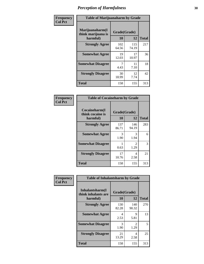| Frequency      |                                                   | <b>Table of Marijuanaharm by Grade</b> |              |              |  |  |
|----------------|---------------------------------------------------|----------------------------------------|--------------|--------------|--|--|
| <b>Col Pct</b> | Marijuanaharm(I<br>think marijuana is<br>harmful) | Grade(Grade)<br>10                     | 12           | <b>Total</b> |  |  |
|                | <b>Strongly Agree</b>                             | 102<br>64.56                           | 115<br>74.19 | 217          |  |  |
|                | <b>Somewhat Agree</b>                             | 19<br>12.03                            | 17<br>10.97  | 36           |  |  |
|                | <b>Somewhat Disagree</b>                          | 4.43                                   | 11<br>7.10   | 18           |  |  |
|                | <b>Strongly Disagree</b>                          | 30<br>18.99                            | 12<br>7.74   | 42           |  |  |
|                | Total                                             | 158                                    | 155          | 313          |  |  |

| <b>Table of Cocaineharm by Grade</b>          |                    |                        |     |  |  |  |  |
|-----------------------------------------------|--------------------|------------------------|-----|--|--|--|--|
| Cocaineharm(I<br>think cocaine is<br>harmful) | Grade(Grade)<br>10 | <b>Total</b>           |     |  |  |  |  |
| <b>Strongly Agree</b>                         | 137<br>86.71       | 146<br>94.19           | 283 |  |  |  |  |
| <b>Somewhat Agree</b>                         | 3<br>1.90          | 3<br>1.94              | 6   |  |  |  |  |
| <b>Somewhat Disagree</b>                      | 0.63               | $\mathfrak{D}$<br>1.29 | 3   |  |  |  |  |
| <b>Strongly Disagree</b>                      | 17<br>10.76        | 4<br>2.58              | 21  |  |  |  |  |
| <b>Total</b>                                  | 158                | 155                    | 313 |  |  |  |  |

| Frequency      | <b>Table of Inhalantsharm by Grade</b>             |                    |              |              |
|----------------|----------------------------------------------------|--------------------|--------------|--------------|
| <b>Col Pct</b> | Inhalantsharm(I<br>think inhalants are<br>harmful) | Grade(Grade)<br>10 | <b>12</b>    | <b>Total</b> |
|                | <b>Strongly Agree</b>                              | 130<br>82.28       | 140<br>90.32 | 270          |
|                | <b>Somewhat Agree</b>                              | 4<br>2.53          | 9<br>5.81    | 13           |
|                | <b>Somewhat Disagree</b>                           | 3<br>1.90          | 2<br>1.29    | 5            |
|                | <b>Strongly Disagree</b>                           | 21<br>13.29        | 4<br>2.58    | 25           |
|                | <b>Total</b>                                       | 158                | 155          | 313          |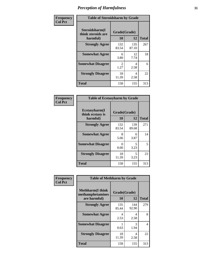| Frequency      | <b>Table of Steroidsharm by Grade</b>            |                        |              |              |
|----------------|--------------------------------------------------|------------------------|--------------|--------------|
| <b>Col Pct</b> | Steroidsharm(I<br>think steroids are<br>harmful) | Grade(Grade)<br>10     | 12           | <b>Total</b> |
|                | <b>Strongly Agree</b>                            | 132<br>83.54           | 135<br>87.10 | 267          |
|                | <b>Somewhat Agree</b>                            | 6<br>3.80              | 12<br>7.74   | 18           |
|                | <b>Somewhat Disagree</b>                         | $\mathfrak{D}$<br>1.27 | 4<br>2.58    | 6            |
|                | <b>Strongly Disagree</b>                         | 18<br>11.39            | 4<br>2.58    | 22           |
|                | <b>Total</b>                                     | 158                    | 155          | 313          |

| <b>Table of Ecstasyharm by Grade</b>          |                    |              |              |  |  |  |
|-----------------------------------------------|--------------------|--------------|--------------|--|--|--|
| Ecstasyharm(I<br>think ecstasy is<br>harmful) | Grade(Grade)<br>10 | 12           | <b>Total</b> |  |  |  |
| <b>Strongly Agree</b>                         | 132<br>83.54       | 139<br>89.68 | 271          |  |  |  |
| <b>Somewhat Agree</b>                         | 8<br>5.06          | 6<br>3.87    | 14           |  |  |  |
| <b>Somewhat Disagree</b>                      | 0<br>0.00          | 5<br>3.23    | 5            |  |  |  |
| <b>Strongly Disagree</b>                      | 18<br>11.39        | 5<br>3.23    | 23           |  |  |  |
| Total                                         | 158                | 155          | 313          |  |  |  |

| Frequency      | <b>Table of Methharm by Grade</b>                            |                    |              |              |  |  |
|----------------|--------------------------------------------------------------|--------------------|--------------|--------------|--|--|
| <b>Col Pct</b> | <b>Methharm</b> (I think<br>methamphetamines<br>are harmful) | Grade(Grade)<br>10 | 12           | <b>Total</b> |  |  |
|                | <b>Strongly Agree</b>                                        | 135<br>85.44       | 144<br>92.90 | 279          |  |  |
|                | <b>Somewhat Agree</b>                                        | 4<br>2.53          | 4<br>2.58    | 8            |  |  |
|                | <b>Somewhat Disagree</b>                                     | 0.63               | 3<br>1.94    | 4            |  |  |
|                | <b>Strongly Disagree</b>                                     | 18<br>11.39        | 4<br>2.58    | 22           |  |  |
|                | <b>Total</b>                                                 | 158                | 155          | 313          |  |  |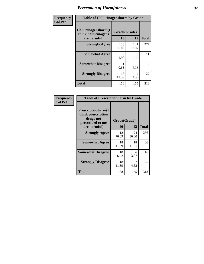| Frequency | <b>Table of Hallucinogensharm by Grade</b>                 |                    |                       |              |
|-----------|------------------------------------------------------------|--------------------|-----------------------|--------------|
| Col Pct   | Hallucinogensharm(I<br>think hallucinogens<br>are harmful) | Grade(Grade)<br>10 | 12                    | <b>Total</b> |
|           | <b>Strongly Agree</b>                                      | 136<br>86.08       | 141<br>90.97          | 277          |
|           | <b>Somewhat Agree</b>                                      | 3<br>1.90          | 8<br>5.16             | 11           |
|           | <b>Somewhat Disagree</b>                                   | 0.63               | $\mathcal{L}$<br>1.29 | 3            |
|           | <b>Strongly Disagree</b>                                   | 18<br>11.39        | 4<br>2.58             | 22           |
|           | <b>Total</b>                                               | 158                | 155                   | 313          |

| <b>Table of Prescriptionharm by Grade</b>                                         |              |              |              |  |  |  |
|-----------------------------------------------------------------------------------|--------------|--------------|--------------|--|--|--|
| <b>Prescriptionharm</b> (I<br>think prescription<br>drugs not<br>prescribed to me | Grade(Grade) |              |              |  |  |  |
| are harmful)                                                                      | 10           | 12           | <b>Total</b> |  |  |  |
| <b>Strongly Agree</b>                                                             | 112<br>70.89 | 124<br>80.00 | 236          |  |  |  |
| <b>Somewhat Agree</b>                                                             | 18<br>11.39  | 18<br>11.61  | 36           |  |  |  |
| <b>Somewhat Disagree</b>                                                          | 10<br>6.33   | 6<br>3.87    | 16           |  |  |  |
| <b>Strongly Disagree</b>                                                          | 18<br>11.39  | 7<br>4.52    | 25           |  |  |  |
| <b>Total</b>                                                                      | 158          | 155          | 313          |  |  |  |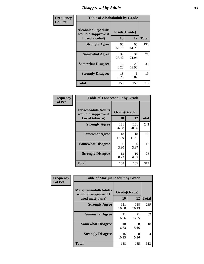### *Disapproval by Adults* **33**

| Frequency      | <b>Table of Alcoholadult by Grade</b>                                 |                    |             |              |
|----------------|-----------------------------------------------------------------------|--------------------|-------------|--------------|
| <b>Col Pct</b> | <b>Alcoholadult</b> (Adults<br>would disapprove if<br>I used alcohol) | Grade(Grade)<br>10 | 12          | <b>Total</b> |
|                | <b>Strongly Agree</b>                                                 | 95<br>60.13        | 95<br>61.29 | 190          |
|                | <b>Somewhat Agree</b>                                                 | 37<br>23.42        | 34<br>21.94 | 71           |
|                | <b>Somewhat Disagree</b>                                              | 13<br>8.23         | 20<br>12.90 | 33           |
|                | <b>Strongly Disagree</b>                                              | 13<br>8.23         | 6<br>3.87   | 19           |
|                | <b>Total</b>                                                          | 158                | 155         | 313          |

| <b>Table of Tobaccoadult by Grade</b>                                 |                    |              |              |  |  |  |
|-----------------------------------------------------------------------|--------------------|--------------|--------------|--|--|--|
| <b>Tobaccoadult</b> (Adults<br>would disapprove if<br>I used tobacco) | Grade(Grade)<br>10 | 12           | <b>Total</b> |  |  |  |
| <b>Strongly Agree</b>                                                 | 121<br>76.58       | 121<br>78.06 | 242          |  |  |  |
| <b>Somewhat Agree</b>                                                 | 18<br>11.39        | 18<br>11.61  | 36           |  |  |  |
| <b>Somewhat Disagree</b>                                              | 6<br>3.80          | 6<br>3.87    | 12           |  |  |  |
| <b>Strongly Disagree</b>                                              | 13<br>8.23         | 10<br>6.45   | 23           |  |  |  |
| <b>Total</b>                                                          | 158                | 155          | 313          |  |  |  |

| Frequency      | <b>Table of Marijuanaadult by Grade</b>                           |                    |              |              |
|----------------|-------------------------------------------------------------------|--------------------|--------------|--------------|
| <b>Col Pct</b> | Marijuanaadult(Adults<br>would disapprove if I<br>used marijuana) | Grade(Grade)<br>10 | 12           | <b>Total</b> |
|                | <b>Strongly Agree</b>                                             | 121<br>76.58       | 118<br>76.13 | 239          |
|                | <b>Somewhat Agree</b>                                             | 11<br>6.96         | 21<br>13.55  | 32           |
|                | <b>Somewhat Disagree</b>                                          | 10<br>6.33         | 8<br>5.16    | 18           |
|                | <b>Strongly Disagree</b>                                          | 16<br>10.13        | 8<br>5.16    | 24           |
|                | <b>Total</b>                                                      | 158                | 155          | 313          |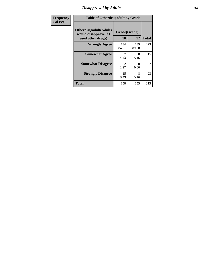#### *Disapproval by Adults* **34**

| <b>Frequency</b> | <b>Table of Otherdrugadult by Grade</b>                |                                     |                           |                     |
|------------------|--------------------------------------------------------|-------------------------------------|---------------------------|---------------------|
| <b>Col Pct</b>   | <b>Otherdrugadult</b> (Adults<br>would disapprove if I | Grade(Grade)                        |                           |                     |
|                  | used other drugs)<br><b>Strongly Agree</b>             | 10<br>134                           | 12<br>139                 | <b>Total</b><br>273 |
|                  |                                                        | 84.81                               | 89.68                     |                     |
|                  | <b>Somewhat Agree</b>                                  | 4.43                                | 8<br>5.16                 | 15                  |
|                  | <b>Somewhat Disagree</b>                               | $\mathcal{D}_{\mathcal{L}}$<br>1.27 | $\mathbf{\Omega}$<br>0.00 | $\overline{2}$      |
|                  | <b>Strongly Disagree</b>                               | 15<br>9.49                          | 8<br>5.16                 | 23                  |
|                  | <b>Total</b>                                           | 158                                 | 155                       | 313                 |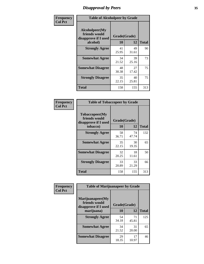### *Disapproval by Peers* **35**

| Frequency      | <b>Table of Alcoholpeer by Grade</b>                    |              |             |              |
|----------------|---------------------------------------------------------|--------------|-------------|--------------|
| <b>Col Pct</b> | Alcoholpeer(My<br>friends would<br>disapprove if I used | Grade(Grade) |             |              |
|                | alcohol)                                                | 10           | 12          | <b>Total</b> |
|                | <b>Strongly Agree</b>                                   | 41<br>25.95  | 49<br>31.61 | 90           |
|                | <b>Somewhat Agree</b>                                   | 34<br>21.52  | 39<br>25.16 | 73           |
|                | <b>Somewhat Disagree</b>                                | 48<br>30.38  | 27<br>17.42 | 75           |
|                | <b>Strongly Disagree</b>                                | 35<br>22.15  | 40<br>25.81 | 75           |
|                | Total                                                   | 158          | 155         | 313          |

| Frequency      | <b>Table of Tobaccopeer by Grade</b>                                |                    |             |              |
|----------------|---------------------------------------------------------------------|--------------------|-------------|--------------|
| <b>Col Pct</b> | Tobaccopeer(My<br>friends would<br>disapprove if I used<br>tobacco) | Grade(Grade)<br>10 | 12          | <b>Total</b> |
|                | <b>Strongly Agree</b>                                               | 58<br>36.71        | 74<br>47.74 | 132          |
|                | <b>Somewhat Agree</b>                                               | 35<br>22.15        | 30<br>19.35 | 65           |
|                | <b>Somewhat Disagree</b>                                            | 32<br>20.25        | 18<br>11.61 | 50           |
|                | <b>Strongly Disagree</b>                                            | 33<br>20.89        | 33<br>21.29 | 66           |
|                | <b>Total</b>                                                        | 158                | 155         | 313          |

| Frequency      | <b>Table of Marijuanapeer by Grade</b>                    |              |             |              |
|----------------|-----------------------------------------------------------|--------------|-------------|--------------|
| <b>Col Pct</b> | Marijuanapeer(My<br>friends would<br>disapprove if I used | Grade(Grade) |             |              |
|                | marijuana)                                                | 10           | 12          | <b>Total</b> |
|                | <b>Strongly Agree</b>                                     | 54<br>34.18  | 71<br>45.81 | 125          |
|                | <b>Somewhat Agree</b>                                     | 34<br>21.52  | 31<br>20.00 | 65           |
|                | <b>Somewhat Disagree</b>                                  | 29<br>18.35  | 17<br>10.97 | 46           |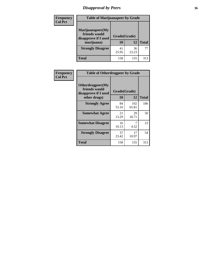## *Disapproval by Peers* **36**

| <b>Frequency</b> | <b>Table of Marijuanapeer by Grade</b>                                  |                                 |             |              |  |
|------------------|-------------------------------------------------------------------------|---------------------------------|-------------|--------------|--|
| <b>Col Pct</b>   | Marijuanapeer(My<br>friends would<br>disapprove if I used<br>marijuana) | Grade(Grade)<br><b>10</b><br>12 |             | <b>Total</b> |  |
|                  | <b>Strongly Disagree</b>                                                | 41<br>25.95                     | 36<br>23.23 | 77           |  |
|                  | <b>Total</b>                                                            | 158                             | 155         | 313          |  |

| <b>Frequency</b> | <b>Table of Otherdrugpeer by Grade</b>                                    |                    |              |              |
|------------------|---------------------------------------------------------------------------|--------------------|--------------|--------------|
| <b>Col Pct</b>   | Otherdrugpeer(My<br>friends would<br>disapprove if I used<br>other drugs) | Grade(Grade)<br>10 | 12           | <b>Total</b> |
|                  | <b>Strongly Agree</b>                                                     | 84<br>53.16        | 102<br>65.81 | 186          |
|                  | <b>Somewhat Agree</b>                                                     | 21<br>13.29        | 29<br>18.71  | 50           |
|                  | <b>Somewhat Disagree</b>                                                  | 16<br>10.13        | 7<br>4.52    | 23           |
|                  | <b>Strongly Disagree</b>                                                  | 37<br>23.42        | 17<br>10.97  | 54           |
|                  | Total                                                                     | 158                | 155          | 313          |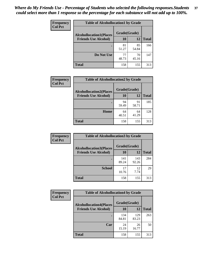| Frequency<br><b>Col Pct</b> | <b>Table of Alcohollocation1 by Grade</b>      |             |             |              |  |
|-----------------------------|------------------------------------------------|-------------|-------------|--------------|--|
|                             | Grade(Grade)<br><b>Alcohollocation1(Places</b> |             |             |              |  |
|                             | <b>Friends Use Alcohol)</b>                    | 10          | 12          | <b>Total</b> |  |
|                             |                                                | 81<br>51.27 | 85<br>54.84 | 166          |  |
|                             | Do Not Use                                     | 77<br>48.73 | 70<br>45.16 | 147          |  |
|                             | <b>Total</b>                                   | 158         | 155         | 313          |  |

| Frequency      | <b>Table of Alcohollocation2 by Grade</b>                     |                    |             |              |
|----------------|---------------------------------------------------------------|--------------------|-------------|--------------|
| <b>Col Pct</b> | <b>Alcohollocation2(Places</b><br><b>Friends Use Alcohol)</b> | Grade(Grade)<br>10 | <b>12</b>   | <b>Total</b> |
|                |                                                               | 94<br>59.49        | 91<br>58.71 | 185          |
|                | Home                                                          | 64<br>40.51        | 64<br>41.29 | 128          |
|                | <b>Total</b>                                                  | 158                | 155         | 313          |

| Frequency<br><b>Col Pct</b> | <b>Table of Alcohollocation 3 by Grade</b>                    |                    |              |              |
|-----------------------------|---------------------------------------------------------------|--------------------|--------------|--------------|
|                             | <b>Alcohollocation3(Places</b><br><b>Friends Use Alcohol)</b> | Grade(Grade)<br>10 | 12           | <b>Total</b> |
|                             |                                                               | 141<br>89.24       | 143<br>92.26 | 284          |
|                             | <b>School</b>                                                 | 17<br>10.76        | 12<br>7.74   | 29           |
|                             | <b>Total</b>                                                  | 158                | 155          | 313          |

| <b>Frequency</b> | <b>Table of Alcohollocation4 by Grade</b> |              |              |              |  |
|------------------|-------------------------------------------|--------------|--------------|--------------|--|
| <b>Col Pct</b>   | <b>Alcohollocation4(Places</b>            | Grade(Grade) |              |              |  |
|                  | <b>Friends Use Alcohol)</b>               | 10           | 12           | <b>Total</b> |  |
|                  |                                           | 134<br>84.81 | 129<br>83.23 | 263          |  |
|                  | Car                                       | 24<br>15.19  | 26<br>16.77  | 50           |  |
|                  | <b>Total</b>                              | 158          | 155          | 313          |  |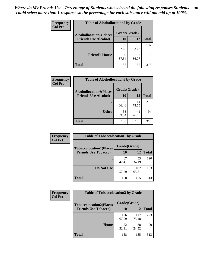| Frequency<br><b>Col Pct</b> | <b>Table of Alcohollocation5 by Grade</b>      |             |             |              |  |
|-----------------------------|------------------------------------------------|-------------|-------------|--------------|--|
|                             | Grade(Grade)<br><b>Alcohollocation5(Places</b> |             |             |              |  |
|                             | <b>Friends Use Alcohol)</b>                    | 10          | 12          | <b>Total</b> |  |
|                             |                                                | 99<br>62.66 | 98<br>63.23 | 197          |  |
|                             | <b>Friend's House</b>                          | 59<br>37.34 | 57<br>36.77 | 116          |  |
|                             | <b>Total</b>                                   | 158         | 155         | 313          |  |

| Frequency      | <b>Table of Alcohollocation6 by Grade</b>                     |                    |              |              |
|----------------|---------------------------------------------------------------|--------------------|--------------|--------------|
| <b>Col Pct</b> | <b>Alcohollocation6(Places</b><br><b>Friends Use Alcohol)</b> | Grade(Grade)<br>10 | 12           | <b>Total</b> |
|                |                                                               | 105<br>66.46       | 114<br>73.55 | 219          |
|                | <b>Other</b>                                                  | 53<br>33.54        | 41<br>26.45  | 94           |
|                | <b>Total</b>                                                  | 158                | 155          | 313          |

| Frequency      | <b>Table of Tobaccolocation1 by Grade</b> |              |              |              |
|----------------|-------------------------------------------|--------------|--------------|--------------|
| <b>Col Pct</b> | <b>Tobaccolocation1(Places</b>            | Grade(Grade) |              |              |
|                | <b>Friends Use Tobacco)</b>               | 10           | <b>12</b>    | <b>Total</b> |
|                |                                           | 67<br>42.41  | 53<br>34.19  | 120          |
|                | Do Not Use                                | 91<br>57.59  | 102<br>65.81 | 193          |
|                | <b>Total</b>                              | 158          | 155          | 313          |

| <b>Frequency</b> | <b>Table of Tobaccolocation2 by Grade</b> |              |              |              |
|------------------|-------------------------------------------|--------------|--------------|--------------|
| <b>Col Pct</b>   | <b>Tobaccolocation2(Places</b>            | Grade(Grade) |              |              |
|                  | <b>Friends Use Tobacco)</b>               | <b>10</b>    | 12           | <b>Total</b> |
|                  |                                           | 106<br>67.09 | 117<br>75.48 | 223          |
|                  | Home                                      | 52<br>32.91  | 38<br>24.52  | 90           |
|                  | <b>Total</b>                              | 158          | 155          | 313          |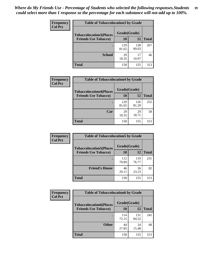| Frequency      | <b>Table of Tobaccolocation 3 by Grade</b> |              |              |              |  |
|----------------|--------------------------------------------|--------------|--------------|--------------|--|
| <b>Col Pct</b> | <b>Tobaccolocation3(Places</b>             | Grade(Grade) |              |              |  |
|                | <b>Friends Use Tobacco)</b>                | 10           | 12           | <b>Total</b> |  |
|                |                                            | 129<br>81.65 | 138<br>89.03 | 267          |  |
|                | <b>School</b>                              | 29<br>18.35  | 17<br>10.97  | 46           |  |
|                | <b>Total</b>                               | 158          | 155          | 313          |  |

| Frequency      | <b>Table of Tobaccolocation4 by Grade</b> |              |              |              |
|----------------|-------------------------------------------|--------------|--------------|--------------|
| <b>Col Pct</b> | <b>Tobaccolocation4(Places</b>            | Grade(Grade) |              |              |
|                | <b>Friends Use Tobacco)</b>               | 10           | 12           | <b>Total</b> |
|                |                                           | 129<br>81.65 | 126<br>81.29 | 255          |
|                | Car                                       | 29<br>18.35  | 29<br>18.71  | 58           |
|                | <b>Total</b>                              | 158          | 155          | 313          |

| <b>Frequency</b> | <b>Table of Tobaccolocation5 by Grade</b>                     |              |              |              |
|------------------|---------------------------------------------------------------|--------------|--------------|--------------|
| <b>Col Pct</b>   | <b>Tobaccolocation5(Places</b><br><b>Friends Use Tobacco)</b> | Grade(Grade) |              |              |
|                  |                                                               | 10           | 12           | <b>Total</b> |
|                  |                                                               | 112<br>70.89 | 119<br>76.77 | 231          |
|                  | <b>Friend's House</b>                                         | 46<br>29.11  | 36<br>23.23  | 82           |
|                  | Total                                                         | 158          | 155          | 313          |

| <b>Frequency</b><br><b>Col Pct</b> | <b>Table of Tobaccolocation6 by Grade</b> |              |              |              |
|------------------------------------|-------------------------------------------|--------------|--------------|--------------|
|                                    | <b>Tobaccolocation6(Places</b>            | Grade(Grade) |              |              |
|                                    | <b>Friends Use Tobacco)</b>               | 10           | 12           | <b>Total</b> |
|                                    |                                           | 114<br>72.15 | 131<br>84.52 | 245          |
|                                    | <b>Other</b>                              | 44<br>27.85  | 24<br>15.48  | 68           |
|                                    | <b>Total</b>                              | 158          | 155          | 313          |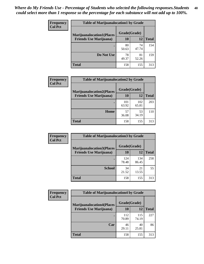| <b>Frequency</b><br><b>Col Pct</b> | <b>Table of Marijuanalocation1 by Grade</b> |              |             |              |
|------------------------------------|---------------------------------------------|--------------|-------------|--------------|
|                                    | <b>Marijuanalocation1(Places</b>            | Grade(Grade) |             |              |
|                                    | <b>Friends Use Marijuana</b> )              | <b>10</b>    | 12          | <b>Total</b> |
|                                    |                                             | 80<br>50.63  | 74<br>47.74 | 154          |
|                                    | Do Not Use                                  | 78<br>49.37  | 81<br>52.26 | 159          |
|                                    | <b>Total</b>                                | 158          | 155         | 313          |

| <b>Frequency</b> | <b>Table of Marijuanalocation2 by Grade</b>                        |                           |              |              |
|------------------|--------------------------------------------------------------------|---------------------------|--------------|--------------|
| <b>Col Pct</b>   | <b>Marijuanalocation2(Places</b><br><b>Friends Use Marijuana</b> ) | Grade(Grade)<br><b>10</b> | 12           | <b>Total</b> |
|                  |                                                                    | 101<br>63.92              | 102<br>65.81 | 203          |
|                  | Home                                                               | 57<br>36.08               | 53<br>34.19  | 110          |
|                  | <b>Total</b>                                                       | 158                       | 155          | 313          |

| Frequency      | <b>Table of Marijuanalocation3 by Grade</b> |              |              |              |
|----------------|---------------------------------------------|--------------|--------------|--------------|
| <b>Col Pct</b> | <b>Marijuanalocation3</b> (Places           | Grade(Grade) |              |              |
|                | <b>Friends Use Marijuana</b> )              | 10           | 12           | <b>Total</b> |
|                |                                             | 124<br>78.48 | 134<br>86.45 | 258          |
|                | <b>School</b>                               | 34<br>21.52  | 21<br>13.55  | 55           |
|                | <b>Total</b>                                | 158          | 155          | 313          |

| <b>Frequency</b> | <b>Table of Marijuanalocation4 by Grade</b> |              |              |              |
|------------------|---------------------------------------------|--------------|--------------|--------------|
| <b>Col Pct</b>   | <b>Marijuanalocation4(Places</b>            | Grade(Grade) |              |              |
|                  | <b>Friends Use Marijuana</b> )              | <b>10</b>    | 12           | <b>Total</b> |
|                  |                                             | 112<br>70.89 | 115<br>74.19 | 227          |
|                  | Car                                         | 46<br>29.11  | 40<br>25.81  | 86           |
|                  | <b>Total</b>                                | 158          | 155          | 313          |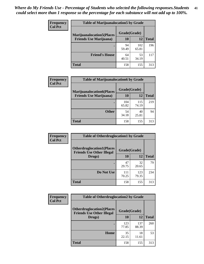| <b>Frequency</b> | <b>Table of Marijuanalocation5 by Grade</b> |              |              |              |
|------------------|---------------------------------------------|--------------|--------------|--------------|
| <b>Col Pct</b>   | <b>Marijuanalocation5</b> (Places           | Grade(Grade) |              |              |
|                  | <b>Friends Use Marijuana</b> )              | 10           | 12           | <b>Total</b> |
|                  |                                             | 94<br>59.49  | 102<br>65.81 | 196          |
|                  | <b>Friend's House</b>                       | 64<br>40.51  | 53<br>34.19  | 117          |
|                  | <b>Total</b>                                | 158          | 155          | 313          |

| <b>Frequency</b> | <b>Table of Marijuanalocation6 by Grade</b>                        |                           |              |              |
|------------------|--------------------------------------------------------------------|---------------------------|--------------|--------------|
| <b>Col Pct</b>   | <b>Marijuanalocation6(Places</b><br><b>Friends Use Marijuana</b> ) | Grade(Grade)<br><b>10</b> | 12           | <b>Total</b> |
|                  |                                                                    | 104<br>65.82              | 115<br>74.19 | 219          |
|                  | <b>Other</b>                                                       | 54<br>34.18               | 40<br>25.81  | 94           |
|                  | <b>Total</b>                                                       | 158                       | 155          | 313          |

| <b>Frequency</b> | <b>Table of Otherdruglocation1 by Grade</b>                          |              |              |              |
|------------------|----------------------------------------------------------------------|--------------|--------------|--------------|
| <b>Col Pct</b>   | <b>Otherdruglocation1(Places</b><br><b>Friends Use Other Illegal</b> | Grade(Grade) |              |              |
|                  | Drugs)                                                               | 10           | 12           | <b>Total</b> |
|                  |                                                                      | 47<br>29.75  | 32<br>20.65  | 79           |
|                  | Do Not Use                                                           | 111<br>70.25 | 123<br>79.35 | 234          |
|                  | <b>Total</b>                                                         | 158          | 155          | 313          |

| <b>Frequency</b> | <b>Table of Otherdruglocation2 by Grade</b>                          |              |              |              |
|------------------|----------------------------------------------------------------------|--------------|--------------|--------------|
| <b>Col Pct</b>   | <b>Otherdruglocation2(Places</b><br><b>Friends Use Other Illegal</b> | Grade(Grade) |              |              |
|                  | Drugs)                                                               | 10           | 12           | <b>Total</b> |
|                  |                                                                      | 123<br>77.85 | 137<br>88.39 | 260          |
|                  | Home                                                                 | 35<br>22.15  | 18<br>11.61  | 53           |
|                  | <b>Total</b>                                                         | 158          | 155          | 313          |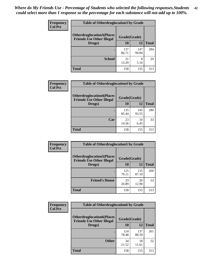| <b>Frequency</b> | <b>Table of Otherdruglocation 3 by Grade</b>                         |              |              |              |
|------------------|----------------------------------------------------------------------|--------------|--------------|--------------|
| <b>Col Pct</b>   | <b>Otherdruglocation3(Places</b><br><b>Friends Use Other Illegal</b> | Grade(Grade) |              |              |
|                  | Drugs)                                                               | 10           | 12           | <b>Total</b> |
|                  |                                                                      | 137<br>86.71 | 147<br>94.84 | 284          |
|                  | <b>School</b>                                                        | 21<br>13.29  | 8<br>5.16    | 29           |
|                  | <b>Total</b>                                                         | 158          | 155          | 313          |

| <b>Frequency</b> | <b>Table of Otherdruglocation4 by Grade</b>                          |              |              |              |
|------------------|----------------------------------------------------------------------|--------------|--------------|--------------|
| <b>Col Pct</b>   | <b>Otherdruglocation4(Places</b><br><b>Friends Use Other Illegal</b> | Grade(Grade) |              |              |
|                  | Drugs)                                                               | 10           | 12           | <b>Total</b> |
|                  |                                                                      | 135<br>85.44 | 145<br>93.55 | 280          |
|                  | Car                                                                  | 23<br>14.56  | 10<br>6.45   | 33           |
|                  | <b>Total</b>                                                         | 158          | 155          | 313          |

| <b>Frequency</b> | <b>Table of Otherdruglocation5 by Grade</b>                          |              |              |              |
|------------------|----------------------------------------------------------------------|--------------|--------------|--------------|
| <b>Col Pct</b>   | <b>Otherdruglocation5(Places</b><br><b>Friends Use Other Illegal</b> | Grade(Grade) |              |              |
|                  | Drugs)                                                               | <b>10</b>    | 12           | <b>Total</b> |
|                  |                                                                      | 125<br>79.11 | 135<br>87.10 | 260          |
|                  | <b>Friend's House</b>                                                | 33<br>20.89  | 20<br>12.90  | 53           |
|                  | <b>Total</b>                                                         | 158          | 155          | 313          |

| <b>Frequency</b> | <b>Table of Otherdruglocation6 by Grade</b>                          |              |              |              |
|------------------|----------------------------------------------------------------------|--------------|--------------|--------------|
| <b>Col Pct</b>   | <b>Otherdruglocation6(Places</b><br><b>Friends Use Other Illegal</b> | Grade(Grade) |              |              |
|                  | Drugs)                                                               | <b>10</b>    | 12           | <b>Total</b> |
|                  |                                                                      | 124<br>78.48 | 137<br>88.39 | 261          |
|                  | <b>Other</b>                                                         | 34<br>21.52  | 18<br>11.61  | 52           |
|                  | <b>Total</b>                                                         | 158          | 155          | 313          |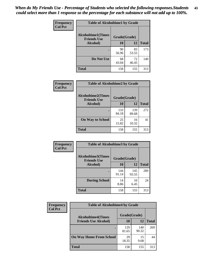| Frequency      | <b>Table of Alcoholtime1 by Grade</b> |                                    |             |              |
|----------------|---------------------------------------|------------------------------------|-------------|--------------|
| <b>Col Pct</b> | <b>Alcoholtime1(Times</b>             | Grade(Grade)<br><b>Friends Use</b> |             |              |
|                | Alcohol)                              | 10                                 | <b>12</b>   | <b>Total</b> |
|                |                                       | 90<br>56.96                        | 83<br>53.55 | 173          |
|                | Do Not Use                            | 68<br>43.04                        | 72<br>46.45 | 140          |
|                | <b>Total</b>                          | 158                                | 155         | 313          |

| Frequency      | <b>Table of Alcoholtime2 by Grade</b>           |              |              |              |
|----------------|-------------------------------------------------|--------------|--------------|--------------|
| <b>Col Pct</b> | <b>Alcoholtime2(Times</b><br><b>Friends Use</b> | Grade(Grade) |              |              |
|                | Alcohol)                                        | 10           | 12           | <b>Total</b> |
|                |                                                 | 133<br>84.18 | 139<br>89.68 | 272          |
|                | <b>On Way to School</b>                         | 25<br>15.82  | 16<br>10.32  | 41           |
|                | <b>Total</b>                                    | 158          | 155          | 313          |

| Frequency<br><b>Col Pct</b> | <b>Table of Alcoholtime3 by Grade</b>                           |              |              |              |
|-----------------------------|-----------------------------------------------------------------|--------------|--------------|--------------|
|                             | <b>Alcoholtime3(Times</b><br>Grade(Grade)<br><b>Friends Use</b> |              |              |              |
|                             | Alcohol)                                                        | 10           | 12           | <b>Total</b> |
|                             |                                                                 | 144<br>91.14 | 145<br>93.55 | 289          |
|                             | <b>During School</b>                                            | 14<br>8.86   | 10<br>6.45   | 24           |
|                             | <b>Total</b>                                                    | 158          | 155          | 313          |

| <b>Frequency</b><br><b>Col Pct</b> | <b>Table of Alcoholtime4 by Grade</b><br>Grade(Grade)<br><b>Alcoholtime4(Times</b> |              |              |              |
|------------------------------------|------------------------------------------------------------------------------------|--------------|--------------|--------------|
|                                    |                                                                                    |              |              |              |
|                                    | <b>Friends Use Alcohol)</b>                                                        | 10           | 12           | <b>Total</b> |
|                                    |                                                                                    | 129<br>81.65 | 140<br>90.32 | 269          |
|                                    | <b>On Way Home From School</b>                                                     | 29<br>18.35  | 15<br>9.68   | 44           |
|                                    | <b>Total</b>                                                                       | 158          | 155          | 313          |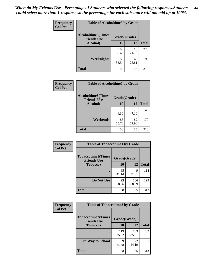*When do My Friends Use - Percentage of Students who selected the following responses.Students could select more than 1 response so the percentage for each substance will not add up to 100%.* **44**

| Frequency      | <b>Table of Alcoholtime5 by Grade</b>                           |              |              |              |
|----------------|-----------------------------------------------------------------|--------------|--------------|--------------|
| <b>Col Pct</b> | <b>Alcoholtime5(Times</b><br>Grade(Grade)<br><b>Friends Use</b> |              |              |              |
|                | Alcohol)                                                        | 10           | <b>12</b>    | <b>Total</b> |
|                |                                                                 | 105<br>66.46 | 115<br>74.19 | 220          |
|                | <b>Weeknights</b>                                               | 53<br>33.54  | 40<br>25.81  | 93           |
|                | <b>Total</b>                                                    | 158          | 155          | 313          |

| Frequency      | <b>Table of Alcoholtime6 by Grade</b>           |              |             |              |
|----------------|-------------------------------------------------|--------------|-------------|--------------|
| <b>Col Pct</b> | <b>Alcoholtime6(Times</b><br><b>Friends Use</b> | Grade(Grade) |             |              |
|                | Alcohol)                                        | 10           | 12          | <b>Total</b> |
|                |                                                 | 70<br>44.30  | 73<br>47.10 | 143          |
|                | Weekends                                        | 88<br>55.70  | 82<br>52.90 | 170          |
|                | <b>Total</b>                                    | 158          | 155         | 313          |

| Frequency      | <b>Table of Tobaccotime1 by Grade</b>                           |             |              |              |
|----------------|-----------------------------------------------------------------|-------------|--------------|--------------|
| <b>Col Pct</b> | <b>Tobaccotime1(Times</b><br>Grade(Grade)<br><b>Friends Use</b> |             |              |              |
|                | <b>Tobacco</b> )                                                | <b>10</b>   | 12           | <b>Total</b> |
|                | $\bullet$                                                       | 65<br>41.14 | 49<br>31.61  | 114          |
|                | Do Not Use                                                      | 93<br>58.86 | 106<br>68.39 | 199          |
|                | <b>Total</b>                                                    | 158         | 155          | 313          |

| <b>Frequency</b> | <b>Table of Tobaccotime2 by Grade</b>           |              |              |              |
|------------------|-------------------------------------------------|--------------|--------------|--------------|
| <b>Col Pct</b>   | <b>Tobaccotime2(Times</b><br><b>Friends Use</b> | Grade(Grade) |              |              |
|                  | <b>Tobacco</b> )                                | 10           | 12           | <b>Total</b> |
|                  |                                                 | 119<br>75.32 | 133<br>85.81 | 252          |
|                  | <b>On Way to School</b>                         | 39<br>24.68  | 22<br>14.19  | 61           |
|                  | <b>Total</b>                                    | 158          | 155          | 313          |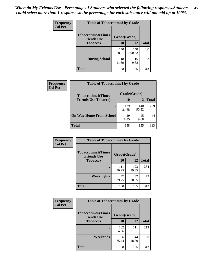| Frequency      | <b>Table of Tobaccotime3 by Grade</b>           |              |              |              |
|----------------|-------------------------------------------------|--------------|--------------|--------------|
| <b>Col Pct</b> | <b>Tobaccotime3(Times</b><br><b>Friends Use</b> | Grade(Grade) |              |              |
|                | <b>Tobacco</b> )                                | 10           | <b>12</b>    | <b>Total</b> |
|                | ٠                                               | 140<br>88.61 | 140<br>90.32 | 280          |
|                | <b>During School</b>                            | 18<br>11.39  | 15<br>9.68   | 33           |
|                | <b>Total</b>                                    | 158          | 155          | 313          |

| <b>Frequency</b><br><b>Col Pct</b> | <b>Table of Tobaccotime4 by Grade</b> |              |              |              |
|------------------------------------|---------------------------------------|--------------|--------------|--------------|
|                                    | <b>Tobaccotime4(Times</b>             | Grade(Grade) |              |              |
|                                    | <b>Friends Use Tobacco)</b>           | 10           | 12           | <b>Total</b> |
|                                    |                                       | 129<br>81.65 | 140<br>90.32 | 269          |
|                                    | <b>On Way Home From School</b>        | 29<br>18.35  | 15<br>9.68   | 44           |
|                                    | <b>Total</b>                          | 158          | 155          | 313          |

| Frequency      | <b>Table of Tobaccotime5 by Grade</b>           |              |              |              |
|----------------|-------------------------------------------------|--------------|--------------|--------------|
| <b>Col Pct</b> | <b>Tobaccotime5(Times</b><br><b>Friends Use</b> | Grade(Grade) |              |              |
|                | <b>Tobacco</b> )                                | 10           | 12           | <b>Total</b> |
|                |                                                 | 111<br>70.25 | 123<br>79.35 | 234          |
|                | Weeknights                                      | 47<br>29.75  | 32<br>20.65  | 79           |
|                | <b>Total</b>                                    | 158          | 155          | 313          |

| Frequency<br><b>Col Pct</b> | <b>Table of Tobaccotime6 by Grade</b>                           |              |              |              |
|-----------------------------|-----------------------------------------------------------------|--------------|--------------|--------------|
|                             | <b>Tobaccotime6(Times</b><br>Grade(Grade)<br><b>Friends Use</b> |              |              |              |
|                             | <b>Tobacco</b> )                                                | 10           | <b>12</b>    | <b>Total</b> |
|                             | ٠                                                               | 102<br>64.56 | 111<br>71.61 | 213          |
|                             | Weekends                                                        | 56<br>35.44  | 44<br>28.39  | 100          |
|                             | <b>Total</b>                                                    | 158          | 155          | 313          |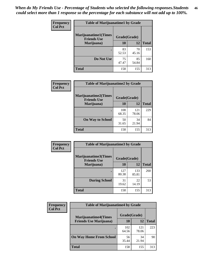| Frequency      | <b>Table of Marijuanatime1 by Grade</b>           |              |             |              |
|----------------|---------------------------------------------------|--------------|-------------|--------------|
| <b>Col Pct</b> | <b>Marijuanatime1(Times</b><br><b>Friends Use</b> | Grade(Grade) |             |              |
|                | Marijuana)                                        | 10           | 12          | <b>Total</b> |
|                |                                                   | 83<br>52.53  | 70<br>45.16 | 153          |
|                | Do Not Use                                        | 75<br>47.47  | 85<br>54.84 | 160          |
|                | <b>Total</b>                                      | 158          | 155         | 313          |

| <b>Frequency</b> | <b>Table of Marijuanatime2 by Grade</b>           |              |              |              |
|------------------|---------------------------------------------------|--------------|--------------|--------------|
| <b>Col Pct</b>   | <b>Marijuanatime2(Times</b><br><b>Friends Use</b> | Grade(Grade) |              |              |
|                  | Marijuana)                                        | 10           | 12           | <b>Total</b> |
|                  |                                                   | 108<br>68.35 | 121<br>78.06 | 229          |
|                  | <b>On Way to School</b>                           | 50<br>31.65  | 34<br>21.94  | 84           |
|                  | <b>Total</b>                                      | 158          | 155          | 313          |

| Frequency      | <b>Table of Marijuanatime3 by Grade</b>    |              |              |              |
|----------------|--------------------------------------------|--------------|--------------|--------------|
| <b>Col Pct</b> | Marijuanatime3(Times<br><b>Friends Use</b> | Grade(Grade) |              |              |
|                | Marijuana)                                 | 10           | 12           | <b>Total</b> |
|                |                                            | 127<br>80.38 | 133<br>85.81 | 260          |
|                | <b>During School</b>                       | 31<br>19.62  | 22<br>14.19  | 53           |
|                | <b>Total</b>                               | 158          | 155          | 313          |

| Frequency      | <b>Table of Marijuanatime4 by Grade</b> |              |              |              |
|----------------|-----------------------------------------|--------------|--------------|--------------|
| <b>Col Pct</b> | <b>Marijuanatime4(Times</b>             | Grade(Grade) |              |              |
|                | <b>Friends Use Marijuana</b> )          | 10           | 12           | <b>Total</b> |
|                |                                         | 102<br>64.56 | 121<br>78.06 | 223          |
|                | <b>On Way Home From School</b>          | 56<br>35.44  | 34<br>21.94  | 90           |
|                | <b>Total</b>                            | 158          | 155          | 313          |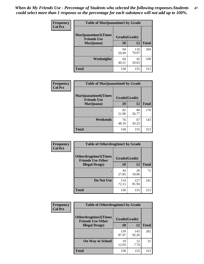| <b>Frequency</b> | <b>Table of Marijuanatime5 by Grade</b>            |              |              |              |
|------------------|----------------------------------------------------|--------------|--------------|--------------|
| <b>Col Pct</b>   | <b>Marijuanatime5</b> (Times<br><b>Friends Use</b> | Grade(Grade) |              |              |
|                  | Marijuana)                                         | 10           | 12           | <b>Total</b> |
|                  | ٠                                                  | 94<br>59.49  | 110<br>70.97 | 204          |
|                  | Weeknights                                         | 64<br>40.51  | 45<br>29.03  | 109          |
|                  | <b>Total</b>                                       | 158          | 155          | 313          |

| Frequency      | <b>Table of Marijuanatime6 by Grade</b>           |              |             |              |
|----------------|---------------------------------------------------|--------------|-------------|--------------|
| <b>Col Pct</b> | <b>Marijuanatime6(Times</b><br><b>Friends Use</b> | Grade(Grade) |             |              |
|                | Marijuana)                                        | 10           | 12          | <b>Total</b> |
|                |                                                   | 82<br>51.90  | 88<br>56.77 | 170          |
|                | Weekends                                          | 76<br>48.10  | 67<br>43.23 | 143          |
|                | <b>Total</b>                                      | 158          | 155         | 313          |

| Frequency      | <b>Table of Otherdrugtime1 by Grade</b>                 |              |              |              |
|----------------|---------------------------------------------------------|--------------|--------------|--------------|
| <b>Col Pct</b> | <b>Otherdrugtime1(Times</b><br><b>Friends Use Other</b> | Grade(Grade) |              |              |
|                | <b>Illegal Drugs)</b>                                   | 10           | 12           | <b>Total</b> |
|                |                                                         | 44<br>27.85  | 28<br>18.06  | 72           |
|                | Do Not Use                                              | 114<br>72.15 | 127<br>81.94 | 241          |
|                | Total                                                   | 158          | 155          | 313          |

| <b>Frequency</b><br><b>Col Pct</b> | <b>Table of Otherdrugtime2 by Grade</b>                 |              |              |              |
|------------------------------------|---------------------------------------------------------|--------------|--------------|--------------|
|                                    | <b>Otherdrugtime2(Times</b><br><b>Friends Use Other</b> | Grade(Grade) |              |              |
|                                    | <b>Illegal Drugs</b> )                                  | 10           | 12           | <b>Total</b> |
|                                    |                                                         | 139<br>87.97 | 143<br>92.26 | 282          |
|                                    | <b>On Way to School</b>                                 | 19<br>12.03  | 12<br>7.74   | 31           |
|                                    | <b>Total</b>                                            | 158          | 155          | 313          |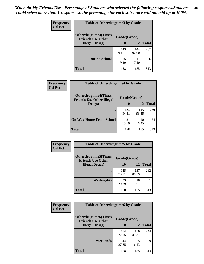| <b>Frequency</b> | <b>Table of Otherdrugtime3 by Grade</b>          |              |              |              |
|------------------|--------------------------------------------------|--------------|--------------|--------------|
| <b>Col Pct</b>   | Otherdrugtime3(Times<br><b>Friends Use Other</b> | Grade(Grade) |              |              |
|                  | <b>Illegal Drugs</b> )                           | 10           | 12           | <b>Total</b> |
|                  |                                                  | 143<br>90.51 | 144<br>92.90 | 287          |
|                  | <b>During School</b>                             | 15<br>9.49   | 11<br>7.10   | 26           |
|                  | Total                                            | 158          | 155          | 313          |

| Frequency      | <b>Table of Otherdrugtime4 by Grade</b>                         |              |              |              |
|----------------|-----------------------------------------------------------------|--------------|--------------|--------------|
| <b>Col Pct</b> | <b>Otherdrugtime4(Times</b><br><b>Friends Use Other Illegal</b> | Grade(Grade) |              |              |
|                | Drugs)                                                          | 10           | 12           | <b>Total</b> |
|                | $\bullet$                                                       | 134<br>84.81 | 145<br>93.55 | 279          |
|                | <b>On Way Home From School</b>                                  | 24<br>15.19  | 10<br>6.45   | 34           |
|                | Total                                                           | 158          | 155          | 313          |

| <b>Frequency</b> | <b>Table of Otherdrugtime5 by Grade</b>                  |              |              |              |
|------------------|----------------------------------------------------------|--------------|--------------|--------------|
| <b>Col Pct</b>   | <b>Otherdrugtime5</b> (Times<br><b>Friends Use Other</b> | Grade(Grade) |              |              |
|                  | <b>Illegal Drugs</b> )                                   | 10           | 12           | <b>Total</b> |
|                  |                                                          | 125<br>79.11 | 137<br>88.39 | 262          |
|                  | Weeknights                                               | 33<br>20.89  | 18<br>11.61  | 51           |
|                  | Total                                                    | 158          | 155          | 313          |

| <b>Frequency</b> | <b>Table of Otherdrugtime6 by Grade</b>                 |              |              |              |
|------------------|---------------------------------------------------------|--------------|--------------|--------------|
| <b>Col Pct</b>   | <b>Otherdrugtime6(Times</b><br><b>Friends Use Other</b> | Grade(Grade) |              |              |
|                  | <b>Illegal Drugs</b> )                                  | 10           | 12           | <b>Total</b> |
|                  |                                                         | 114<br>72.15 | 130<br>83.87 | 244          |
|                  | Weekends                                                | 44<br>27.85  | 25<br>16.13  | 69           |
|                  | Total                                                   | 158          | 155          | 313          |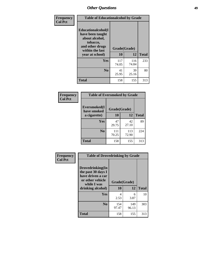| Frequency      | <b>Table of Educationalcohol by Grade</b>                                                                  |              |              |              |  |  |  |  |
|----------------|------------------------------------------------------------------------------------------------------------|--------------|--------------|--------------|--|--|--|--|
| <b>Col Pct</b> | Educationalcohol(I<br>have been taught<br>about alcohol,<br>tobacco,<br>and other drugs<br>within the last | Grade(Grade) |              |              |  |  |  |  |
|                | year at school)                                                                                            | 10           | 12           | <b>Total</b> |  |  |  |  |
|                | <b>Yes</b>                                                                                                 | 117<br>74.05 | 116<br>74.84 | 233          |  |  |  |  |
|                | N <sub>0</sub>                                                                                             | 41<br>25.95  | 39<br>25.16  | 80           |  |  |  |  |
|                | <b>Total</b>                                                                                               | 158          | 155          | 313          |  |  |  |  |

| Frequency      | <b>Table of Eversmoked by Grade</b> |              |              |              |  |  |  |  |
|----------------|-------------------------------------|--------------|--------------|--------------|--|--|--|--|
| <b>Col Pct</b> | Eversmoked(I<br>have smoked         | Grade(Grade) |              |              |  |  |  |  |
|                | a cigarette)                        | 10           | 12           | <b>Total</b> |  |  |  |  |
|                | <b>Yes</b>                          | 47<br>29.75  | 42<br>27.10  | 89           |  |  |  |  |
|                | N <sub>0</sub>                      | 111<br>70.25 | 113<br>72.90 | 224          |  |  |  |  |
|                | <b>Total</b>                        | 158          | 155          | 313          |  |  |  |  |

| Frequency      | <b>Table of Drovedrinking by Grade</b>                                                                              |                    |              |              |  |  |  |  |
|----------------|---------------------------------------------------------------------------------------------------------------------|--------------------|--------------|--------------|--|--|--|--|
| <b>Col Pct</b> | Drovedrinking(In<br>the past 30 days I<br>have driven a car<br>or other vehicle<br>while I was<br>drinking alcohol) | Grade(Grade)<br>10 | 12           | <b>Total</b> |  |  |  |  |
|                | <b>Yes</b>                                                                                                          | 4<br>2.53          | 6<br>3.87    | 10           |  |  |  |  |
|                | N <sub>0</sub>                                                                                                      | 154<br>97.47       | 149<br>96.13 | 303          |  |  |  |  |
|                | <b>Total</b>                                                                                                        | 158                | 155          | 313          |  |  |  |  |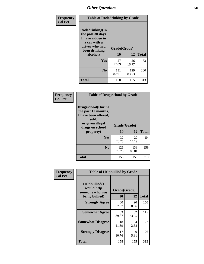| Frequency<br><b>Col Pct</b> | <b>Table of Rodedrinking by Grade</b>                                                                      |                    |              |              |  |  |  |
|-----------------------------|------------------------------------------------------------------------------------------------------------|--------------------|--------------|--------------|--|--|--|
|                             | Rodedrinking(In<br>the past 30 days<br>I have ridden in<br>a car with a<br>driver who had<br>been drinking | Grade(Grade)<br>10 | 12           | <b>Total</b> |  |  |  |
|                             | alcohol)                                                                                                   |                    |              |              |  |  |  |
|                             | <b>Yes</b>                                                                                                 | 27<br>17.09        | 26<br>16.77  | 53           |  |  |  |
|                             | N <sub>0</sub>                                                                                             | 131<br>82.91       | 129<br>83.23 | 260          |  |  |  |
|                             | <b>Total</b>                                                                                               | 158                | 155          | 313          |  |  |  |

#### **Frequency Col Pct**

| <b>Table of Drugsschool by Grade</b> |                                                                                                                           |              |              |              |  |  |  |
|--------------------------------------|---------------------------------------------------------------------------------------------------------------------------|--------------|--------------|--------------|--|--|--|
|                                      | <b>Drugsschool</b> (During<br>the past 12 months,<br>I have been offered,<br>sold,<br>or given illegal<br>drugs on school | Grade(Grade) |              |              |  |  |  |
|                                      | property)                                                                                                                 | 10           | 12           | <b>Total</b> |  |  |  |
|                                      |                                                                                                                           |              |              |              |  |  |  |
|                                      | Yes                                                                                                                       | 32<br>20.25  | 22<br>14.19  | 54           |  |  |  |
|                                      | $\bf No$                                                                                                                  | 126<br>79.75 | 133<br>85.81 | 259          |  |  |  |

| Frequency      | <b>Table of Helpbullied by Grade</b>                              |                           |             |              |  |  |  |  |  |
|----------------|-------------------------------------------------------------------|---------------------------|-------------|--------------|--|--|--|--|--|
| <b>Col Pct</b> | Helpbullied(I)<br>would help<br>someone who was<br>being bullied) | Grade(Grade)<br><b>10</b> | 12          | <b>Total</b> |  |  |  |  |  |
|                | <b>Strongly Agree</b>                                             | 60<br>37.97               | 90<br>58.06 | 150          |  |  |  |  |  |
|                | <b>Somewhat Agree</b>                                             | 63<br>39.87               | 52<br>33.55 | 115          |  |  |  |  |  |
|                | <b>Somewhat Disagree</b>                                          | 18<br>11.39               | 4<br>2.58   | 22           |  |  |  |  |  |
|                | <b>Strongly Disagree</b>                                          | 17<br>10.76               | 9<br>5.81   | 26           |  |  |  |  |  |
|                | <b>Total</b>                                                      | 158                       | 155         | 313          |  |  |  |  |  |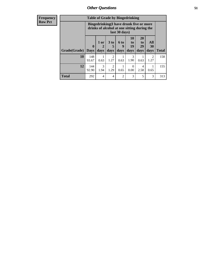| <b>Frequency</b> | <b>Table of Grade by Bingedrinking</b> |                                                                                                         |                              |                              |                   |                                                                            |                               |                          |              |
|------------------|----------------------------------------|---------------------------------------------------------------------------------------------------------|------------------------------|------------------------------|-------------------|----------------------------------------------------------------------------|-------------------------------|--------------------------|--------------|
| <b>Row Pct</b>   |                                        | Bingedrinking(I have drunk five or more<br>drinks of alcohol at one sitting during the<br>last 30 days) |                              |                              |                   |                                                                            |                               |                          |              |
|                  | Grade(Grade)                           | $\mathbf{0}$<br><b>Days</b>                                                                             | 1 or<br>$\mathbf{2}$<br>days | 3 <sub>to</sub><br>5<br>days | 6 to<br>9<br>days | <b>10</b><br>$\mathbf{t}$ <sup><math>\mathbf{0}</math></sup><br>19<br>days | <b>20</b><br>to<br>29<br>days | All<br><b>30</b><br>days | <b>Total</b> |
|                  | 10                                     | 148<br>93.67                                                                                            | 1<br>0.63                    | 2<br>1.27                    | 1<br>0.63         | 3<br>1.90                                                                  | 0.63                          | 2<br>1.27                | 158          |
|                  | 12                                     | 144<br>92.90                                                                                            | 3<br>1.94                    | 2<br>1.29                    | 0.65              | $\mathcal{O}$<br>0.00                                                      | 4<br>2.58                     | 0.65                     | 155          |
|                  | <b>Total</b>                           | 292                                                                                                     | $\overline{4}$               | $\overline{4}$               | $\overline{2}$    | 3                                                                          | 5                             | 3                        | 313          |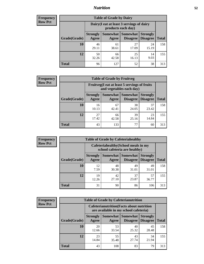## *Nutrition* **52**

| <b>Frequency</b> |
|------------------|
| <b>Row Pct</b>   |

| <b>Table of Grade by Dairy</b> |                                                                                                                                  |             |             |             |     |  |  |
|--------------------------------|----------------------------------------------------------------------------------------------------------------------------------|-------------|-------------|-------------|-----|--|--|
|                                | Dairy (I eat at least 3 servings of dairy<br>products each day)                                                                  |             |             |             |     |  |  |
| Grade(Grade)                   | <b>Somewhat</b><br><b>Somewhat</b><br><b>Strongly</b><br><b>Strongly</b><br><b>Disagree</b><br><b>Disagree</b><br>Agree<br>Agree |             |             |             |     |  |  |
| 10                             | 46<br>29.11                                                                                                                      | 61<br>38.61 | 27<br>17.09 | 24<br>15.19 | 158 |  |  |
| 12                             | 50<br>32.26                                                                                                                      | 66<br>42.58 | 25<br>16.13 | 14<br>9.03  | 155 |  |  |
| <b>Total</b>                   | 96                                                                                                                               | 127         | 52          | 38          | 313 |  |  |

| <b>Frequency</b> |  |
|------------------|--|
| <b>Row Pct</b>   |  |

| y | <b>Table of Grade by Fruitveg</b> |                                                                          |             |                               |                                    |              |  |  |
|---|-----------------------------------|--------------------------------------------------------------------------|-------------|-------------------------------|------------------------------------|--------------|--|--|
|   |                                   | Fruitveg(I eat at least 5 servings of fruits<br>and vegetables each day) |             |                               |                                    |              |  |  |
|   | Grade(Grade)                      | <b>Strongly</b><br>Agree                                                 | Agree       | Somewhat Somewhat<br>Disagree | <b>Strongly</b><br><b>Disagree</b> | <b>Total</b> |  |  |
|   | 10                                | 16<br>10.13                                                              | 67<br>42.41 | 38<br>24.05                   | 37<br>23.42                        | 158          |  |  |
|   | 12                                | 27<br>17.42                                                              | 66<br>42.58 | 39<br>25.16                   | 23<br>14.84                        | 155          |  |  |
|   | <b>Total</b>                      | 43                                                                       | 133         | 77                            | 60                                 | 313          |  |  |

| <b>Frequency</b> | <b>Table of Grade by Cafeteriahealthy</b> |                                                                       |             |                                      |                                    |              |  |
|------------------|-------------------------------------------|-----------------------------------------------------------------------|-------------|--------------------------------------|------------------------------------|--------------|--|
| <b>Row Pct</b>   |                                           | Cafeteriahealthy (School meals in my<br>school cafeteria are healthy) |             |                                      |                                    |              |  |
|                  | Grade(Grade)                              | <b>Strongly</b><br>Agree                                              | Agree       | Somewhat Somewhat<br><b>Disagree</b> | <b>Strongly</b><br><b>Disagree</b> | <b>Total</b> |  |
|                  | <b>10</b>                                 | 12<br>7.59                                                            | 48<br>30.38 | 49<br>31.01                          | 49<br>31.01                        | 158          |  |
|                  | 12                                        | 19<br>12.26                                                           | 42<br>27.10 | 37<br>23.87                          | 57<br>36.77                        | 155          |  |
|                  | Total                                     | 31                                                                    | 90          | 86                                   | 106                                | 313          |  |

| <b>Frequency</b> |
|------------------|
| <b>Row Pct</b>   |

| <b>Table of Grade by Cafeterianutrition</b> |                          |                                                                                           |                                    |                                    |              |  |  |
|---------------------------------------------|--------------------------|-------------------------------------------------------------------------------------------|------------------------------------|------------------------------------|--------------|--|--|
|                                             |                          | <b>Cafeterianutrition</b> (Facts about nutrition<br>are available in my school cafeteria) |                                    |                                    |              |  |  |
| Grade(Grade)                                | <b>Strongly</b><br>Agree | Somewhat<br>Agree                                                                         | <b>Somewhat</b><br><b>Disagree</b> | <b>Strongly</b><br><b>Disagree</b> | <b>Total</b> |  |  |
| 10                                          | 20<br>12.66              | 53<br>33.54                                                                               | 40<br>25.32                        | 45<br>28.48                        | 158          |  |  |
| 12                                          | 23<br>14.84              | 55<br>35.48                                                                               | 43<br>27.74                        | 34<br>21.94                        | 155          |  |  |
| Total                                       | 43                       | 108                                                                                       | 83                                 | 79                                 | 313          |  |  |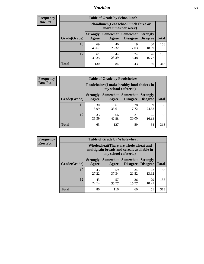## *Nutrition* **53**

| <b>Frequency</b> |
|------------------|
| <b>Row Pct</b>   |

| <b>Table of Grade by Schoollunch</b> |                                                                                                                             |                                                                 |             |             |     |  |  |
|--------------------------------------|-----------------------------------------------------------------------------------------------------------------------------|-----------------------------------------------------------------|-------------|-------------|-----|--|--|
|                                      |                                                                                                                             | Schoollunch(I eat school lunch three or<br>more times per week) |             |             |     |  |  |
| Grade(Grade)                         | Somewhat  <br><b>Somewhat</b><br><b>Strongly</b><br><b>Strongly</b><br><b>Disagree</b><br>Disagree<br><b>Agree</b><br>Agree |                                                                 |             |             |     |  |  |
| 10                                   | 69<br>43.67                                                                                                                 | 40<br>25.32                                                     | 19<br>12.03 | 30<br>18.99 | 158 |  |  |
| 12                                   | 61<br>39.35                                                                                                                 | 44<br>28.39                                                     | 24<br>15.48 | 26<br>16.77 | 155 |  |  |
| <b>Total</b>                         | 130                                                                                                                         | 84                                                              | 43          | 56          | 313 |  |  |

| <b>Frequency</b> |  |
|------------------|--|
| <b>Row Pct</b>   |  |

| <b>Table of Grade by Foodchoices</b>                                |                          |             |                                        |                                    |              |  |
|---------------------------------------------------------------------|--------------------------|-------------|----------------------------------------|------------------------------------|--------------|--|
| Foodchoices (I make healthy food choices in<br>my school cafeteria) |                          |             |                                        |                                    |              |  |
| Grade(Grade)                                                        | <b>Strongly</b><br>Agree | Agree       | <b>Somewhat   Somewhat</b><br>Disagree | <b>Strongly</b><br><b>Disagree</b> | <b>Total</b> |  |
| 10                                                                  | 30<br>18.99              | 61<br>38.61 | 28<br>17.72                            | 39<br>24.68                        | 158          |  |
| 12                                                                  | 33<br>21.29              | 66<br>42.58 | 31<br>20.00                            | 25<br>16.13                        | 155          |  |
| <b>Total</b>                                                        | 63                       | 127         | 59                                     | 64                                 | 313          |  |

| Frequency      | <b>Table of Grade by Wholewheat</b> |                          |                                                                                                             |                                   |                                    |              |  |  |  |
|----------------|-------------------------------------|--------------------------|-------------------------------------------------------------------------------------------------------------|-----------------------------------|------------------------------------|--------------|--|--|--|
| <b>Row Pct</b> |                                     |                          | Wholewheat (There are whole wheat and<br>multigrain breads and cereals available in<br>my school cafeteria) |                                   |                                    |              |  |  |  |
|                | Grade(Grade)                        | <b>Strongly</b><br>Agree | Agree                                                                                                       | Somewhat   Somewhat  <br>Disagree | <b>Strongly</b><br><b>Disagree</b> | <b>Total</b> |  |  |  |
|                | 10                                  | 43<br>27.22              | 59<br>37.34                                                                                                 | 34<br>21.52                       | 22<br>13.92                        | 158          |  |  |  |
|                | 12                                  | 43<br>27.74              | 57<br>36.77                                                                                                 | 26<br>16.77                       | 29<br>18.71                        | 155          |  |  |  |
|                | <b>Total</b>                        | 86                       | 116                                                                                                         | 60                                | 51                                 | 313          |  |  |  |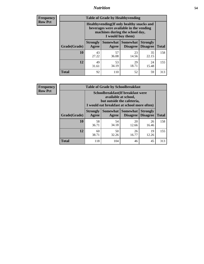## *Nutrition* **54**

**Frequency Row Pct**

| <b>Table of Grade by Healthyvending</b> |                                                                                                                                               |             |                                        |                                    |              |  |  |
|-----------------------------------------|-----------------------------------------------------------------------------------------------------------------------------------------------|-------------|----------------------------------------|------------------------------------|--------------|--|--|
|                                         | Healthyvending (If only healthy snacks and<br>beverages were available in the vending<br>machines during the school day,<br>I would buy them) |             |                                        |                                    |              |  |  |
| Grade(Grade)                            | <b>Strongly</b><br>Agree                                                                                                                      | Agree       | Somewhat   Somewhat<br><b>Disagree</b> | <b>Strongly</b><br><b>Disagree</b> | <b>Total</b> |  |  |
| 10                                      | 43<br>27.22                                                                                                                                   | 57<br>36.08 | 23<br>14.56                            | 35<br>22.15                        | 158          |  |  |
| 12                                      | 49<br>31.61                                                                                                                                   | 53<br>34.19 | 29<br>18.71                            | 24<br>15.48                        | 155          |  |  |
| <b>Total</b>                            | 92                                                                                                                                            | 110         | 52                                     | 59                                 | 313          |  |  |

**Frequency Row Pct**

| <b>Table of Grade by Schoolbreakfast</b> |                                                                                                                                         |             |                                        |                                    |              |  |  |  |
|------------------------------------------|-----------------------------------------------------------------------------------------------------------------------------------------|-------------|----------------------------------------|------------------------------------|--------------|--|--|--|
|                                          | Schoolbreakfast (If breakfast were<br>available at school,<br>but outside the cafeteria,<br>I would eat breakfast at school more often) |             |                                        |                                    |              |  |  |  |
| Grade(Grade)                             | <b>Strongly</b><br>Agree                                                                                                                | Agree       | Somewhat   Somewhat<br><b>Disagree</b> | <b>Strongly</b><br><b>Disagree</b> | <b>Total</b> |  |  |  |
| 10                                       | 58<br>36.71                                                                                                                             | 54<br>34.18 | 20<br>12.66                            | 26<br>16.46                        | 158          |  |  |  |
| 12                                       | 60<br>38.71                                                                                                                             | 50<br>32.26 | 26<br>16.77                            | 19<br>12.26                        | 155          |  |  |  |
| <b>Total</b>                             | 118                                                                                                                                     | 104         | 46                                     | 45                                 | 313          |  |  |  |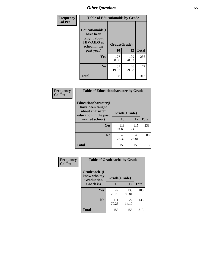| Frequency      | <b>Table of Educationaids by Grade</b>                                                                    |                          |              |              |  |  |
|----------------|-----------------------------------------------------------------------------------------------------------|--------------------------|--------------|--------------|--|--|
| <b>Col Pct</b> | <b>Educationaids</b> (I<br>have been<br>taught about<br><b>HIV/AIDS</b> at<br>school in the<br>past year) | Grade(Grade)<br>10<br>12 |              | <b>Total</b> |  |  |
|                | Yes                                                                                                       | 127<br>80.38             | 109<br>70.32 | 236          |  |  |
|                | N <sub>0</sub>                                                                                            | 31<br>19.62              | 46<br>29.68  | 77           |  |  |
|                | <b>Total</b>                                                                                              | 158                      | 155          | 313          |  |  |

| Frequency      | <b>Table of Educationcharacter by Grade</b>      |              |              |              |  |  |  |
|----------------|--------------------------------------------------|--------------|--------------|--------------|--|--|--|
| <b>Col Pct</b> | <b>Educationcharacter(I)</b><br>have been taught |              |              |              |  |  |  |
|                | about character<br>education in the past         | Grade(Grade) |              |              |  |  |  |
|                | year at school)                                  | 10           | 12           | <b>Total</b> |  |  |  |
|                | <b>Yes</b>                                       | 118<br>74.68 | 115<br>74.19 | 233          |  |  |  |
|                | N <sub>0</sub>                                   | 40<br>25.32  | 40<br>25.81  | 80           |  |  |  |
|                | <b>Total</b>                                     | 158          | 155          | 313          |  |  |  |

| Frequency      | <b>Table of Gradcoach1 by Grade</b>              |              |              |              |  |  |
|----------------|--------------------------------------------------|--------------|--------------|--------------|--|--|
| <b>Col Pct</b> | Gradcoach1(I<br>know who my<br><b>Graduation</b> | Grade(Grade) |              |              |  |  |
|                | Coach is)                                        | 10           | 12           | <b>Total</b> |  |  |
|                | Yes                                              | 47<br>29.75  | 133<br>85.81 | 180          |  |  |
|                | N <sub>0</sub>                                   | 111<br>70.25 | 22<br>14.19  | 133          |  |  |
|                | <b>Total</b>                                     | 158          | 155          | 313          |  |  |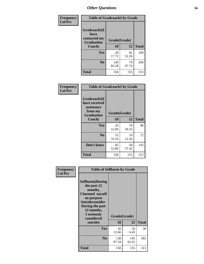| Frequency      | <b>Table of Gradcoach2 by Grade</b> |              |             |              |  |
|----------------|-------------------------------------|--------------|-------------|--------------|--|
| <b>Col Pct</b> | Gradcoach2(I<br>have                |              |             |              |  |
|                | contacted my<br><b>Graduation</b>   | Grade(Grade) |             |              |  |
|                | Coach)                              | 10           | 12          | <b>Total</b> |  |
|                | Yes                                 | 28<br>17.72  | 81<br>52.26 | 109          |  |
|                | N <sub>0</sub>                      | 130<br>82.28 | 74<br>47.74 | 204          |  |
|                | <b>Total</b>                        | 158          | 155         | 313          |  |

| <b>Frequency</b><br><b>Col Pct</b> | <b>Table of Gradcoach3 by Grade</b>                    |              |             |              |  |
|------------------------------------|--------------------------------------------------------|--------------|-------------|--------------|--|
|                                    | Gradcoach3(I<br>have received<br>assistance<br>from my | Grade(Grade) |             |              |  |
|                                    | <b>Graduation</b><br>Coach)                            | 10           | 12          | <b>Total</b> |  |
|                                    | Yes                                                    | 20<br>12.66  | 78<br>50.32 | 98           |  |
|                                    | N <sub>0</sub>                                         | 53<br>33.54  | 19<br>12.26 | 72           |  |
|                                    | Don't know                                             | 85<br>53.80  | 58<br>37.42 | 143          |  |
|                                    | <b>Total</b>                                           | 158          | 155         | 313          |  |

| Frequency      | <b>Table of Selfharm by Grade</b>                                                                                                                                                      |              |                    |              |  |  |
|----------------|----------------------------------------------------------------------------------------------------------------------------------------------------------------------------------------|--------------|--------------------|--------------|--|--|
| <b>Col Pct</b> | <b>Selfharm</b> (During<br>the past 12<br>months,<br>I harmed myself<br>on purpose<br><b>Suicideconsider</b><br>During the past<br>12 months,<br>I seriously<br>considered<br>suicide) | 10           | Grade(Grade)<br>12 | <b>Total</b> |  |  |
|                | Yes                                                                                                                                                                                    | 20<br>12.66  | 10<br>6.45         | 30           |  |  |
|                | N <sub>0</sub>                                                                                                                                                                         | 138<br>87.34 | 145<br>93.55       | 283          |  |  |
|                | <b>Total</b>                                                                                                                                                                           | 158          | 155                | 313          |  |  |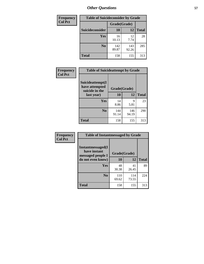| <b>Frequency</b> | <b>Table of Suicideconsider by Grade</b> |              |              |              |  |
|------------------|------------------------------------------|--------------|--------------|--------------|--|
| <b>Col Pct</b>   |                                          | Grade(Grade) |              |              |  |
|                  | Suicideconsider                          | <b>10</b>    | 12           | <b>Total</b> |  |
|                  | Yes                                      | 16<br>10.13  | 12<br>7.74   | 28           |  |
|                  | N <sub>0</sub>                           | 142<br>89.87 | 143<br>92.26 | 285          |  |
|                  | <b>Total</b>                             | 158          | 155          | 313          |  |

| Frequency      | <b>Table of Suicideattempt by Grade</b>              |              |              |              |  |  |
|----------------|------------------------------------------------------|--------------|--------------|--------------|--|--|
| <b>Col Pct</b> | Suicideattempt(I<br>have attempted<br>suicide in the | Grade(Grade) |              |              |  |  |
|                | last year)                                           | 10           | 12           | <b>Total</b> |  |  |
|                | Yes                                                  | 14<br>8.86   | 9<br>5.81    | 23           |  |  |
|                | N <sub>0</sub>                                       | 144<br>91.14 | 146<br>94.19 | 290          |  |  |
|                | <b>Total</b>                                         | 158          | 155          | 313          |  |  |

| Frequency      | <b>Table of Instantmessaged by Grade</b>               |              |              |              |  |
|----------------|--------------------------------------------------------|--------------|--------------|--------------|--|
| <b>Col Pct</b> | Instantmessaged(I<br>have instant<br>messaged people I | Grade(Grade) |              |              |  |
|                | do not even know)                                      | 10           | 12           | <b>Total</b> |  |
|                | Yes                                                    | 48<br>30.38  | 41<br>26.45  | 89           |  |
|                | N <sub>0</sub>                                         | 110<br>69.62 | 114<br>73.55 | 224          |  |
|                | <b>Total</b>                                           | 158          | 155          | 313          |  |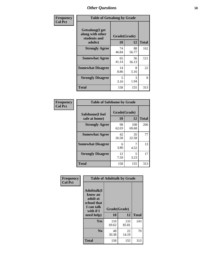| Frequency      | <b>Table of Getsalong by Grade</b>                          |              |             |              |  |  |
|----------------|-------------------------------------------------------------|--------------|-------------|--------------|--|--|
| <b>Col Pct</b> | <b>Getsalong</b> (I get<br>along with other<br>students and | Grade(Grade) |             |              |  |  |
|                | adults)                                                     | 10           | 12          | <b>Total</b> |  |  |
|                | <b>Strongly Agree</b>                                       | 74<br>46.84  | 88<br>56.77 | 162          |  |  |
|                | <b>Somewhat Agree</b>                                       | 65<br>41.14  | 56<br>36.13 | 121          |  |  |
|                | <b>Somewhat Disagree</b>                                    | 14<br>8.86   | 8<br>5.16   | 22           |  |  |
|                | <b>Strongly Disagree</b>                                    | 5<br>3.16    | 3<br>1.94   | 8            |  |  |
|                | <b>Total</b>                                                | 158          | 155         | 313          |  |  |

| Frequency      | <b>Table of Safehome by Grade</b> |                    |              |              |  |  |
|----------------|-----------------------------------|--------------------|--------------|--------------|--|--|
| <b>Col Pct</b> | Safehome(I feel<br>safe at home)  | Grade(Grade)<br>10 | 12           | <b>Total</b> |  |  |
|                | <b>Strongly Agree</b>             | 98<br>62.03        | 108<br>69.68 | 206          |  |  |
|                | <b>Somewhat Agree</b>             | 42<br>26.58        | 35<br>22.58  | 77           |  |  |
|                | <b>Somewhat Disagree</b>          | 6<br>3.80          | 4.52         | 13           |  |  |
|                | <b>Strongly Disagree</b>          | 12<br>7.59         | 5<br>3.23    | 17           |  |  |
|                | <b>Total</b>                      | 158                | 155          | 313          |  |  |

| Frequency      | <b>Table of Adulttalk by Grade</b>                                                  |              |              |              |  |
|----------------|-------------------------------------------------------------------------------------|--------------|--------------|--------------|--|
| <b>Col Pct</b> | <b>Adulttalk(I</b><br>know an<br>adult at<br>school that<br>I can talk<br>with if I | Grade(Grade) |              |              |  |
|                | need help)                                                                          | 10           | 12           | <b>Total</b> |  |
|                | <b>Yes</b>                                                                          | 110<br>69.62 | 133<br>85.81 | 243          |  |
|                | N <sub>0</sub>                                                                      | 48<br>30.38  | 22<br>14.19  | 70           |  |
|                | <b>Total</b>                                                                        | 158          | 155          | 313          |  |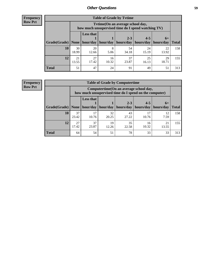**Frequency Row Pct**

| <b>Table of Grade by Tytime</b> |             |                                                                                         |             |             |             |             |              |
|---------------------------------|-------------|-----------------------------------------------------------------------------------------|-------------|-------------|-------------|-------------|--------------|
|                                 |             | Tytime (On an average school day,<br>how much unsupervised time do I spend watching TV) |             |             |             |             |              |
|                                 |             | <b>Less that</b>                                                                        |             | $2 - 3$     | $4 - 5$     | $6+$        |              |
| Grade(Grade)                    | None        | hour/day                                                                                | hour/day    | hours/day   | hours/day   | hours/day   | <b>Total</b> |
| 10                              | 30<br>18.99 | 20<br>12.66                                                                             | 8<br>5.06   | 54<br>34.18 | 24<br>15.19 | 22<br>13.92 | 158          |
| 12                              | 21<br>13.55 | 27<br>17.42                                                                             | 16<br>10.32 | 37<br>23.87 | 25<br>16.13 | 29<br>18.71 | 155          |
| <b>Total</b>                    | 51          | 47                                                                                      | 24          | 91          | 49          | 51          | 313          |

**Frequency Row Pct**

| <b>Table of Grade by Computertime</b> |             |                                                                                                   |             |                      |                      |                   |              |
|---------------------------------------|-------------|---------------------------------------------------------------------------------------------------|-------------|----------------------|----------------------|-------------------|--------------|
|                                       |             | Computertime (On an average school day,<br>how much unsupervised time do I spend on the computer) |             |                      |                      |                   |              |
| Grade(Grade)                          | None        | <b>Less that</b><br>hour/day                                                                      | hour/day    | $2 - 3$<br>hours/day | $4 - 5$<br>hours/day | $6+$<br>hours/day | <b>Total</b> |
| 10                                    | 37<br>23.42 | 17<br>10.76                                                                                       | 32<br>20.25 | 43<br>27.22          | 17<br>10.76          | 12<br>7.59        | 158          |
| 12                                    | 27<br>17.42 | 37<br>23.87                                                                                       | 19<br>12.26 | 35<br>22.58          | 16<br>10.32          | 21<br>13.55       | 155          |
| <b>Total</b>                          | 64          | 54                                                                                                | 51          | 78                   | 33                   | 33                | 313          |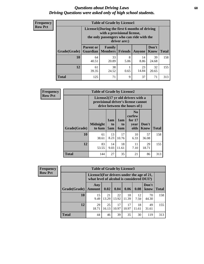### *Questions about Driving Laws* **60** *Driving Questions were asked only of high school students.*

| <b>Frequency</b> |
|------------------|
| <b>Row Pct</b>   |

| <b>Table of Grade by License1</b> |                                     |                                                                                                                                           |                |             |               |              |  |  |  |
|-----------------------------------|-------------------------------------|-------------------------------------------------------------------------------------------------------------------------------------------|----------------|-------------|---------------|--------------|--|--|--|
|                                   |                                     | License1(During the first 6 months of driving<br>with a provisional license,<br>the only passengers who can ride with the<br>driver are:) |                |             |               |              |  |  |  |
| Grade(Grade)                      | <b>Parent or</b><br><b>Guardian</b> | Family<br><b>Members</b>                                                                                                                  | <b>Friends</b> | Anyone      | Don't<br>Know | <b>Total</b> |  |  |  |
| 10                                | 64<br>40.51                         | 33<br>20.89                                                                                                                               | 8<br>5.06      | 14<br>8.86  | 39<br>24.68   | 158          |  |  |  |
| 12                                | 61<br>39.35                         | 38<br>24.52                                                                                                                               | 0.65           | 23<br>14.84 | 32<br>20.65   | 155          |  |  |  |
| <b>Total</b>                      | 125                                 | 71                                                                                                                                        | 9              | 37          | 71            | 313          |  |  |  |

| Frequency      |              | <b>Table of Grade by License2</b> |                  |                  |                                                                                                          |                      |              |  |  |
|----------------|--------------|-----------------------------------|------------------|------------------|----------------------------------------------------------------------------------------------------------|----------------------|--------------|--|--|
| <b>Row Pct</b> |              |                                   |                  |                  | License2(17 yr old drivers with a<br>provisional driver's license cannot<br>drive between the hours of:) |                      |              |  |  |
|                | Grade(Grade) | <b>Midnight</b><br>to 6am         | 1am<br>to<br>5am | 1am<br>to<br>6am | N <sub>0</sub><br>curfew<br>for $17$<br>year<br>olds                                                     | Don't<br><b>Know</b> | <b>Total</b> |  |  |
|                | 10           | 61<br>38.61                       | 13<br>8.23       | 17<br>10.76      | 10<br>6.33                                                                                               | 57<br>36.08          | 158          |  |  |
|                | 12           | 83<br>53.55                       | 14<br>9.03       | 18<br>11.61      | 11<br>7.10                                                                                               | 29<br>18.71          | 155          |  |  |
|                | <b>Total</b> | 144                               | 27               | 35               | 21                                                                                                       | 86                   | 313          |  |  |

| <b>Frequency</b> | <b>Table of Grade by License3</b> |                      |                                                                                        |             |             |             |               |              |  |
|------------------|-----------------------------------|----------------------|----------------------------------------------------------------------------------------|-------------|-------------|-------------|---------------|--------------|--|
| <b>Row Pct</b>   |                                   |                      | License3(For drivers under the age of 21,<br>what level of alcohol is considered DUI?) |             |             |             |               |              |  |
|                  | Grade(Grade)                      | Any<br><b>Amount</b> | 0.02                                                                                   | 0.04        | 0.06        | 0.08        | Don't<br>know | <b>Total</b> |  |
|                  | 10                                | 15<br>9.49           | 21<br>13.29                                                                            | 22<br>13.92 | 18<br>11.39 | 12<br>7.59  | 70<br>44.30   | 158          |  |
|                  | 12                                | 29<br>18.71          | 25<br>16.13                                                                            | 17<br>10.97 | 17<br>10.97 | 18<br>11.61 | 49<br>31.61   | 155          |  |
|                  | <b>Total</b>                      | 44                   | 46                                                                                     | 39          | 35          | 30          | 119           | 313          |  |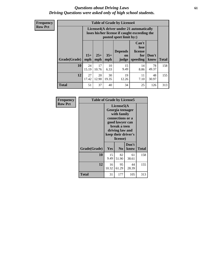### *Questions about Driving Laws* **61** *Driving Questions were asked only of high school students.*

**Frequency Row Pct**

| <b>Table of Grade by License4</b> |             |                                                                                                                                                                                                                                                                                       |             |             |            |             |     |  |
|-----------------------------------|-------------|---------------------------------------------------------------------------------------------------------------------------------------------------------------------------------------------------------------------------------------------------------------------------------------|-------------|-------------|------------|-------------|-----|--|
|                                   |             | License4(A driver under 21 automatically<br>loses his/her license if caught exceeding the<br>posted speet limit by:)<br>Can't<br>lose<br><b>Depends</b><br>license<br>$15+$<br>$25+$<br>$35+$<br>Don't<br>for<br><b>on</b><br><b>Total</b><br>mph<br>speeding<br>know<br>mph<br>judge |             |             |            |             |     |  |
| Grade(Grade)                      | mph         |                                                                                                                                                                                                                                                                                       |             |             |            |             |     |  |
| 10                                | 24<br>15.19 | 17<br>10.76                                                                                                                                                                                                                                                                           | 10<br>6.33  | 15<br>9.49  | 14<br>8.86 | 78<br>49.37 | 158 |  |
| 12                                | 27<br>17.42 | 20<br>12.90                                                                                                                                                                                                                                                                           | 30<br>19.35 | 19<br>12.26 | 11<br>7.10 | 48<br>30.97 | 155 |  |
| <b>Total</b>                      | 51          | 37                                                                                                                                                                                                                                                                                    | 40          | 34          | 25         | 126         | 313 |  |

| Frequency      | <b>Table of Grade by License5</b> |                                                                                                                                                             |                |               |       |  |  |
|----------------|-----------------------------------|-------------------------------------------------------------------------------------------------------------------------------------------------------------|----------------|---------------|-------|--|--|
| <b>Row Pct</b> |                                   | License5(A)<br>Georgia teenager<br>with family<br>connections or a<br>good lawyer can<br>break a teen<br>driving law and<br>keep their driver's<br>license) |                |               |       |  |  |
|                | Grade(Grade)                      | Yes                                                                                                                                                         | N <sub>0</sub> | Don't<br>know | Total |  |  |
|                | 10                                | 15<br>9.49                                                                                                                                                  | 82<br>51.90    | 61<br>38.61   | 158   |  |  |
|                | 12                                | 16<br>10.32                                                                                                                                                 | 95<br>61.29    | 44<br>28.39   | 155   |  |  |
|                | Total                             | 31                                                                                                                                                          | 177            | 105           | 313   |  |  |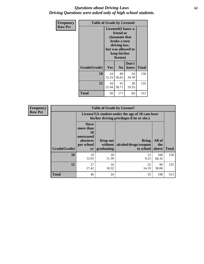## *Questions about Driving Laws* **62** *Driving Questions were asked only of high school students.*

| <b>Frequency</b> | <b>Table of Grade by License6</b> |             |                                                                                                                           |                    |              |  |  |
|------------------|-----------------------------------|-------------|---------------------------------------------------------------------------------------------------------------------------|--------------------|--------------|--|--|
| <b>Row Pct</b>   |                                   |             | License <sub>6</sub> (I know a<br>friend or<br>classmate that<br>broke a teen<br>driving law,<br>keep his/her<br>license) | but was allowed to |              |  |  |
|                  | Grade(Grade)                      | Yes         | N <sub>0</sub>                                                                                                            | Don't<br>know      | <b>Total</b> |  |  |
|                  | 10                                | 24<br>15.19 | 80<br>50.63                                                                                                               | 54<br>34.18        | 158          |  |  |
|                  | 12                                | 34<br>21.94 | 91<br>58.71                                                                                                               | 30<br>19.35        | 155          |  |  |
|                  | <b>Total</b>                      | 58          | 171                                                                                                                       | 84                 | 313          |  |  |

| Frequency      | <b>Table of Grade by License7</b> |                                                                             |                                     |                                                                                               |                        |              |  |  |
|----------------|-----------------------------------|-----------------------------------------------------------------------------|-------------------------------------|-----------------------------------------------------------------------------------------------|------------------------|--------------|--|--|
| <b>Row Pct</b> |                                   |                                                                             |                                     | License7(A student under the age of 18 cam loser<br>his/her driving privileges if he or she:) |                        |              |  |  |
|                | Grade(Grade)                      | <b>Have</b><br>more than<br>10<br>unexcused<br>absences<br>per school<br>yr | Drop out<br>without  <br>graduating | <b>Bring</b><br>alcohol/drugs/weapon<br>to school                                             | All of<br>the<br>above | <b>Total</b> |  |  |
|                | 10                                | 19<br>12.03                                                                 | 18<br>11.39                         | 13<br>8.23                                                                                    | 108<br>68.35           | 158          |  |  |
|                | 12                                | 27<br>17.42                                                                 | 16<br>10.32                         | 22<br>14.19                                                                                   | 90<br>58.06            | 155          |  |  |
|                | <b>Total</b>                      | 46                                                                          | 34                                  | 35                                                                                            | 198                    | 313          |  |  |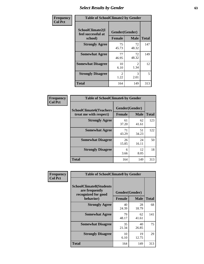# *Select Results by Gender* **63**

| Frequency      | <b>Table of SchoolClimate2 by Gender</b>          |                                 |                                     |              |  |  |
|----------------|---------------------------------------------------|---------------------------------|-------------------------------------|--------------|--|--|
| <b>Col Pct</b> | SchoolClimate2(I<br>feel successful at<br>school) | Gender(Gender)<br><b>Female</b> | <b>Male</b>                         | <b>Total</b> |  |  |
|                | <b>Strongly Agree</b>                             | 75<br>45.73                     | 72<br>48.32                         | 147          |  |  |
|                | <b>Somewhat Agree</b>                             | 77<br>46.95                     | 72<br>48.32                         | 149          |  |  |
|                | <b>Somewhat Disagree</b>                          | 10<br>6.10                      | $\mathcal{D}_{\mathcal{L}}$<br>1.34 | 12           |  |  |
|                | <b>Strongly Disagree</b>                          | $\mathcal{L}$<br>1.22           | 3<br>2.01                           | 5            |  |  |
|                | <b>Total</b>                                      | 164                             | 149                                 | 313          |  |  |

| Frequency      | <b>Table of SchoolClimate6 by Gender</b>                 |                                 |             |              |  |  |  |
|----------------|----------------------------------------------------------|---------------------------------|-------------|--------------|--|--|--|
| <b>Col Pct</b> | <b>SchoolClimate6(Teachers</b><br>treat me with respect) | Gender(Gender)<br><b>Female</b> | <b>Male</b> | <b>Total</b> |  |  |  |
|                | <b>Strongly Agree</b>                                    | 61<br>37.20                     | 62<br>41.61 | 123          |  |  |  |
|                | <b>Somewhat Agree</b>                                    | 71<br>43.29                     | 51<br>34.23 | 122          |  |  |  |
|                | <b>Somewhat Disagree</b>                                 | 26<br>15.85                     | 24<br>16.11 | 50           |  |  |  |
|                | <b>Strongly Disagree</b>                                 | 6<br>3.66                       | 12<br>8.05  | 18           |  |  |  |
|                | <b>Total</b>                                             | 164                             | 149         | 313          |  |  |  |

| Frequency      | <b>Table of SchoolClimate8 by Gender</b>                                             |                                 |             |              |  |  |
|----------------|--------------------------------------------------------------------------------------|---------------------------------|-------------|--------------|--|--|
| <b>Col Pct</b> | <b>SchoolClimate8(Students</b><br>are frequently<br>recognized for good<br>behavior) | Gender(Gender)<br><b>Female</b> | <b>Male</b> | <b>Total</b> |  |  |
|                | <b>Strongly Agree</b>                                                                | 40<br>24.39                     | 28<br>18.79 | 68           |  |  |
|                | <b>Somewhat Agree</b>                                                                | 79<br>48.17                     | 62<br>41.61 | 141          |  |  |
|                | <b>Somewhat Disagree</b>                                                             | 35<br>21.34                     | 40<br>26.85 | 75           |  |  |
|                | <b>Strongly Disagree</b>                                                             | 10<br>6.10                      | 19<br>12.75 | 29           |  |  |
|                | Total                                                                                | 164                             | 149         | 313          |  |  |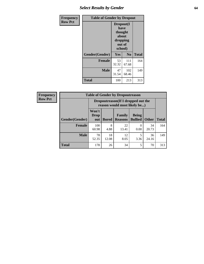# *Select Results by Gender* **64**

| Frequency      | <b>Table of Gender by Dropout</b> |                                                              |                |              |
|----------------|-----------------------------------|--------------------------------------------------------------|----------------|--------------|
| <b>Row Pct</b> |                                   | Dropout(I<br>have<br>thought<br>about<br>dropping<br>school) | out of         |              |
|                | Gender(Gender)                    | Yes                                                          | N <sub>0</sub> | <b>Total</b> |
|                | <b>Female</b>                     | 53<br>32.32                                                  | 111<br>67.68   | 164          |
|                | <b>Male</b>                       | 47<br>31.54                                                  | 102<br>68.46   | 149          |
|                | <b>Total</b>                      | 100                                                          | 213            | 313          |

| <b>Frequency</b> |                | <b>Table of Gender by Dropoutreason</b> |                                                                    |                          |                                |              |              |  |  |
|------------------|----------------|-----------------------------------------|--------------------------------------------------------------------|--------------------------|--------------------------------|--------------|--------------|--|--|
| <b>Row Pct</b>   |                |                                         | Dropoutreason(If I dropped out the<br>reason would most likely be) |                          |                                |              |              |  |  |
|                  | Gender(Gender) | Won't<br><b>Drop</b><br>out             | <b>Bored</b>                                                       | Family<br><b>Reasons</b> | <b>Being</b><br><b>Bullied</b> | <b>Other</b> | <b>Total</b> |  |  |
|                  | <b>Female</b>  | 100<br>60.98                            | 8<br>4.88                                                          | 22<br>13.41              | 0.00                           | 34<br>20.73  | 164          |  |  |
|                  | <b>Male</b>    | 78<br>52.35                             | 18<br>12.08                                                        | 12<br>8.05               | 3.36                           | 36<br>24.16  | 149          |  |  |
|                  | <b>Total</b>   | 178                                     | 26                                                                 | 34                       | 5                              | 70           | 313          |  |  |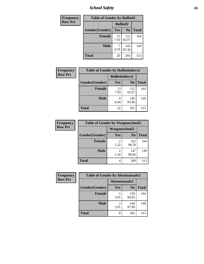*School Safety* **65**

| Frequency      | <b>Table of Gender by Bullied2</b> |                 |                |              |
|----------------|------------------------------------|-----------------|----------------|--------------|
| <b>Row Pct</b> |                                    | <b>Bullied2</b> |                |              |
|                | Gender(Gender)                     | Yes             | N <sub>0</sub> | <b>Total</b> |
|                | <b>Female</b>                      | 13<br>7.93      | 151<br>92.07   | 164          |
|                | <b>Male</b>                        | 4.70            | 142<br>95.30   | 149          |
|                | <b>Total</b>                       | 20              | 293            | 313          |

| Frequency      | <b>Table of Gender by Bulliedothers2</b> |                       |                |              |
|----------------|------------------------------------------|-----------------------|----------------|--------------|
| <b>Row Pct</b> |                                          | <b>Bulliedothers2</b> |                |              |
|                | Gender(Gender)                           | Yes                   | N <sub>0</sub> | <b>Total</b> |
|                | <b>Female</b>                            | 13<br>7.93            | 151<br>92.07   | 164          |
|                | <b>Male</b>                              | Q<br>6.04             | 140<br>93.96   | 149          |
|                | <b>Total</b>                             | 22                    | 291            | 313          |

| <b>Frequency</b> | <b>Table of Gender by Weaponschool2</b> |                        |                |              |
|------------------|-----------------------------------------|------------------------|----------------|--------------|
| <b>Row Pct</b>   |                                         | Weaponschool2          |                |              |
|                  | Gender(Gender)                          | Yes                    | N <sub>0</sub> | <b>Total</b> |
|                  | <b>Female</b>                           | 2<br>1.22              | 162<br>98.78   | 164          |
|                  | <b>Male</b>                             | $\overline{2}$<br>1.34 | 147<br>98.66   | 149          |
|                  | <b>Total</b>                            | 4                      | 309            | 313          |

| Frequency      | <b>Table of Gender by Absentunsafe2</b> |               |                |              |
|----------------|-----------------------------------------|---------------|----------------|--------------|
| <b>Row Pct</b> |                                         | Absentunsafe2 |                |              |
|                | Gender(Gender)                          | Yes           | N <sub>0</sub> | <b>Total</b> |
|                | <b>Female</b>                           | 3.05          | 159<br>96.95   | 164          |
|                | <b>Male</b>                             | 2.01          | 146<br>97.99   | 149          |
|                | <b>Total</b>                            | 8             | 305            | 313          |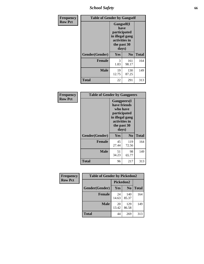*School Safety* **66**

| Frequency      | <b>Table of Gender by Gangself</b> |                                                                                                |              |              |
|----------------|------------------------------------|------------------------------------------------------------------------------------------------|--------------|--------------|
| <b>Row Pct</b> |                                    | Gangself(I<br>have<br>participated<br>in illegal gang<br>activities in<br>the past 30<br>days) |              |              |
|                | Gender(Gender)                     | Yes                                                                                            | No           | <b>Total</b> |
|                | <b>Female</b>                      | 3<br>1.83                                                                                      | 161<br>98.17 | 164          |
|                | <b>Male</b>                        | 19<br>12.75                                                                                    | 130<br>87.25 | 149          |
|                | <b>Total</b>                       | 22                                                                                             | 291          | 313          |

| Frequency      | <b>Table of Gender by Gangpeers</b> |                                                                                                                             |                |              |
|----------------|-------------------------------------|-----------------------------------------------------------------------------------------------------------------------------|----------------|--------------|
| <b>Row Pct</b> |                                     | <b>Gangpeers</b> (I<br>have friends<br>who have<br>participated<br>in illegal gang<br>activities in<br>the past 30<br>days) |                |              |
|                | Gender(Gender)                      | <b>Yes</b>                                                                                                                  | N <sub>0</sub> | <b>Total</b> |
|                | <b>Female</b>                       | 45<br>27.44                                                                                                                 | 119<br>72.56   | 164          |
|                | <b>Male</b>                         | 51<br>34.23                                                                                                                 | 98<br>65.77    | 149          |
|                | Total                               | 96                                                                                                                          | 217            | 313          |

| Frequency      | <b>Table of Gender by Pickedon2</b> |             |                |              |
|----------------|-------------------------------------|-------------|----------------|--------------|
| <b>Row Pct</b> |                                     | Pickedon2   |                |              |
|                | Gender(Gender)                      | <b>Yes</b>  | N <sub>0</sub> | <b>Total</b> |
|                | <b>Female</b>                       | 24<br>14.63 | 140<br>85.37   | 164          |
|                | <b>Male</b>                         | 20<br>13.42 | 129<br>86.58   | 149          |
|                | <b>Total</b>                        | 44          | 269            | 313          |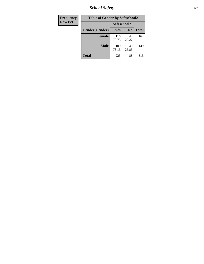*School Safety* **67**

| Frequency      | <b>Table of Gender by Safeschool2</b> |              |                |              |
|----------------|---------------------------------------|--------------|----------------|--------------|
| <b>Row Pct</b> |                                       | Safeschool2  |                |              |
|                | Gender(Gender)                        | Yes          | N <sub>0</sub> | <b>Total</b> |
|                | <b>Female</b>                         | 116<br>70.73 | 48<br>29.27    | 164          |
|                | <b>Male</b>                           | 109<br>73.15 | 40<br>26.85    | 149          |
|                | <b>Total</b>                          | 225          | 88             | 313          |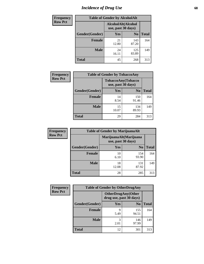# *Incidence of Drug Use* 68

| Frequency      | <b>Table of Gender by AlcoholAlt</b> |                                          |                |              |
|----------------|--------------------------------------|------------------------------------------|----------------|--------------|
| <b>Row Pct</b> |                                      | AlcoholAlt(Alcohol<br>use, past 30 days) |                |              |
|                | Gender(Gender)                       | Yes                                      | N <sub>0</sub> | <b>Total</b> |
|                | <b>Female</b>                        | 21<br>12.80                              | 143<br>87.20   | 164          |
|                | <b>Male</b>                          | 24<br>16.11                              | 125<br>83.89   | 149          |
|                | <b>Total</b>                         | 45                                       | 268            | 313          |

| <b>Frequency</b> | <b>Table of Gender by TobaccoAny</b> |                                          |                |              |
|------------------|--------------------------------------|------------------------------------------|----------------|--------------|
| <b>Row Pct</b>   |                                      | TobaccoAny(Tobacco<br>use, past 30 days) |                |              |
|                  | Gender(Gender)                       | Yes                                      | N <sub>0</sub> | <b>Total</b> |
|                  | <b>Female</b>                        | 14<br>8.54                               | 150<br>91.46   | 164          |
|                  | <b>Male</b>                          | 15<br>10.07                              | 134<br>89.93   | 149          |
|                  | <b>Total</b>                         | 29                                       | 284            | 313          |

| <b>Frequency</b> | <b>Table of Gender by MarijuanaAlt</b> |                                              |                |              |
|------------------|----------------------------------------|----------------------------------------------|----------------|--------------|
| <b>Row Pct</b>   |                                        | MarijuanaAlt(Marijuana<br>use, past 30 days) |                |              |
|                  | Gender(Gender)                         | <b>Yes</b>                                   | N <sub>0</sub> | <b>Total</b> |
|                  | <b>Female</b>                          | 10<br>6.10                                   | 154<br>93.90   | 164          |
|                  | <b>Male</b>                            | 18<br>12.08                                  | 131<br>87.92   | 149          |
|                  | <b>Total</b>                           | 28                                           | 285            | 313          |

| <b>Frequency</b> |                | <b>Table of Gender by OtherDrugAny</b>               |                |              |  |
|------------------|----------------|------------------------------------------------------|----------------|--------------|--|
| <b>Row Pct</b>   |                | <b>OtherDrugAny(Other</b><br>drug use, past 30 days) |                |              |  |
|                  | Gender(Gender) | <b>Yes</b>                                           | N <sub>0</sub> | <b>Total</b> |  |
|                  | <b>Female</b>  | 9<br>5.49                                            | 155<br>94.51   | 164          |  |
|                  | <b>Male</b>    | 3<br>2.01                                            | 146<br>97.99   | 149          |  |
|                  | <b>Total</b>   | 12                                                   | 301            | 313          |  |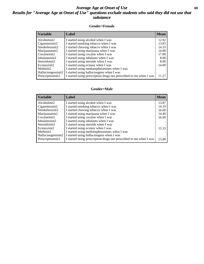## *Average Age at Onset of Use* **69** *Results for "Average Age at Onset of Use" questions exclude students who said they did not use that substance*

### **Gender=Female**

| <i><b>Variable</b></i>          | <b>Label</b>                                                       | <b>Mean</b> |
|---------------------------------|--------------------------------------------------------------------|-------------|
| Alcoholinit2                    | I started using alcohol when I was                                 | 12.92       |
| Cigarettesinit2                 | I started smoking tobacco when I was                               | 13.83       |
| Smokelessinit2                  | I started chewing tobacco when I was                               | 14.33       |
| Marijuanainit2                  | I started using marijuana when I was                               | 14.08       |
| Cocaineinit2                    | I started using cocaine when I was                                 | 17.00       |
| Inhalantsinit2                  | I started using inhalants when I was                               | 8.00        |
| Steroidsinit2                   | I started using steroids when I was                                | 8.00        |
| Ecstasyinit2                    | I started using ecstasy when I was                                 | 14.00       |
| Methinit2                       | I started using methamphetamines when I was                        |             |
| Hallucinogensinit2              | I started using hallucinogens when I was                           |             |
| Prescription in it <sub>2</sub> | I started using prescription drugs not prescribed to me when I was | 11.27       |

#### **Gender=Male**

| <b>Variable</b>    | Label                                                              | <b>Mean</b> |
|--------------------|--------------------------------------------------------------------|-------------|
| Alcoholinit2       | I started using alcohol when I was                                 | 13.87       |
| Cigarettesinit2    | I started smoking tobacco when I was                               | 14.19       |
| Smokelessinit2     | I started chewing tobacco when I was                               | 16.00       |
| Marijuanainit2     | I started using marijuana when I was                               | 14.40       |
| Cocaineinit2       | I started using cocaine when I was                                 | 16.00       |
| Inhalantsinit2     | I started using inhalants when I was                               |             |
| Steroidsinit2      | I started using steroids when I was                                |             |
| Ecstasyinit2       | I started using ecstasy when I was                                 | 15.33       |
| Methinit2          | I started using methamphetamines when I was                        |             |
| Hallucinogensinit2 | I started using hallucinogens when I was                           |             |
| Prescriptioninit2  | I started using prescription drugs not prescribed to me when I was | 15.80       |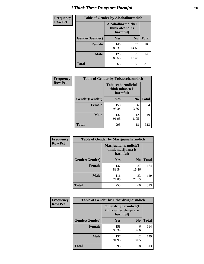# *I Think These Drugs are Harmful* **70**

| <b>Frequency</b> | <b>Table of Gender by Alcoholharmdich</b> |                  |                               |              |
|------------------|-------------------------------------------|------------------|-------------------------------|--------------|
| <b>Row Pct</b>   |                                           | think alcohol is | Alcoholharmdich(I<br>harmful) |              |
|                  | Gender(Gender)                            | Yes              | N <sub>0</sub>                | <b>Total</b> |
|                  | <b>Female</b>                             | 140<br>85.37     | 24<br>14.63                   | 164          |
|                  | <b>Male</b>                               | 123<br>82.55     | 26<br>17.45                   | 149          |
|                  | <b>Total</b>                              | 263              | 50                            | 313          |

| Frequency      | <b>Table of Gender by Tobaccoharmdich</b> |                  |                               |              |
|----------------|-------------------------------------------|------------------|-------------------------------|--------------|
| <b>Row Pct</b> |                                           | think tobacco is | Tobaccoharmdich(I<br>harmful) |              |
|                | Gender(Gender)                            | Yes              | N <sub>0</sub>                | <b>Total</b> |
|                | <b>Female</b>                             | 158<br>96.34     | 6<br>3.66                     | 164          |
|                | <b>Male</b>                               | 137<br>91.95     | 12<br>8.05                    | 149          |
|                | <b>Total</b>                              | 295              | 18                            | 313          |

| Frequency      | <b>Table of Gender by Marijuanaharmdich</b> |                                |                     |              |
|----------------|---------------------------------------------|--------------------------------|---------------------|--------------|
| <b>Row Pct</b> |                                             | think marijuana is<br>harmful) | Marijuanaharmdich(I |              |
|                | Gender(Gender)                              | <b>Yes</b>                     | N <sub>0</sub>      | <b>Total</b> |
|                | <b>Female</b>                               | 137<br>83.54                   | 27<br>16.46         | 164          |
|                | <b>Male</b>                                 | 116<br>77.85                   | 33<br>22.15         | 149          |
|                | <b>Total</b>                                | 253                            | 60                  | 313          |

| Frequency      | <b>Table of Gender by Otherdrugharmdich</b> |                                   |                     |              |
|----------------|---------------------------------------------|-----------------------------------|---------------------|--------------|
| <b>Row Pct</b> |                                             | think other drugs are<br>harmful) | Otherdrugharmdich(I |              |
|                | Gender(Gender)                              | <b>Yes</b>                        | N <sub>0</sub>      | <b>Total</b> |
|                | <b>Female</b>                               | 158<br>96.34                      | 6<br>3.66           | 164          |
|                | <b>Male</b>                                 | 137<br>91.95                      | 12<br>8.05          | 149          |
|                | <b>Total</b>                                | 295                               | 18                  | 313          |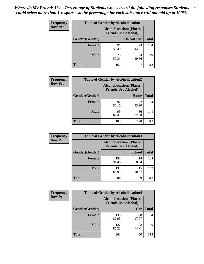| <b>Frequency</b> | <b>Table of Gender by Alcohollocation1</b> |                                                               |             |              |
|------------------|--------------------------------------------|---------------------------------------------------------------|-------------|--------------|
| <b>Row Pct</b>   |                                            | <b>Alcohollocation1(Places</b><br><b>Friends Use Alcohol)</b> |             |              |
|                  | Gender(Gender)                             |                                                               | Do Not Use  | <b>Total</b> |
|                  | <b>Female</b>                              | 91<br>55.49                                                   | 73<br>44.51 | 164          |
|                  | <b>Male</b>                                | 75<br>50.34                                                   | 74<br>49.66 | 149          |
|                  | <b>Total</b>                               | 166                                                           | 147         | 313          |

| <b>Frequency</b> | <b>Table of Gender by Alcohollocation2</b> |                                                               |             |              |
|------------------|--------------------------------------------|---------------------------------------------------------------|-------------|--------------|
| <b>Row Pct</b>   |                                            | <b>Alcohollocation2(Places</b><br><b>Friends Use Alcohol)</b> |             |              |
|                  | Gender(Gender)                             |                                                               | Home        | <b>Total</b> |
|                  | <b>Female</b>                              | 92<br>56.10                                                   | 72<br>43.90 | 164          |
|                  | <b>Male</b>                                | 93<br>62.42                                                   | 56<br>37.58 | 149          |
|                  | <b>Total</b>                               | 185                                                           | 128         | 313          |

| Frequency      | <b>Table of Gender by Alcohollocation3</b> |                                                               |               |              |
|----------------|--------------------------------------------|---------------------------------------------------------------|---------------|--------------|
| <b>Row Pct</b> |                                            | <b>Alcohollocation3(Places</b><br><b>Friends Use Alcohol)</b> |               |              |
|                | Gender(Gender)                             |                                                               | <b>School</b> | <b>Total</b> |
|                | <b>Female</b>                              | 150<br>91.46                                                  | 14<br>8.54    | 164          |
|                | <b>Male</b>                                | 134<br>89.93                                                  | 15<br>10.07   | 149          |
|                | <b>Total</b>                               | 284                                                           | 29            | 313          |

| Frequency      |                | <b>Table of Gender by Alcohollocation4</b>                    |             |              |  |
|----------------|----------------|---------------------------------------------------------------|-------------|--------------|--|
| <b>Row Pct</b> |                | <b>Alcohollocation4(Places</b><br><b>Friends Use Alcohol)</b> |             |              |  |
|                | Gender(Gender) |                                                               | Car         | <b>Total</b> |  |
|                | <b>Female</b>  | 136<br>82.93                                                  | 28<br>17.07 | 164          |  |
|                | <b>Male</b>    | 127<br>85.23                                                  | 22<br>14.77 | 149          |  |
|                | <b>Total</b>   | 263                                                           | 50          | 313          |  |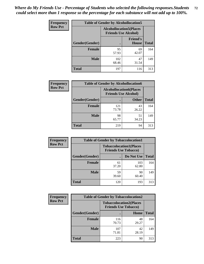| <b>Frequency</b> | <b>Table of Gender by Alcohollocation5</b> |                                                                |                                 |              |
|------------------|--------------------------------------------|----------------------------------------------------------------|---------------------------------|--------------|
| <b>Row Pct</b>   |                                            | <b>Alcohollocation5</b> (Places<br><b>Friends Use Alcohol)</b> |                                 |              |
|                  | Gender(Gender)                             |                                                                | <b>Friend's</b><br><b>House</b> | <b>Total</b> |
|                  | <b>Female</b>                              | 95<br>57.93                                                    | 69<br>42.07                     | 164          |
|                  | <b>Male</b>                                | 102<br>68.46                                                   | 47<br>31.54                     | 149          |
|                  | <b>Total</b>                               | 197                                                            | 116                             | 313          |

| <b>Frequency</b> | <b>Table of Gender by Alcohollocation6</b> |                                                               |              |              |
|------------------|--------------------------------------------|---------------------------------------------------------------|--------------|--------------|
| <b>Row Pct</b>   |                                            | <b>Alcohollocation6(Places</b><br><b>Friends Use Alcohol)</b> |              |              |
|                  | Gender(Gender)                             |                                                               | <b>Other</b> | <b>Total</b> |
|                  | <b>Female</b>                              | 121<br>73.78                                                  | 43<br>26.22  | 164          |
|                  | <b>Male</b>                                | 98<br>65.77                                                   | 51<br>34.23  | 149          |
|                  | <b>Total</b>                               | 219                                                           | 94           | 313          |

| Frequency      | <b>Table of Gender by Tobaccolocation1</b> |                                                               |              |              |  |
|----------------|--------------------------------------------|---------------------------------------------------------------|--------------|--------------|--|
| <b>Row Pct</b> |                                            | <b>Tobaccolocation1(Places</b><br><b>Friends Use Tobacco)</b> |              |              |  |
|                | Gender(Gender)                             |                                                               | Do Not Use   | <b>Total</b> |  |
|                | <b>Female</b>                              | 61<br>37.20                                                   | 103<br>62.80 | 164          |  |
|                | <b>Male</b>                                | 59<br>39.60                                                   | 90<br>60.40  | 149          |  |
|                | <b>Total</b>                               | 120                                                           | 193          | 313          |  |

| <b>Frequency</b> | <b>Table of Gender by Tobaccolocation2</b> |                                                               |             |              |
|------------------|--------------------------------------------|---------------------------------------------------------------|-------------|--------------|
| <b>Row Pct</b>   |                                            | <b>Tobaccolocation2(Places</b><br><b>Friends Use Tobacco)</b> |             |              |
|                  | Gender(Gender)                             |                                                               | Home        | <b>Total</b> |
|                  | Female                                     | 116<br>70.73                                                  | 48<br>29.27 | 164          |
|                  | <b>Male</b>                                | 107<br>71.81                                                  | 42<br>28.19 | 149          |
|                  | <b>Total</b>                               | 223                                                           | 90          | 313          |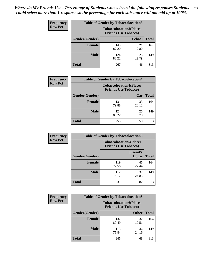| <b>Frequency</b> |                | <b>Table of Gender by Tobaccolocation3</b> |                                                               |              |
|------------------|----------------|--------------------------------------------|---------------------------------------------------------------|--------------|
| <b>Row Pct</b>   |                |                                            | <b>Tobaccolocation3(Places</b><br><b>Friends Use Tobacco)</b> |              |
|                  | Gender(Gender) |                                            | <b>School</b>                                                 | <b>Total</b> |
|                  | Female         | 143<br>87.20                               | 21<br>12.80                                                   | 164          |
|                  | <b>Male</b>    | 124<br>83.22                               | 25<br>16.78                                                   | 149          |
|                  | Total          | 267                                        | 46                                                            | 313          |

| <b>Frequency</b> | <b>Table of Gender by Tobaccolocation4</b> |                                                               |             |              |  |
|------------------|--------------------------------------------|---------------------------------------------------------------|-------------|--------------|--|
| <b>Row Pct</b>   |                                            | <b>Tobaccolocation4(Places</b><br><b>Friends Use Tobacco)</b> |             |              |  |
|                  | Gender(Gender)                             |                                                               | Car         | <b>Total</b> |  |
|                  | <b>Female</b>                              | 131<br>79.88                                                  | 33<br>20.12 | 164          |  |
|                  | <b>Male</b>                                | 124<br>83.22                                                  | 25<br>16.78 | 149          |  |
|                  | <b>Total</b>                               | 255                                                           | 58          | 313          |  |

| <b>Frequency</b> | <b>Table of Gender by Tobaccolocation5</b> |                                                               |                          |              |
|------------------|--------------------------------------------|---------------------------------------------------------------|--------------------------|--------------|
| <b>Row Pct</b>   |                                            | <b>Tobaccolocation5(Places</b><br><b>Friends Use Tobacco)</b> |                          |              |
|                  | Gender(Gender)                             |                                                               | <b>Friend's</b><br>House | <b>Total</b> |
|                  | <b>Female</b>                              | 119<br>72.56                                                  | 45<br>27.44              | 164          |
|                  | <b>Male</b>                                | 112<br>75.17                                                  | 37<br>24.83              | 149          |
|                  | <b>Total</b>                               | 231                                                           | 82                       | 313          |

| <b>Frequency</b> | <b>Table of Gender by Tobaccolocation6</b> |                                                               |              |              |
|------------------|--------------------------------------------|---------------------------------------------------------------|--------------|--------------|
| <b>Row Pct</b>   |                                            | <b>Tobaccolocation6(Places</b><br><b>Friends Use Tobacco)</b> |              |              |
|                  | Gender(Gender)                             |                                                               | <b>Other</b> | <b>Total</b> |
|                  | Female                                     | 132<br>80.49                                                  | 32<br>19.51  | 164          |
|                  | <b>Male</b>                                | 113<br>75.84                                                  | 36<br>24.16  | 149          |
|                  | <b>Total</b>                               | 245                                                           | 68           | 313          |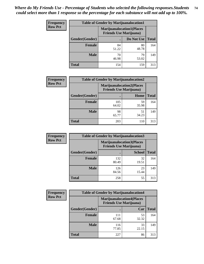| <b>Frequency</b> | <b>Table of Gender by Marijuanalocation1</b> |                                                                    |             |              |  |
|------------------|----------------------------------------------|--------------------------------------------------------------------|-------------|--------------|--|
| <b>Row Pct</b>   |                                              | <b>Marijuanalocation1(Places</b><br><b>Friends Use Marijuana</b> ) |             |              |  |
|                  | Gender(Gender)                               |                                                                    | Do Not Use  | <b>Total</b> |  |
|                  | <b>Female</b>                                | 84<br>51.22                                                        | 80<br>48.78 | 164          |  |
|                  | <b>Male</b>                                  | 70<br>46.98                                                        | 79<br>53.02 | 149          |  |
|                  | <b>Total</b>                                 | 154                                                                | 159         | 313          |  |

| <b>Frequency</b> | <b>Table of Gender by Marijuanalocation2</b> |                                                                    |             |              |  |
|------------------|----------------------------------------------|--------------------------------------------------------------------|-------------|--------------|--|
| <b>Row Pct</b>   |                                              | <b>Marijuanalocation2(Places</b><br><b>Friends Use Marijuana</b> ) |             |              |  |
|                  | Gender(Gender)                               |                                                                    | Home        | <b>Total</b> |  |
|                  | Female                                       | 105<br>64.02                                                       | 59<br>35.98 | 164          |  |
|                  | <b>Male</b>                                  | 98<br>65.77                                                        | 51<br>34.23 | 149          |  |
|                  | <b>Total</b>                                 | 203                                                                | 110         | 313          |  |

| Frequency      | <b>Table of Gender by Marijuanalocation3</b> |                                                                    |               |              |
|----------------|----------------------------------------------|--------------------------------------------------------------------|---------------|--------------|
| <b>Row Pct</b> |                                              | <b>Marijuanalocation3(Places</b><br><b>Friends Use Marijuana</b> ) |               |              |
|                | Gender(Gender)                               |                                                                    | <b>School</b> | <b>Total</b> |
|                | Female                                       | 132<br>80.49                                                       | 32<br>19.51   | 164          |
|                | <b>Male</b>                                  | 126<br>84.56                                                       | 23<br>15.44   | 149          |
|                | <b>Total</b>                                 | 258                                                                | 55            | 313          |

| <b>Frequency</b> | <b>Table of Gender by Marijuanalocation4</b> |                                |                                  |              |
|------------------|----------------------------------------------|--------------------------------|----------------------------------|--------------|
| <b>Row Pct</b>   |                                              | <b>Friends Use Marijuana</b> ) | <b>Marijuanalocation4(Places</b> |              |
|                  | Gender(Gender)                               |                                | Car                              | <b>Total</b> |
|                  | Female                                       | 111<br>67.68                   | 53<br>32.32                      | 164          |
|                  | <b>Male</b>                                  | 116<br>77.85                   | 33<br>22.15                      | 149          |
|                  | <b>Total</b>                                 | 227                            | 86                               | 313          |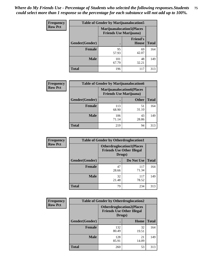| <b>Frequency</b> | <b>Table of Gender by Marijuanalocation5</b> |                                                                     |                          |              |
|------------------|----------------------------------------------|---------------------------------------------------------------------|--------------------------|--------------|
| <b>Row Pct</b>   |                                              | <b>Marijuanalocation5</b> (Places<br><b>Friends Use Marijuana</b> ) |                          |              |
|                  | <b>Gender</b> (Gender)                       |                                                                     | <b>Friend's</b><br>House | <b>Total</b> |
|                  | <b>Female</b>                                | 95<br>57.93                                                         | 69<br>42.07              | 164          |
|                  | <b>Male</b>                                  | 101<br>67.79                                                        | 48<br>32.21              | 149          |
|                  | <b>Total</b>                                 | 196                                                                 | 117                      | 313          |

| <b>Frequency</b> | <b>Table of Gender by Marijuanalocation6</b> |                                                                    |              |              |
|------------------|----------------------------------------------|--------------------------------------------------------------------|--------------|--------------|
| <b>Row Pct</b>   |                                              | <b>Marijuanalocation6(Places</b><br><b>Friends Use Marijuana</b> ) |              |              |
|                  | Gender(Gender)                               |                                                                    | <b>Other</b> | <b>Total</b> |
|                  | <b>Female</b>                                | 113<br>68.90                                                       | 51<br>31.10  | 164          |
|                  | <b>Male</b>                                  | 106<br>71.14                                                       | 43<br>28.86  | 149          |
|                  | <b>Total</b>                                 | 219                                                                | 94           | 313          |

| <b>Frequency</b> | <b>Table of Gender by Otherdruglocation1</b> |                                                                                |              |              |
|------------------|----------------------------------------------|--------------------------------------------------------------------------------|--------------|--------------|
| <b>Row Pct</b>   |                                              | <b>Otherdruglocation1(Places</b><br><b>Friends Use Other Illegal</b><br>Drugs) |              |              |
|                  | Gender(Gender)                               |                                                                                | Do Not Use   | <b>Total</b> |
|                  | Female                                       | 47<br>28.66                                                                    | 117<br>71.34 | 164          |
|                  | <b>Male</b>                                  | 32<br>21.48                                                                    | 117<br>78.52 | 149          |
|                  | <b>Total</b>                                 | 79                                                                             | 234          | 313          |

| <b>Frequency</b> | <b>Table of Gender by Otherdruglocation2</b> |                                            |                                  |              |
|------------------|----------------------------------------------|--------------------------------------------|----------------------------------|--------------|
| <b>Row Pct</b>   |                                              | <b>Friends Use Other Illegal</b><br>Drugs) | <b>Otherdruglocation2(Places</b> |              |
|                  | Gender(Gender)                               |                                            | Home                             | <b>Total</b> |
|                  | Female                                       | 132<br>80.49                               | 32<br>19.51                      | 164          |
|                  | <b>Male</b>                                  | 128<br>85.91                               | 21<br>14.09                      | 149          |
|                  | <b>Total</b>                                 | 260                                        | 53                               | 313          |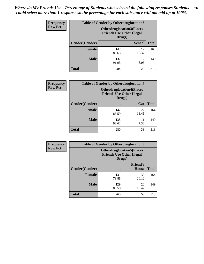| <b>Frequency</b> | <b>Table of Gender by Otherdruglocation3</b> |                                                                                |               |              |
|------------------|----------------------------------------------|--------------------------------------------------------------------------------|---------------|--------------|
| <b>Row Pct</b>   |                                              | <b>Otherdruglocation3(Places</b><br><b>Friends Use Other Illegal</b><br>Drugs) |               |              |
|                  | Gender(Gender)                               |                                                                                | <b>School</b> | <b>Total</b> |
|                  | <b>Female</b>                                | 147<br>89.63                                                                   | 17<br>10.37   | 164          |
|                  | <b>Male</b>                                  | 137<br>91.95                                                                   | 12<br>8.05    | 149          |
|                  | <b>Total</b>                                 | 284                                                                            | 29            | 313          |

| Frequency      | <b>Table of Gender by Otherdruglocation4</b> |              |                                                                      |              |
|----------------|----------------------------------------------|--------------|----------------------------------------------------------------------|--------------|
| <b>Row Pct</b> |                                              | Drugs)       | <b>Otherdruglocation4(Places</b><br><b>Friends Use Other Illegal</b> |              |
|                | Gender(Gender)                               |              | Car                                                                  | <b>Total</b> |
|                | <b>Female</b>                                | 142<br>86.59 | 22<br>13.41                                                          | 164          |
|                | <b>Male</b>                                  | 138<br>92.62 | 11<br>7.38                                                           | 149          |
|                | <b>Total</b>                                 | 280          | 33                                                                   | 313          |

| Frequency      | <b>Table of Gender by Otherdruglocation5</b> |                                                                                |                                 |              |
|----------------|----------------------------------------------|--------------------------------------------------------------------------------|---------------------------------|--------------|
| <b>Row Pct</b> |                                              | <b>Otherdruglocation5(Places</b><br><b>Friends Use Other Illegal</b><br>Drugs) |                                 |              |
|                | Gender(Gender)                               |                                                                                | <b>Friend's</b><br><b>House</b> | <b>Total</b> |
|                | <b>Female</b>                                | 131<br>79.88                                                                   | 33<br>20.12                     | 164          |
|                | <b>Male</b>                                  | 129<br>86.58                                                                   | 20<br>13.42                     | 149          |
|                | <b>Total</b>                                 | 260                                                                            | 53                              | 313          |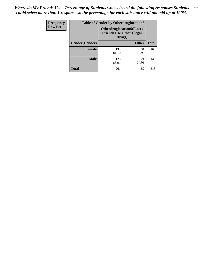| Frequency      | <b>Table of Gender by Otherdruglocation6</b> |                                                                                |              |              |
|----------------|----------------------------------------------|--------------------------------------------------------------------------------|--------------|--------------|
| <b>Row Pct</b> |                                              | <b>Otherdruglocation6(Places</b><br><b>Friends Use Other Illegal</b><br>Drugs) |              |              |
|                | Gender(Gender)                               |                                                                                | <b>Other</b> | <b>Total</b> |
|                | <b>Female</b>                                | 133<br>81.10                                                                   | 31<br>18.90  | 164          |
|                | <b>Male</b>                                  | 128<br>85.91                                                                   | 21<br>14.09  | 149          |
|                | <b>Total</b>                                 | 261                                                                            | 52           | 313          |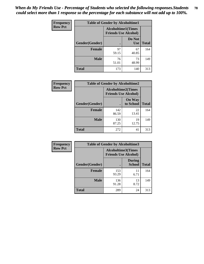| <b>Frequency</b> | <b>Table of Gender by Alcoholtime1</b> |                                                          |                      |              |
|------------------|----------------------------------------|----------------------------------------------------------|----------------------|--------------|
| <b>Row Pct</b>   |                                        | <b>Alcoholtime1(Times</b><br><b>Friends Use Alcohol)</b> |                      |              |
|                  | Gender(Gender)                         | $\bullet$                                                | Do Not<br><b>Use</b> | <b>Total</b> |
|                  | <b>Female</b>                          | 97<br>59.15                                              | 67<br>40.85          | 164          |
|                  | <b>Male</b>                            | 76<br>51.01                                              | 73<br>48.99          | 149          |
|                  | <b>Total</b>                           | 173                                                      | 140                  | 313          |

| Frequency      | <b>Table of Gender by Alcoholtime2</b> |                                                          |                            |              |
|----------------|----------------------------------------|----------------------------------------------------------|----------------------------|--------------|
| <b>Row Pct</b> |                                        | <b>Alcoholtime2(Times</b><br><b>Friends Use Alcohol)</b> |                            |              |
|                | Gender(Gender)                         |                                                          | <b>On Way</b><br>to School | <b>Total</b> |
|                | <b>Female</b>                          | 142<br>86.59                                             | 22<br>13.41                | 164          |
|                | <b>Male</b>                            | 130<br>87.25                                             | 19<br>12.75                | 149          |
|                | <b>Total</b>                           | 272                                                      | 41                         | 313          |

| Frequency      | <b>Table of Gender by Alcoholtime3</b> |                                                   |                                |              |
|----------------|----------------------------------------|---------------------------------------------------|--------------------------------|--------------|
| <b>Row Pct</b> |                                        | Alcoholtime3(Times<br><b>Friends Use Alcohol)</b> |                                |              |
|                | Gender(Gender)                         |                                                   | <b>During</b><br><b>School</b> | <b>Total</b> |
|                | Female                                 | 153<br>93.29                                      | 11<br>6.71                     | 164          |
|                | <b>Male</b>                            | 136<br>91.28                                      | 13<br>8.72                     | 149          |
|                | <b>Total</b>                           | 289                                               | 24                             | 313          |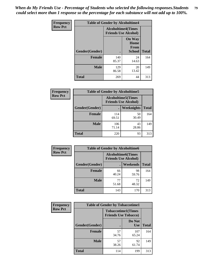*When do My Friends Use - Percentage of Students who selected the following responses.Students could select more than 1 response so the percentage for each substance will not add up to 100%.* **79**

| Frequency      | <b>Table of Gender by Alcoholtime4</b> |                                                          |                                                |              |
|----------------|----------------------------------------|----------------------------------------------------------|------------------------------------------------|--------------|
| <b>Row Pct</b> |                                        | <b>Alcoholtime4(Times</b><br><b>Friends Use Alcohol)</b> |                                                |              |
|                | Gender(Gender)                         |                                                          | <b>On Way</b><br>Home<br><b>From</b><br>School | <b>Total</b> |
|                | <b>Female</b>                          | 140<br>85.37                                             | 24<br>14.63                                    | 164          |
|                | <b>Male</b>                            | 129<br>86.58                                             | 20<br>13.42                                    | 149          |
|                | <b>Total</b>                           | 269                                                      | 44                                             | 313          |

| <b>Frequency</b> | <b>Table of Gender by Alcoholtime5</b> |              |                                                           |              |  |
|------------------|----------------------------------------|--------------|-----------------------------------------------------------|--------------|--|
| <b>Row Pct</b>   |                                        |              | <b>Alcoholtime5</b> (Times<br><b>Friends Use Alcohol)</b> |              |  |
|                  | Gender(Gender)                         |              | Weeknights                                                | <b>Total</b> |  |
|                  | <b>Female</b>                          | 114<br>69.51 | 50<br>30.49                                               | 164          |  |
|                  | <b>Male</b>                            | 106<br>71.14 | 43<br>28.86                                               | 149          |  |
|                  | <b>Total</b>                           | 220          | 93                                                        | 313          |  |

| Frequency      | <b>Table of Gender by Alcoholtime6</b> |                                                          |             |              |  |
|----------------|----------------------------------------|----------------------------------------------------------|-------------|--------------|--|
| <b>Row Pct</b> |                                        | <b>Alcoholtime6(Times</b><br><b>Friends Use Alcohol)</b> |             |              |  |
|                | Gender(Gender)                         |                                                          | Weekends    | <b>Total</b> |  |
|                | Female                                 | 66<br>40.24                                              | 98<br>59.76 | 164          |  |
|                | <b>Male</b>                            | 77<br>51.68                                              | 72<br>48.32 | 149          |  |
|                | <b>Total</b>                           | 143                                                      | 170         | 313          |  |

| Frequency      | <b>Table of Gender by Tobaccotime1</b> |                                                          |                      |              |
|----------------|----------------------------------------|----------------------------------------------------------|----------------------|--------------|
| <b>Row Pct</b> |                                        | <b>Tobaccotime1(Times</b><br><b>Friends Use Tobacco)</b> |                      |              |
|                | Gender(Gender)                         |                                                          | Do Not<br><b>Use</b> | <b>Total</b> |
|                | <b>Female</b>                          | 57<br>34.76                                              | 107<br>65.24         | 164          |
|                | <b>Male</b>                            | 57<br>38.26                                              | 92<br>61.74          | 149          |
|                | <b>Total</b>                           | 114                                                      | 199                  | 313          |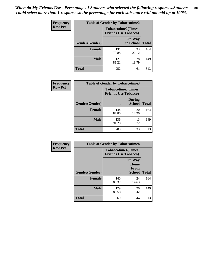*When do My Friends Use - Percentage of Students who selected the following responses.Students could select more than 1 response so the percentage for each substance will not add up to 100%.* **80**

| <b>Frequency</b> | <b>Table of Gender by Tobaccotime2</b> |                                                          |                            |              |
|------------------|----------------------------------------|----------------------------------------------------------|----------------------------|--------------|
| <b>Row Pct</b>   |                                        | <b>Tobaccotime2(Times</b><br><b>Friends Use Tobacco)</b> |                            |              |
|                  | Gender(Gender)                         | $\bullet$                                                | <b>On Way</b><br>to School | <b>Total</b> |
|                  | Female                                 | 131<br>79.88                                             | 33<br>20.12                | 164          |
|                  | <b>Male</b>                            | 121<br>81.21                                             | 28<br>18.79                | 149          |
|                  | <b>Total</b>                           | 252                                                      | 61                         | 313          |

| Frequency      | <b>Table of Gender by Tobaccotime3</b> |                             |                                |              |
|----------------|----------------------------------------|-----------------------------|--------------------------------|--------------|
| <b>Row Pct</b> |                                        | <b>Friends Use Tobacco)</b> | <b>Tobaccotime3(Times</b>      |              |
|                | Gender(Gender)                         |                             | <b>During</b><br><b>School</b> | <b>Total</b> |
|                | <b>Female</b>                          | 144<br>87.80                | 20<br>12.20                    | 164          |
|                | <b>Male</b>                            | 136<br>91.28                | 13<br>8.72                     | 149          |
|                | <b>Total</b>                           | 280                         | 33                             | 313          |

| Frequency      | <b>Table of Gender by Tobaccotime4</b> |                                                          |                                                       |              |
|----------------|----------------------------------------|----------------------------------------------------------|-------------------------------------------------------|--------------|
| <b>Row Pct</b> |                                        | <b>Tobaccotime4(Times</b><br><b>Friends Use Tobacco)</b> |                                                       |              |
|                | Gender(Gender)                         |                                                          | <b>On Way</b><br>Home<br><b>From</b><br><b>School</b> | <b>Total</b> |
|                | <b>Female</b>                          | 140<br>85.37                                             | 24<br>14.63                                           | 164          |
|                | <b>Male</b>                            | 129<br>86.58                                             | 20<br>13.42                                           | 149          |
|                | <b>Total</b>                           | 269                                                      | 44                                                    | 313          |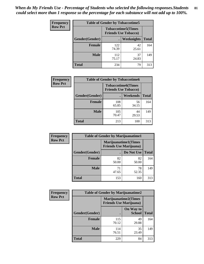*When do My Friends Use - Percentage of Students who selected the following responses.Students could select more than 1 response so the percentage for each substance will not add up to 100%.* **81**

| <b>Frequency</b> | <b>Table of Gender by Tobaccotime5</b> |                                                           |                   |              |  |
|------------------|----------------------------------------|-----------------------------------------------------------|-------------------|--------------|--|
| <b>Row Pct</b>   |                                        | <b>Tobaccotime5</b> (Times<br><b>Friends Use Tobacco)</b> |                   |              |  |
|                  | <b>Gender</b> (Gender)                 |                                                           | <b>Weeknights</b> | <b>Total</b> |  |
|                  | <b>Female</b>                          | 122<br>74.39                                              | 42<br>25.61       | 164          |  |
|                  | <b>Male</b>                            | 112<br>75.17                                              | 37<br>24.83       | 149          |  |
|                  | Total                                  | 234                                                       | 79                | 313          |  |

| Frequency      | <b>Table of Gender by Tobaccotime6</b> |                                                          |             |              |
|----------------|----------------------------------------|----------------------------------------------------------|-------------|--------------|
| <b>Row Pct</b> |                                        | <b>Tobaccotime6(Times</b><br><b>Friends Use Tobacco)</b> |             |              |
|                | Gender(Gender)                         |                                                          | Weekends    | <b>Total</b> |
|                | <b>Female</b>                          | 108<br>65.85                                             | 56<br>34.15 | 164          |
|                | <b>Male</b>                            | 105<br>70.47                                             | 44<br>29.53 | 149          |
|                | <b>Total</b>                           | 213                                                      | 100         | 313          |

| Frequency      | <b>Table of Gender by Marijuanatime1</b> |                                                               |             |              |
|----------------|------------------------------------------|---------------------------------------------------------------|-------------|--------------|
| <b>Row Pct</b> |                                          | <b>Marijuanatime1(Times</b><br><b>Friends Use Marijuana</b> ) |             |              |
|                | Gender(Gender)                           |                                                               | Do Not Use  | <b>Total</b> |
|                | <b>Female</b>                            | 82<br>50.00                                                   | 82<br>50.00 | 164          |
|                | <b>Male</b>                              | 71<br>47.65                                                   | 78<br>52.35 | 149          |
|                | <b>Total</b>                             | 153                                                           | 160         | 313          |

| <b>Frequency</b> | <b>Table of Gender by Marijuanatime2</b> |                                                               |                            |              |
|------------------|------------------------------------------|---------------------------------------------------------------|----------------------------|--------------|
| <b>Row Pct</b>   |                                          | <b>Marijuanatime2(Times</b><br><b>Friends Use Marijuana</b> ) |                            |              |
|                  | Gender(Gender)                           |                                                               | On Way to<br><b>School</b> | <b>Total</b> |
|                  | <b>Female</b>                            | 115<br>70.12                                                  | 49<br>29.88                | 164          |
|                  | <b>Male</b>                              | 114<br>76.51                                                  | 35<br>23.49                | 149          |
|                  | <b>Total</b>                             | 229                                                           | 84                         | 313          |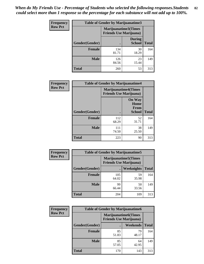*When do My Friends Use - Percentage of Students who selected the following responses.Students could select more than 1 response so the percentage for each substance will not add up to 100%.* **82**

| <b>Frequency</b> | <b>Table of Gender by Marijuanatime3</b>               |              |                                |              |
|------------------|--------------------------------------------------------|--------------|--------------------------------|--------------|
| <b>Row Pct</b>   | Marijuanatime3(Times<br><b>Friends Use Marijuana</b> ) |              |                                |              |
|                  | Gender(Gender)                                         |              | <b>During</b><br><b>School</b> | <b>Total</b> |
|                  | <b>Female</b>                                          | 134<br>81.71 | 30<br>18.29                    | 164          |
|                  | <b>Male</b>                                            | 126<br>84.56 | 23<br>15.44                    | 149          |
|                  | <b>Total</b>                                           | 260          | 53                             | 313          |

| Frequency      | <b>Table of Gender by Marijuanatime4</b> |                                |                                                       |              |
|----------------|------------------------------------------|--------------------------------|-------------------------------------------------------|--------------|
| <b>Row Pct</b> |                                          | <b>Friends Use Marijuana</b> ) | <b>Marijuanatime4</b> (Times                          |              |
|                | Gender(Gender)                           |                                | <b>On Way</b><br>Home<br><b>From</b><br><b>School</b> | <b>Total</b> |
|                | <b>Female</b>                            | 112<br>68.29                   | 52<br>31.71                                           | 164          |
|                | <b>Male</b>                              | 111<br>74.50                   | 38<br>25.50                                           | 149          |
|                | <b>Total</b>                             | 223                            | 90                                                    | 313          |

| Frequency      | <b>Table of Gender by Marijuanatime5</b> |              |                                                                |              |
|----------------|------------------------------------------|--------------|----------------------------------------------------------------|--------------|
| <b>Row Pct</b> |                                          |              | <b>Marijuanatime5</b> (Times<br><b>Friends Use Marijuana</b> ) |              |
|                | Gender(Gender)                           | ٠            | Weeknights                                                     | <b>Total</b> |
|                | <b>Female</b>                            | 105<br>64.02 | 59<br>35.98                                                    | 164          |
|                | <b>Male</b>                              | 99<br>66.44  | 50<br>33.56                                                    | 149          |
|                | <b>Total</b>                             | 204          | 109                                                            | 313          |

| Frequency      | <b>Table of Gender by Marijuanatime6</b> |                                                               |                 |              |  |
|----------------|------------------------------------------|---------------------------------------------------------------|-----------------|--------------|--|
| <b>Row Pct</b> |                                          | <b>Marijuanatime6(Times</b><br><b>Friends Use Marijuana</b> ) |                 |              |  |
|                | Gender(Gender)                           |                                                               | <b>Weekends</b> | <b>Total</b> |  |
|                | <b>Female</b>                            | 85<br>51.83                                                   | 79<br>48.17     | 164          |  |
|                | <b>Male</b>                              | 85<br>57.05                                                   | 64<br>42.95     | 149          |  |
|                | <b>Total</b>                             | 170                                                           | 143             | 313          |  |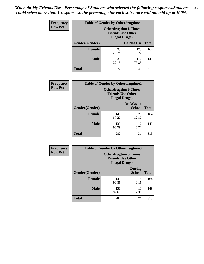*When do My Friends Use - Percentage of Students who selected the following responses.Students could select more than 1 response so the percentage for each substance will not add up to 100%.* **83**

| <b>Frequency</b> | <b>Table of Gender by Otherdrugtime1</b> |                                                                                    |              |              |  |
|------------------|------------------------------------------|------------------------------------------------------------------------------------|--------------|--------------|--|
| <b>Row Pct</b>   |                                          | <b>Otherdrugtime1</b> (Times<br><b>Friends Use Other</b><br><b>Illegal Drugs</b> ) |              |              |  |
|                  | Gender(Gender)                           |                                                                                    | Do Not Use   | <b>Total</b> |  |
|                  | <b>Female</b>                            | 39<br>23.78                                                                        | 125<br>76.22 | 164          |  |
|                  | <b>Male</b>                              | 33<br>22.15                                                                        | 116<br>77.85 | 149          |  |
|                  | <b>Total</b>                             | 72                                                                                 | 241          | 313          |  |

| Frequency      | <b>Table of Gender by Otherdrugtime2</b> |                                                    |                             |              |
|----------------|------------------------------------------|----------------------------------------------------|-----------------------------|--------------|
| <b>Row Pct</b> |                                          | <b>Friends Use Other</b><br><b>Illegal Drugs</b> ) | <b>Otherdrugtime2(Times</b> |              |
|                | Gender(Gender)                           |                                                    | On Way to<br><b>School</b>  | <b>Total</b> |
|                | <b>Female</b>                            | 143<br>87.20                                       | 21<br>12.80                 | 164          |
|                | <b>Male</b>                              | 139<br>93.29                                       | 10<br>6.71                  | 149          |
|                | <b>Total</b>                             | 282                                                | 31                          | 313          |

| <b>Frequency</b> | <b>Table of Gender by Otherdrugtime3</b> |                                                                            |                                |              |  |
|------------------|------------------------------------------|----------------------------------------------------------------------------|--------------------------------|--------------|--|
| <b>Row Pct</b>   |                                          | Otherdrugtime3(Times<br><b>Friends Use Other</b><br><b>Illegal Drugs</b> ) |                                |              |  |
|                  | Gender(Gender)                           |                                                                            | <b>During</b><br><b>School</b> | <b>Total</b> |  |
|                  | <b>Female</b>                            | 149<br>90.85                                                               | 15<br>9.15                     | 164          |  |
|                  | <b>Male</b>                              | 138<br>92.62                                                               | 11<br>7.38                     | 149          |  |
|                  | <b>Total</b>                             | 287                                                                        | 26                             | 313          |  |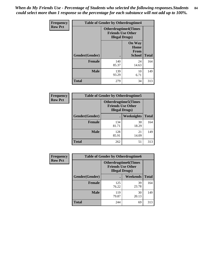*When do My Friends Use - Percentage of Students who selected the following responses.Students could select more than 1 response so the percentage for each substance will not add up to 100%.* **84**

| Frequency      |                | <b>Table of Gender by Otherdrugtime4</b>           |                                                       |              |
|----------------|----------------|----------------------------------------------------|-------------------------------------------------------|--------------|
| <b>Row Pct</b> |                | <b>Friends Use Other</b><br><b>Illegal Drugs</b> ) | <b>Otherdrugtime4(Times</b>                           |              |
|                | Gender(Gender) |                                                    | <b>On Way</b><br>Home<br><b>From</b><br><b>School</b> | <b>Total</b> |
|                | <b>Female</b>  | 140<br>85.37                                       | 24<br>14.63                                           | 164          |
|                | <b>Male</b>    | 139<br>93.29                                       | 10<br>6.71                                            | 149          |
|                | <b>Total</b>   | 279                                                | 34                                                    | 313          |

| <b>Frequency</b> | <b>Table of Gender by Otherdrugtime5</b> |                                                                                    |                   |              |
|------------------|------------------------------------------|------------------------------------------------------------------------------------|-------------------|--------------|
| <b>Row Pct</b>   |                                          | <b>Otherdrugtime5</b> (Times<br><b>Friends Use Other</b><br><b>Illegal Drugs</b> ) |                   |              |
|                  | Gender(Gender)                           |                                                                                    | <b>Weeknights</b> | <b>Total</b> |
|                  | <b>Female</b>                            | 134<br>81.71                                                                       | 30<br>18.29       | 164          |
|                  | <b>Male</b>                              | 128<br>85.91                                                                       | 21<br>14.09       | 149          |
|                  | <b>Total</b>                             | 262                                                                                | 51                | 313          |

| <b>Frequency</b> | <b>Table of Gender by Otherdrugtime6</b> |                                                                                   |             |              |
|------------------|------------------------------------------|-----------------------------------------------------------------------------------|-------------|--------------|
| <b>Row Pct</b>   |                                          | <b>Otherdrugtime6(Times</b><br><b>Friends Use Other</b><br><b>Illegal Drugs</b> ) |             |              |
|                  | Gender(Gender)                           |                                                                                   | Weekends    | <b>Total</b> |
|                  | <b>Female</b>                            | 125<br>76.22                                                                      | 39<br>23.78 | 164          |
|                  | <b>Male</b>                              | 119<br>79.87                                                                      | 30<br>20.13 | 149          |
|                  | <b>Total</b>                             | 244                                                                               | 69          | 313          |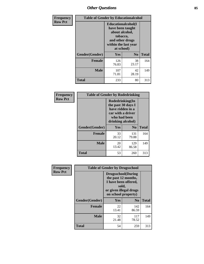# *Other Questions* **85**

| <b>Frequency</b> | <b>Table of Gender by Educationalcohol</b> |                                                                                                                                       |                |              |
|------------------|--------------------------------------------|---------------------------------------------------------------------------------------------------------------------------------------|----------------|--------------|
| <b>Row Pct</b>   |                                            | <b>Educationalcohol</b> (I<br>have been taught<br>about alcohol,<br>tobacco,<br>and other drugs<br>within the last year<br>at school) |                |              |
|                  | Gender(Gender)                             | <b>Yes</b>                                                                                                                            | N <sub>0</sub> | <b>Total</b> |
|                  | <b>Female</b>                              | 126<br>76.83                                                                                                                          | 38<br>23.17    | 164          |
|                  | <b>Male</b>                                | 107<br>71.81                                                                                                                          | 42<br>28.19    | 149          |
|                  | <b>Total</b>                               | 233                                                                                                                                   | 80             | 313          |

| Frequency      | <b>Table of Gender by Rodedrinking</b> |                                                                                                                     |                |              |
|----------------|----------------------------------------|---------------------------------------------------------------------------------------------------------------------|----------------|--------------|
| <b>Row Pct</b> |                                        | Rodedrinking(In<br>the past 30 days I<br>have ridden in a<br>car with a driver<br>who had been<br>drinking alcohol) |                |              |
|                | Gender(Gender)                         | Yes                                                                                                                 | N <sub>0</sub> | <b>Total</b> |
|                | <b>Female</b>                          | 33<br>20.12                                                                                                         | 131<br>79.88   | 164          |
|                | <b>Male</b>                            | 20<br>13.42                                                                                                         | 129<br>86.58   | 149          |
|                | <b>Total</b>                           | 53                                                                                                                  | 260            | 313          |

| Frequency      |                | <b>Table of Gender by Drugsschool</b>                                                                                               |                |              |
|----------------|----------------|-------------------------------------------------------------------------------------------------------------------------------------|----------------|--------------|
| <b>Row Pct</b> |                | <b>Drugsschool</b> (During<br>the past 12 months,<br>I have been offered,<br>sold,<br>or given illegal drugs<br>on school property) |                |              |
|                | Gender(Gender) | <b>Yes</b>                                                                                                                          | N <sub>0</sub> | <b>Total</b> |
|                | <b>Female</b>  | 22<br>13.41                                                                                                                         | 142<br>86.59   | 164          |
|                | <b>Male</b>    | 32<br>21.48                                                                                                                         | 117<br>78.52   | 149          |
|                | <b>Total</b>   | 54                                                                                                                                  | 259            | 313          |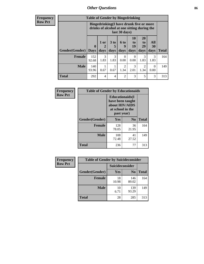## *Other Questions* **86**

**Frequency Row Pct**

| <b>Table of Gender by Bingedrinking</b> |                         |                                                                                                         |                   |                        |                        |                               |                   |              |
|-----------------------------------------|-------------------------|---------------------------------------------------------------------------------------------------------|-------------------|------------------------|------------------------|-------------------------------|-------------------|--------------|
|                                         |                         | Bingedrinking(I have drunk five or more<br>drinks of alcohol at one sitting during the<br>last 30 days) |                   |                        |                        |                               |                   |              |
| <b>Gender</b> (Gender)                  | $\bf{0}$<br><b>Days</b> | 1 or<br>days                                                                                            | 3 to<br>5<br>days | 6 to<br>9<br>days      | 10<br>to<br>19<br>days | <b>20</b><br>to<br>29<br>days | All<br>30<br>days | <b>Total</b> |
| <b>Female</b>                           | 152<br>92.68            | 3<br>1.83                                                                                               | 3<br>1.83         | ∩<br>0.00              | $\Omega$<br>0.00       | 3<br>1.83                     | 3<br>1.83         | 164          |
| <b>Male</b>                             | 140<br>93.96            | 0.67                                                                                                    | 0.67              | $\mathfrak{D}$<br>1.34 | 3<br>2.01              | 2<br>1.34                     | $\theta$<br>0.00  | 149          |
| <b>Total</b>                            | 292                     | 4                                                                                                       | 4                 | $\mathfrak{D}$         | 3                      | 5                             | 3                 | 313          |

| Frequency      | <b>Table of Gender by Educationaids</b> |                                                                                                 |                |              |
|----------------|-----------------------------------------|-------------------------------------------------------------------------------------------------|----------------|--------------|
| <b>Row Pct</b> |                                         | <b>Educationaids</b> (I<br>have been taught<br>about HIV/AIDS<br>at school in the<br>past year) |                |              |
|                | Gender(Gender)                          | Yes                                                                                             | $\mathbf{N_0}$ | <b>Total</b> |
|                | <b>Female</b>                           | 128<br>78.05                                                                                    | 36<br>21.95    | 164          |
|                | <b>Male</b>                             | 108<br>72.48                                                                                    | 41<br>27.52    | 149          |
|                | <b>Total</b>                            | 236                                                                                             | 77             | 313          |

| <b>Frequency</b> | <b>Table of Gender by Suicideconsider</b> |                 |                |              |
|------------------|-------------------------------------------|-----------------|----------------|--------------|
| <b>Row Pct</b>   |                                           | Suicideconsider |                |              |
|                  | Gender(Gender)                            | Yes             | N <sub>0</sub> | <b>Total</b> |
|                  | <b>Female</b>                             | 18<br>10.98     | 146<br>89.02   | 164          |
|                  | <b>Male</b>                               | 10<br>6.71      | 139<br>93.29   | 149          |
|                  | <b>Total</b>                              | 28              | 285            | 313          |